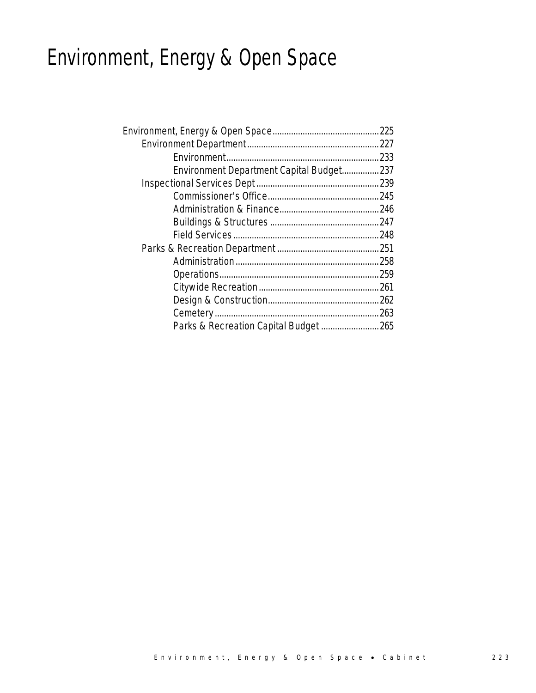# Environment, Energy & Open Space

| Environment Department Capital Budget237 |  |
|------------------------------------------|--|
|                                          |  |
|                                          |  |
|                                          |  |
|                                          |  |
|                                          |  |
|                                          |  |
|                                          |  |
|                                          |  |
|                                          |  |
|                                          |  |
|                                          |  |
| Parks & Recreation Capital Budget 265    |  |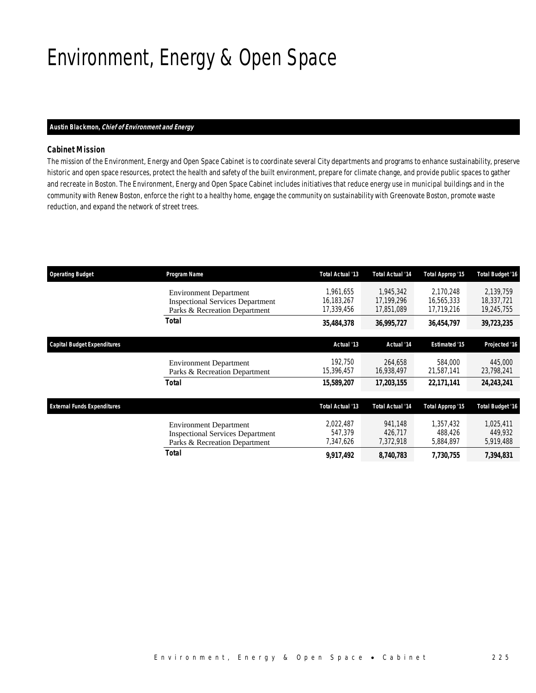# Environment, Energy & Open Space

### *Austin Blackmon, Chief of Environment and Energy*

## *Cabinet Mission*

The mission of the Environment, Energy and Open Space Cabinet is to coordinate several City departments and programs to enhance sustainability, preserve historic and open space resources, protect the health and safety of the built environment, prepare for climate change, and provide public spaces to gather and recreate in Boston. The Environment, Energy and Open Space Cabinet includes initiatives that reduce energy use in municipal buildings and in the community with Renew Boston, enforce the right to a healthy home, engage the community on sustainability with Greenovate Boston, promote waste reduction, and expand the network of street trees.

| <b>Operating Budget</b>            | Program Name                                                                                              | Total Actual '13                      | <b>Total Actual '14</b>               | Total Approp '15                      | <b>Total Budget '16</b>               |
|------------------------------------|-----------------------------------------------------------------------------------------------------------|---------------------------------------|---------------------------------------|---------------------------------------|---------------------------------------|
|                                    | <b>Environment Department</b><br><b>Inspectional Services Department</b><br>Parks & Recreation Department | 1,961,655<br>16,183,267<br>17,339,456 | 1,945,342<br>17,199,296<br>17,851,089 | 2,170,248<br>16,565,333<br>17,719,216 | 2.139.759<br>18,337,721<br>19,245,755 |
|                                    | Total                                                                                                     | 35,484,378                            | 36,995,727                            | 36,454,797                            | 39,723,235                            |
| <b>Capital Budget Expenditures</b> |                                                                                                           | Actual '13                            | Actual '14                            | <b>Estimated '15</b>                  | Projected '16                         |
|                                    | <b>Environment Department</b><br>Parks & Recreation Department                                            | 192,750<br>15,396,457                 | 264.658<br>16,938,497                 | 584,000<br>21,587,141                 | 445,000<br>23,798,241                 |
|                                    | Total                                                                                                     | 15,589,207                            | 17,203,155                            | 22,171,141                            | 24,243,241                            |
| <b>External Funds Expenditures</b> |                                                                                                           | Total Actual '13                      | <b>Total Actual '14</b>               | Total Approp '15                      | <b>Total Budget '16</b>               |
|                                    | <b>Environment Department</b><br><b>Inspectional Services Department</b><br>Parks & Recreation Department | 2,022,487<br>547.379<br>7,347,626     | 941,148<br>426.717<br>7,372,918       | 1,357,432<br>488.426<br>5,884,897     | 1,025,411<br>449,932<br>5,919,488     |
|                                    | Total                                                                                                     | 9,917,492                             | 8,740,783                             | 7,730,755                             | 7,394,831                             |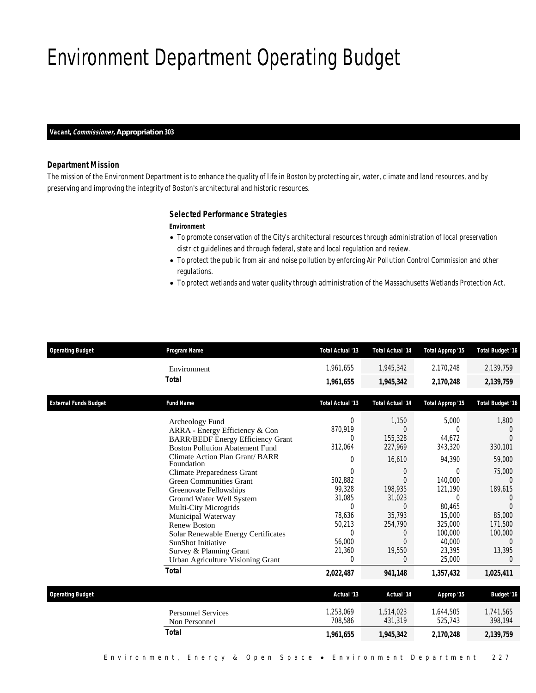# Environment Department Operating Budget

#### *Vacant, Commissioner, Appropriation 303*

### *Department Mission*

The mission of the Environment Department is to enhance the quality of life in Boston by protecting air, water, climate and land resources, and by preserving and improving the integrity of Boston's architectural and historic resources.

### *Selected Performance Strategies*

#### *Environment*

- To promote conservation of the City's architectural resources through administration of local preservation district guidelines and through federal, state and local regulation and review.
- To protect the public from air and noise pollution by enforcing Air Pollution Control Commission and other regulations.
- To protect wetlands and water quality through administration of the Massachusetts Wetlands Protection Act.

| <b>Operating Budget</b>      | Program Name                                                                                                                                                                                                                                                                                                                                                                                                                                                                        | Total Actual '13                                                                                                                                                     | <b>Total Actual '14</b>                                                                                                                                                 | Total Approp '15                                                                                                                                      | <b>Total Budget '16</b>                                                                                                                                                 |
|------------------------------|-------------------------------------------------------------------------------------------------------------------------------------------------------------------------------------------------------------------------------------------------------------------------------------------------------------------------------------------------------------------------------------------------------------------------------------------------------------------------------------|----------------------------------------------------------------------------------------------------------------------------------------------------------------------|-------------------------------------------------------------------------------------------------------------------------------------------------------------------------|-------------------------------------------------------------------------------------------------------------------------------------------------------|-------------------------------------------------------------------------------------------------------------------------------------------------------------------------|
|                              | Environment                                                                                                                                                                                                                                                                                                                                                                                                                                                                         | 1,961,655                                                                                                                                                            | 1,945,342                                                                                                                                                               | 2,170,248                                                                                                                                             | 2,139,759                                                                                                                                                               |
|                              | <b>Total</b>                                                                                                                                                                                                                                                                                                                                                                                                                                                                        | 1,961,655                                                                                                                                                            | 1,945,342                                                                                                                                                               | 2.170.248                                                                                                                                             | 2,139,759                                                                                                                                                               |
| <b>External Funds Budget</b> | <b>Fund Name</b>                                                                                                                                                                                                                                                                                                                                                                                                                                                                    | Total Actual '13                                                                                                                                                     | <b>Total Actual '14</b>                                                                                                                                                 | Total Approp '15                                                                                                                                      | <b>Total Budget '16</b>                                                                                                                                                 |
|                              | Archeology Fund<br>ARRA - Energy Efficiency & Con<br><b>BARR/BEDF Energy Efficiency Grant</b><br><b>Boston Pollution Abatement Fund</b><br>Climate Action Plan Grant/ BARR<br>Foundation<br><b>Climate Preparedness Grant</b><br><b>Green Communities Grant</b><br>Greenovate Fellowships<br>Ground Water Well System<br>Multi-City Microgrids<br>Municipal Waterway<br><b>Renew Boston</b><br>Solar Renewable Energy Certificates<br>SunShot Initiative<br>Survey & Planning Grant | $\Omega$<br>870.919<br>$\Omega$<br>312,064<br>$\Omega$<br>$\Omega$<br>502,882<br>99,328<br>31,085<br>$\mathbf 0$<br>78,636<br>50,213<br>$\Omega$<br>56,000<br>21,360 | 1.150<br>$\Omega$<br>155,328<br>227,969<br>16.610<br>$\Omega$<br>$\Omega$<br>198,935<br>31,023<br>$\overline{0}$<br>35,793<br>254,790<br>$\Omega$<br>$\Omega$<br>19,550 | 5.000<br>$\Omega$<br>44.672<br>343,320<br>94.390<br>0<br>140,000<br>121,190<br>$\Omega$<br>80.465<br>15,000<br>325,000<br>100,000<br>40,000<br>23.395 | 1,800<br>$\Omega$<br>$\Omega$<br>330,101<br>59,000<br>75,000<br>$\Omega$<br>189,615<br>$\overline{0}$<br>$\Omega$<br>85,000<br>171,500<br>100,000<br>$\Omega$<br>13,395 |
|                              | Urban Agriculture Visioning Grant                                                                                                                                                                                                                                                                                                                                                                                                                                                   | $\Omega$                                                                                                                                                             | 0                                                                                                                                                                       | 25,000                                                                                                                                                | $\Omega$                                                                                                                                                                |
|                              | <b>Total</b>                                                                                                                                                                                                                                                                                                                                                                                                                                                                        | 2,022,487                                                                                                                                                            | 941,148                                                                                                                                                                 | 1,357,432                                                                                                                                             | 1,025,411                                                                                                                                                               |
| <b>Operating Budget</b>      |                                                                                                                                                                                                                                                                                                                                                                                                                                                                                     | Actual '13                                                                                                                                                           | Actual '14                                                                                                                                                              | Approp '15                                                                                                                                            | <b>Budget '16</b>                                                                                                                                                       |
|                              | <b>Personnel Services</b><br>Non Personnel                                                                                                                                                                                                                                                                                                                                                                                                                                          | 1,253,069<br>708,586                                                                                                                                                 | 1,514,023<br>431,319                                                                                                                                                    | 1,644,505<br>525,743                                                                                                                                  | 1,741,565<br>398,194                                                                                                                                                    |
|                              | <b>Total</b>                                                                                                                                                                                                                                                                                                                                                                                                                                                                        | 1,961,655                                                                                                                                                            | 1,945,342                                                                                                                                                               | 2,170,248                                                                                                                                             | 2,139,759                                                                                                                                                               |
|                              |                                                                                                                                                                                                                                                                                                                                                                                                                                                                                     |                                                                                                                                                                      |                                                                                                                                                                         |                                                                                                                                                       |                                                                                                                                                                         |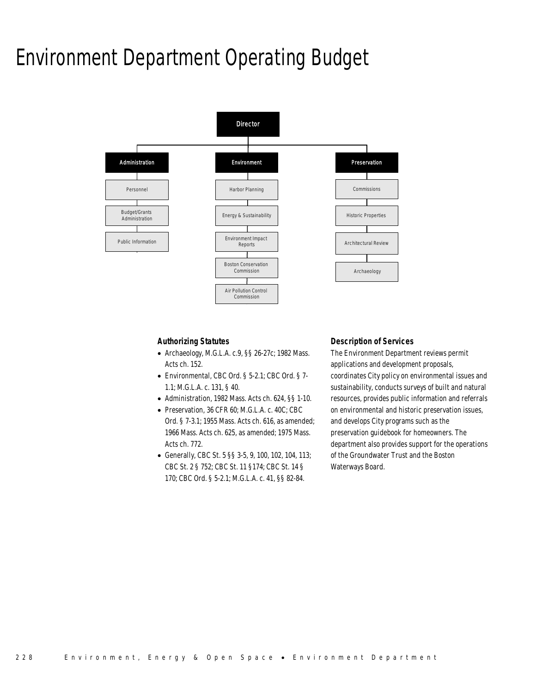## Environment Department Operating Budget



## *Authorizing Statutes*

- Archaeology, M.G.L.A. c.9, §§ 26-27c; 1982 Mass. Acts ch. 152.
- Environmental, CBC Ord. § 5-2.1; CBC Ord. § 7- 1.1; M.G.L.A. c. 131, § 40.
- Administration, 1982 Mass. Acts ch. 624, §§ 1-10.
- Preservation, 36 CFR 60; M.G.L.A. c. 40C; CBC Ord. § 7-3.1; 1955 Mass. Acts ch. 616, as amended; 1966 Mass. Acts ch. 625, as amended; 1975 Mass. Acts ch. 772.
- Generally, CBC St. 5 §§ 3-5, 9, 100, 102, 104, 113; CBC St. 2 § 752; CBC St. 11 §174; CBC St. 14 § 170; CBC Ord. § 5-2.1; M.G.L.A. c. 41, §§ 82-84.

## *Description of Services*

The Environment Department reviews permit applications and development proposals, coordinates City policy on environmental issues and sustainability, conducts surveys of built and natural resources, provides public information and referrals on environmental and historic preservation issues, and develops City programs such as the preservation guidebook for homeowners. The department also provides support for the operations of the Groundwater Trust and the Boston Waterways Board.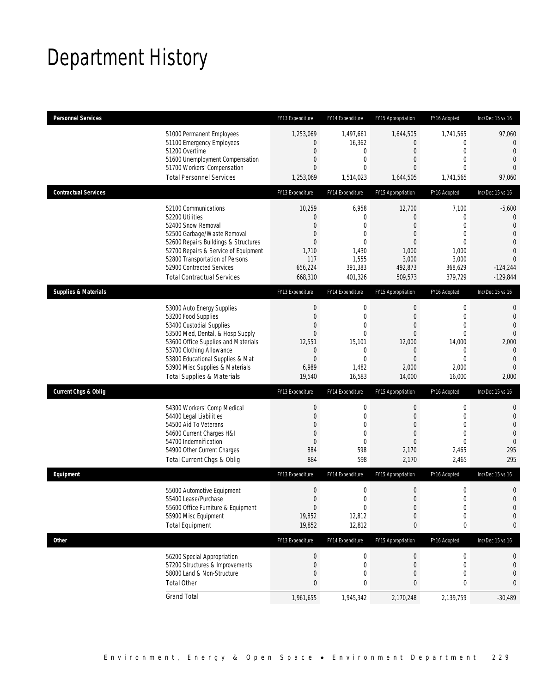# Department History

| <b>Personnel Services</b>       |                                                                                                                                                                                                                                                                                                      | FY13 Expenditure                                                                                              | FY14 Expenditure                                                                                            | FY15 Appropriation                                                                                                    | FY16 Adopted                                                                                            | Inc/Dec 15 vs 16                                                                                                                               |
|---------------------------------|------------------------------------------------------------------------------------------------------------------------------------------------------------------------------------------------------------------------------------------------------------------------------------------------------|---------------------------------------------------------------------------------------------------------------|-------------------------------------------------------------------------------------------------------------|-----------------------------------------------------------------------------------------------------------------------|---------------------------------------------------------------------------------------------------------|------------------------------------------------------------------------------------------------------------------------------------------------|
|                                 | 51000 Permanent Employees<br>51100 Emergency Employees<br>51200 Overtime<br>51600 Unemployment Compensation<br>51700 Workers' Compensation<br><b>Total Personnel Services</b>                                                                                                                        | 1,253,069<br>$\overline{0}$<br>$\overline{0}$<br>$\overline{0}$<br>$\overline{0}$<br>1,253,069                | 1,497,661<br>16,362<br>$\mathbf{0}$<br>$\mathbf{0}$<br>$\mathbf{0}$<br>1,514,023                            | 1,644,505<br>$\theta$<br>$\overline{0}$<br>$\theta$<br>$\overline{0}$<br>1,644,505                                    | 1,741,565<br>0<br>$\mathbf{0}$<br>$\overline{0}$<br>$\Omega$<br>1,741,565                               | 97,060<br>$\overline{0}$<br>$\mathbf{0}$<br>$\overline{0}$<br>$\Omega$<br>97,060                                                               |
| <b>Contractual Services</b>     |                                                                                                                                                                                                                                                                                                      | FY13 Expenditure                                                                                              | FY14 Expenditure                                                                                            | FY15 Appropriation                                                                                                    | FY16 Adopted                                                                                            | Inc/Dec 15 vs 16                                                                                                                               |
|                                 | 52100 Communications<br>52200 Utilities<br>52400 Snow Removal<br>52500 Garbage/Waste Removal<br>52600 Repairs Buildings & Structures<br>52700 Repairs & Service of Equipment<br>52800 Transportation of Persons<br>52900 Contracted Services<br><b>Total Contractual Services</b>                    | 10,259<br>0<br>$\overline{0}$<br>$\mathbf 0$<br>$\overline{0}$<br>1,710<br>117<br>656,224<br>668,310          | 6,958<br>$\mathbf{0}$<br>$\mathbf{0}$<br>0<br>$\mathbf{0}$<br>1,430<br>1,555<br>391,383<br>401,326          | 12,700<br>$\theta$<br>$\overline{0}$<br>$\theta$<br>$\theta$<br>1,000<br>3,000<br>492,873<br>509,573                  | 7,100<br>0<br>$\overline{0}$<br>$\mathbf{0}$<br>$\theta$<br>1,000<br>3,000<br>368,629<br>379,729        | $-5,600$<br>$\mathbf{0}$<br>$\overline{0}$<br>$\overline{0}$<br>$\overline{0}$<br>$\overline{0}$<br>$\overline{0}$<br>$-124,244$<br>$-129,844$ |
| <b>Supplies &amp; Materials</b> |                                                                                                                                                                                                                                                                                                      | FY13 Expenditure                                                                                              | FY14 Expenditure                                                                                            | FY15 Appropriation                                                                                                    | FY16 Adopted                                                                                            | Inc/Dec 15 vs 16                                                                                                                               |
|                                 | 53000 Auto Energy Supplies<br>53200 Food Supplies<br>53400 Custodial Supplies<br>53500 Med, Dental, & Hosp Supply<br>53600 Office Supplies and Materials<br>53700 Clothing Allowance<br>53800 Educational Supplies & Mat<br>53900 Misc Supplies & Materials<br><b>Total Supplies &amp; Materials</b> | $\boldsymbol{0}$<br>$\overline{0}$<br>0<br>$\overline{0}$<br>12,551<br>0<br>$\overline{0}$<br>6,989<br>19,540 | 0<br>$\mathbf 0$<br>$\mathbf 0$<br>$\mathbf{0}$<br>15,101<br>$\mathbf 0$<br>$\mathbf{0}$<br>1,482<br>16,583 | $\boldsymbol{0}$<br>$\theta$<br>$\theta$<br>$\overline{0}$<br>12,000<br>$\theta$<br>$\overline{0}$<br>2,000<br>14,000 | 0<br>$\mathbf{0}$<br>$\mathbf{0}$<br>$\overline{0}$<br>14,000<br>0<br>$\overline{0}$<br>2,000<br>16,000 | $\mathbf{0}$<br>$\overline{0}$<br>$\overline{0}$<br>$\overline{0}$<br>2,000<br>$\theta$<br>$\overline{0}$<br>$\overline{0}$<br>2,000           |
| <b>Current Chgs &amp; Oblig</b> |                                                                                                                                                                                                                                                                                                      | FY13 Expenditure                                                                                              | FY14 Expenditure                                                                                            | FY15 Appropriation                                                                                                    | FY16 Adopted                                                                                            | Inc/Dec 15 vs 16                                                                                                                               |
|                                 | 54300 Workers' Comp Medical<br>54400 Legal Liabilities<br>54500 Aid To Veterans<br>54600 Current Charges H&I<br>54700 Indemnification<br>54900 Other Current Charges<br>Total Current Chgs & Oblig                                                                                                   | $\boldsymbol{0}$<br>$\boldsymbol{0}$<br>$\overline{0}$<br>$\boldsymbol{0}$<br>$\overline{0}$<br>884<br>884    | $\boldsymbol{0}$<br>$\mathbf 0$<br>$\mathbf 0$<br>$\mathbf 0$<br>$\mathbf 0$<br>598<br>598                  | $\boldsymbol{0}$<br>$\overline{0}$<br>$\theta$<br>$\overline{0}$<br>$\theta$<br>2,170<br>2,170                        | 0<br>$\mathbf{0}$<br>$\overline{0}$<br>$\mathbf{0}$<br>$\mathbf{0}$<br>2,465<br>2,465                   | $\mathbf 0$<br>$\mathbf 0$<br>$\overline{0}$<br>$\overline{0}$<br>$\mathbf 0$<br>295<br>295                                                    |
| Equipment                       |                                                                                                                                                                                                                                                                                                      | FY13 Expenditure                                                                                              | FY14 Expenditure                                                                                            | FY15 Appropriation                                                                                                    | FY16 Adopted                                                                                            | Inc/Dec 15 vs 16                                                                                                                               |
|                                 | 55000 Automotive Equipment<br>55400 Lease/Purchase<br>55600 Office Furniture & Equipment<br>55900 Misc Equipment<br><b>Total Equipment</b>                                                                                                                                                           | $\boldsymbol{0}$<br>$\Omega$<br>$\boldsymbol{0}$<br>19,852<br>19,852                                          | 0<br>$\theta$<br>$\boldsymbol{0}$<br>12,812<br>12,812                                                       | $\boldsymbol{0}$<br>$\Omega$<br>$\boldsymbol{0}$<br>$\theta$<br>0                                                     | $\boldsymbol{0}$<br>$\theta$<br>$\boldsymbol{0}$<br>$\mathbf 0$<br>0                                    | $\mathbf 0$<br>$\Omega$<br>$\mathbf 0$<br>$\mathbf 0$<br>0                                                                                     |
| Other                           |                                                                                                                                                                                                                                                                                                      | FY13 Expenditure                                                                                              | FY14 Expenditure                                                                                            | FY15 Appropriation                                                                                                    | FY16 Adopted                                                                                            | Inc/Dec 15 vs 16                                                                                                                               |
|                                 | 56200 Special Appropriation<br>57200 Structures & Improvements<br>58000 Land & Non-Structure<br><b>Total Other</b>                                                                                                                                                                                   | $\boldsymbol{0}$<br>0<br>0<br>0                                                                               | 0<br>0<br>0<br>0                                                                                            | $\theta$<br>$\theta$<br>$\overline{0}$<br>0                                                                           | 0<br>0<br>$\overline{0}$<br>0                                                                           | 0<br>$\mathbf 0$<br>0<br>0                                                                                                                     |
|                                 | <b>Grand Total</b>                                                                                                                                                                                                                                                                                   | 1,961,655                                                                                                     | 1,945,342                                                                                                   | 2,170,248                                                                                                             | 2,139,759                                                                                               | $-30,489$                                                                                                                                      |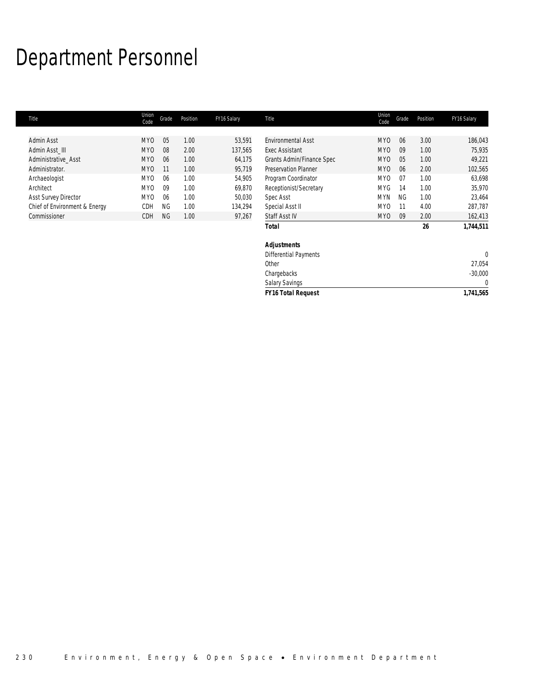# Department Personnel

г

| Title                         | Union<br>Code   | Grade     | Position | FY16 Salary | Title                        | Union<br>Code   | Grade     | Position | FY16 Salary |
|-------------------------------|-----------------|-----------|----------|-------------|------------------------------|-----------------|-----------|----------|-------------|
|                               |                 |           |          |             |                              |                 |           |          |             |
| Admin Asst                    | MY <sub>0</sub> | 05        | 1.00     | 53,591      | <b>Environmental Asst</b>    | MY <sub>0</sub> | 06        | 3.00     | 186,043     |
| Admin Asst III                | MY <sub>0</sub> | 08        | 2.00     | 137,565     | <b>Exec Assistant</b>        | MY <sub>0</sub> | 09        | 1.00     | 75,935      |
| Administrative Asst           | <b>MYO</b>      | 06        | 1.00     | 64,175      | Grants Admin/Finance Spec    | MY <sub>0</sub> | 05        | 1.00     | 49,221      |
| Administrator.                | MY <sub>0</sub> | 11        | 1.00     | 95,719      | <b>Preservation Planner</b>  | MY <sub>0</sub> | 06        | 2.00     | 102,565     |
| Archaeologist                 | MY0             | 06        | 1.00     | 54,905      | Program Coordinator          | MY <sub>0</sub> | 07        | 1.00     | 63,698      |
| Architect                     | MY <sub>0</sub> | 09        | 1.00     | 69,870      | Receptionist/Secretary       | <b>MYG</b>      | 14        | 1.00     | 35,970      |
| <b>Asst Survey Director</b>   | MY <sub>0</sub> | 06        | 1.00     | 50,030      | Spec Asst                    | <b>MYN</b>      | <b>NG</b> | 1.00     | 23,464      |
| Chief of Environment & Energy | CDH             | <b>NG</b> | 1.00     | 134,294     | Special Asst II              | MY <sub>0</sub> | 11        | 4.00     | 287,787     |
| Commissioner                  | <b>CDH</b>      | NG        | 1.00     | 97,267      | Staff Asst IV                | MY <sub>0</sub> | 09        | 2.00     | 162,413     |
|                               |                 |           |          |             | Total                        |                 |           | 26       | 1,744,511   |
|                               |                 |           |          |             | <b>Adjustments</b>           |                 |           |          |             |
|                               |                 |           |          |             | <b>Differential Payments</b> |                 |           |          | $\theta$    |
|                               |                 |           |          |             | Other                        |                 |           |          | 27,054      |
|                               |                 |           |          |             | Chargebacks                  |                 |           |          | $-30,000$   |

*FY16 Total Request 1,741,565*

Salary Savings 0<br>
FY16 Total Request 1,741,565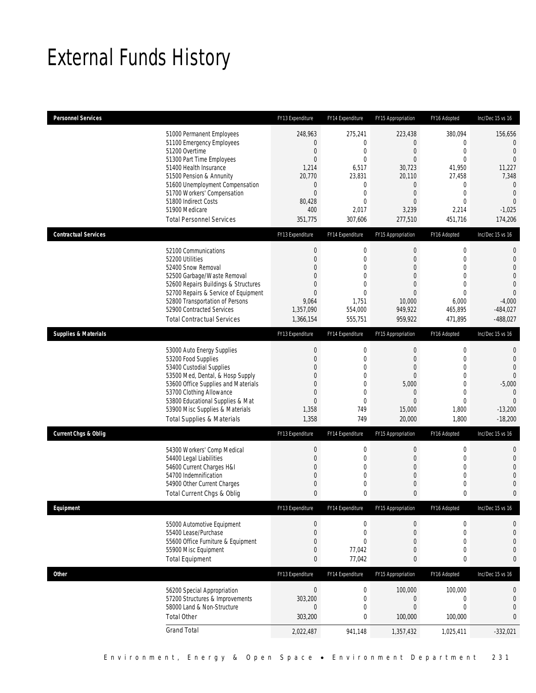# External Funds History

| <b>Personnel Services</b>       |                                                                                                                                                                                                                                                                                                            | FY13 Expenditure                                                                                                                                 | FY14 Expenditure                                                                                                         | FY15 Appropriation                                                                                                                     | FY16 Adopted                                                                                                                        | Inc/Dec 15 vs 16                                                                                                                           |
|---------------------------------|------------------------------------------------------------------------------------------------------------------------------------------------------------------------------------------------------------------------------------------------------------------------------------------------------------|--------------------------------------------------------------------------------------------------------------------------------------------------|--------------------------------------------------------------------------------------------------------------------------|----------------------------------------------------------------------------------------------------------------------------------------|-------------------------------------------------------------------------------------------------------------------------------------|--------------------------------------------------------------------------------------------------------------------------------------------|
|                                 | 51000 Permanent Employees<br>51100 Emergency Employees<br>51200 Overtime<br>51300 Part Time Employees<br>51400 Health Insurance<br>51500 Pension & Annunity<br>51600 Unemployment Compensation<br>51700 Workers' Compensation<br>51800 Indirect Costs<br>51900 Medicare<br><b>Total Personnel Services</b> | 248,963<br>$\mathbf 0$<br>$\boldsymbol{0}$<br>$\boldsymbol{0}$<br>1,214<br>20,770<br>$\mathbf 0$<br>$\boldsymbol{0}$<br>80,428<br>400<br>351,775 | 275,241<br>0<br>$\mathbf 0$<br>$\mathbf{0}$<br>6,517<br>23,831<br>0<br>$\mathbf 0$<br>$\overline{0}$<br>2,017<br>307,606 | 223,438<br>$\theta$<br>$\mathbf 0$<br>$\overline{0}$<br>30.723<br>20,110<br>$\mathbf 0$<br>$\mathbf 0$<br>$\theta$<br>3,239<br>277,510 | 380,094<br>0<br>$\boldsymbol{0}$<br>$\overline{0}$<br>41,950<br>27,458<br>0<br>$\mathbf 0$<br>$\overline{0}$<br>2,214<br>451,716    | 156,656<br>$\overline{0}$<br>$\theta$<br>$\mathbf{0}$<br>11,227<br>7,348<br>$\mathbf 0$<br>$\theta$<br>$\mathbf{0}$<br>$-1,025$<br>174,206 |
| <b>Contractual Services</b>     |                                                                                                                                                                                                                                                                                                            | FY13 Expenditure                                                                                                                                 | FY14 Expenditure                                                                                                         | FY15 Appropriation                                                                                                                     | FY16 Adopted                                                                                                                        | Inc/Dec 15 vs 16                                                                                                                           |
|                                 | 52100 Communications<br>52200 Utilities<br>52400 Snow Removal<br>52500 Garbage/Waste Removal<br>52600 Repairs Buildings & Structures<br>52700 Repairs & Service of Equipment<br>52800 Transportation of Persons<br>52900 Contracted Services<br><b>Total Contractual Services</b>                          | $\boldsymbol{0}$<br>$\boldsymbol{0}$<br>$\Omega$<br>0<br>0<br>$\mathbf{0}$<br>9,064<br>1,357,090<br>1,366,154                                    | $\mathbf 0$<br>$\mathbf 0$<br>0<br>$\overline{0}$<br>$\overline{0}$<br>$\mathbf 0$<br>1,751<br>554,000<br>555,751        | $\boldsymbol{0}$<br>$\mathbf{0}$<br>$\theta$<br>$\mathbf{0}$<br>$\theta$<br>$\theta$<br>10,000<br>949,922<br>959,922                   | $\boldsymbol{0}$<br>$\mathbf 0$<br>$\overline{0}$<br>$\overline{0}$<br>$\overline{0}$<br>$\mathbf 0$<br>6,000<br>465,895<br>471,895 | 0<br>$\mathbf 0$<br>$\overline{0}$<br>0<br>$\mathbf 0$<br>$\theta$<br>$-4,000$<br>$-484,027$<br>$-488,027$                                 |
| <b>Supplies &amp; Materials</b> |                                                                                                                                                                                                                                                                                                            | FY13 Expenditure                                                                                                                                 | FY14 Expenditure                                                                                                         | FY15 Appropriation                                                                                                                     | FY16 Adopted                                                                                                                        | Inc/Dec 15 vs 16                                                                                                                           |
|                                 | 53000 Auto Energy Supplies<br>53200 Food Supplies<br>53400 Custodial Supplies<br>53500 Med, Dental, & Hosp Supply<br>53600 Office Supplies and Materials<br>53700 Clothing Allowance<br>53800 Educational Supplies & Mat<br>53900 Misc Supplies & Materials<br><b>Total Supplies &amp; Materials</b>       | $\boldsymbol{0}$<br>$\boldsymbol{0}$<br>0<br>0<br>0<br>0<br>$\boldsymbol{0}$<br>1,358<br>1,358                                                   | 0<br>$\mathbf 0$<br>0<br>0<br>$\overline{0}$<br>$\mathbf 0$<br>$\mathbf 0$<br>749<br>749                                 | $\mathbf{0}$<br>$\mathbf{0}$<br>$\overline{0}$<br>$\theta$<br>5,000<br>$\theta$<br>$\theta$<br>15,000<br>20,000                        | 0<br>$\mathbf 0$<br>$\overline{0}$<br>$\overline{0}$<br>$\overline{0}$<br>$\mathbf 0$<br>$\overline{0}$<br>1,800<br>1,800           | 0<br>$\mathbf 0$<br>$\overline{0}$<br>$\Omega$<br>$-5,000$<br>$\theta$<br>$\mathbf{0}$<br>$-13,200$<br>$-18,200$                           |
| <b>Current Chgs &amp; Oblig</b> |                                                                                                                                                                                                                                                                                                            | FY13 Expenditure                                                                                                                                 | FY14 Expenditure                                                                                                         | FY15 Appropriation                                                                                                                     | FY16 Adopted                                                                                                                        | Inc/Dec 15 vs 16                                                                                                                           |
|                                 | 54300 Workers' Comp Medical<br>54400 Legal Liabilities<br>54600 Current Charges H&I<br>54700 Indemnification<br>54900 Other Current Charges<br>Total Current Chgs & Oblig                                                                                                                                  | $\boldsymbol{0}$<br>$\boldsymbol{0}$<br>0<br>0<br>$\mathbf 0$<br>$\mathbf{0}$                                                                    | $\mathbf 0$<br>$\mathbf 0$<br>0<br>0<br>$\mathbf 0$<br>0                                                                 | $\boldsymbol{0}$<br>$\mathbf{0}$<br>$\theta$<br>$\theta$<br>$\mathbf{0}$<br>$\mathbf{0}$                                               | $\mathbf 0$<br>$\mathbf 0$<br>$\mathbf{0}$<br>$\overline{0}$<br>$\mathbf{0}$<br>0                                                   | 0<br>$\mathbf 0$<br>$\overline{0}$<br>0<br>$\mathbf 0$<br>0                                                                                |
| Equipment                       |                                                                                                                                                                                                                                                                                                            | FY13 Expenditure                                                                                                                                 | FY14 Expenditure                                                                                                         | FY15 Appropriation                                                                                                                     | FY16 Adopted                                                                                                                        | Inc/Dec 15 vs 16                                                                                                                           |
|                                 | 55000 Automotive Equipment<br>55400 Lease/Purchase<br>55600 Office Furniture & Equipment<br>55900 Misc Equipment<br><b>Total Equipment</b>                                                                                                                                                                 | $\boldsymbol{0}$<br>$\boldsymbol{0}$<br>$\mathbf 0$<br>$\boldsymbol{0}$<br>0                                                                     | $\boldsymbol{0}$<br>$\mathbf 0$<br>$\overline{0}$<br>77,042<br>77,042                                                    | $\boldsymbol{0}$<br>$\mathbf{0}$<br>$\mathbf{0}$<br>$\theta$<br>0                                                                      | $\boldsymbol{0}$<br>$\mathbf 0$<br>$\overline{0}$<br>$\mathbf 0$<br>0                                                               | 0<br>$\mathbf 0$<br>0<br>$\mathbf 0$<br>0                                                                                                  |
| Other                           |                                                                                                                                                                                                                                                                                                            | FY13 Expenditure                                                                                                                                 | FY14 Expenditure                                                                                                         | FY15 Appropriation                                                                                                                     | FY16 Adopted                                                                                                                        | Inc/Dec 15 vs 16                                                                                                                           |
|                                 | 56200 Special Appropriation<br>57200 Structures & Improvements<br>58000 Land & Non-Structure<br><b>Total Other</b>                                                                                                                                                                                         | $\boldsymbol{0}$<br>303,200<br>$\boldsymbol{0}$<br>303,200                                                                                       | $\boldsymbol{0}$<br>$\mathbf 0$<br>0<br>0                                                                                | 100,000<br>$\boldsymbol{0}$<br>$\boldsymbol{0}$<br>100,000                                                                             | 100,000<br>$\mathbf 0$<br>$\mathbf 0$<br>100,000                                                                                    | 0<br>$\mathbf 0$<br>$\mathbf 0$<br>0                                                                                                       |
|                                 | <b>Grand Total</b>                                                                                                                                                                                                                                                                                         | 2,022,487                                                                                                                                        | 941,148                                                                                                                  | 1,357,432                                                                                                                              | 1,025,411                                                                                                                           | $-332,021$                                                                                                                                 |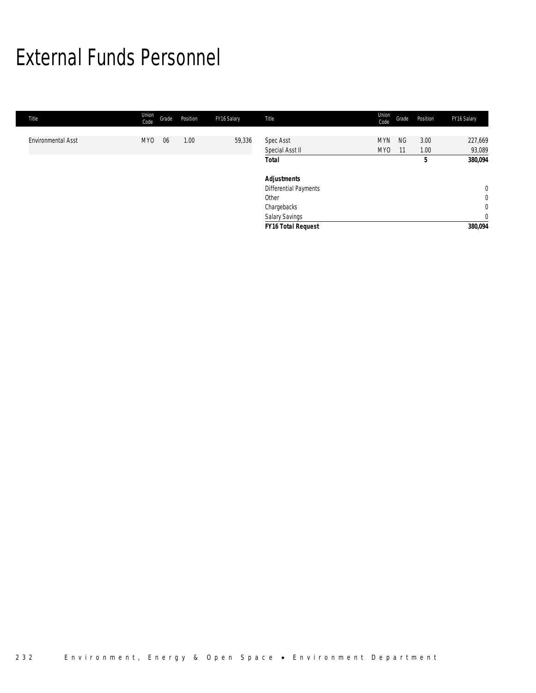# External Funds Personnel

| Title                     | Union<br>Code | Grade | Position | FY16 Salary | Title                        | Union<br>Code                 | Grade           | Position     | FY16 Salary                   |
|---------------------------|---------------|-------|----------|-------------|------------------------------|-------------------------------|-----------------|--------------|-------------------------------|
| <b>Environmental Asst</b> | <b>MYO</b>    | 06    | 1.00     | 59,336      | Spec Asst<br>Special Asst II | <b>MYN</b><br>MY <sub>0</sub> | <b>NG</b><br>11 | 3.00<br>1.00 | 227,669<br>93,089             |
|                           |               |       |          |             | <b>Total</b>                 |                               |                 | 5            | 380,094                       |
|                           |               |       |          |             | <b>Adjustments</b>           |                               |                 |              |                               |
|                           |               |       |          |             | Differential Payments        |                               |                 |              | $\overline{0}$                |
|                           |               |       |          |             | Other<br>Chargebacks         |                               |                 |              | $\mathbf 0$<br>$\overline{0}$ |
|                           |               |       |          |             | <b>Salary Savings</b>        |                               |                 |              | $\mathbf 0$                   |
|                           |               |       |          |             | <b>FY16 Total Request</b>    |                               |                 |              | 380,094                       |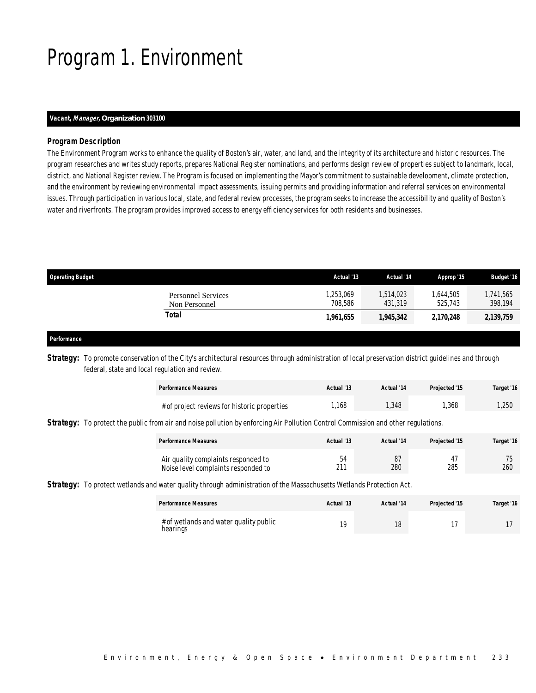# Program 1. Environment

### *Vacant, Manager, Organization 303100*

### *Program Description*

The Environment Program works to enhance the quality of Boston's air, water, and land, and the integrity of its architecture and historic resources. The program researches and writes study reports, prepares National Register nominations, and performs design review of properties subject to landmark, local, district, and National Register review. The Program is focused on implementing the Mayor's commitment to sustainable development, climate protection, and the environment by reviewing environmental impact assessments, issuing permits and providing information and referral services on environmental issues. Through participation in various local, state, and federal review processes, the program seeks to increase the accessibility and quality of Boston's water and riverfronts. The program provides improved access to energy efficiency services for both residents and businesses.

| <b>Operating Budget</b>             | Actual '13          | Actual '14          | Approp '15          | <b>Budget '16</b>   |
|-------------------------------------|---------------------|---------------------|---------------------|---------------------|
| Personnel Services<br>Non Personnel | .253.069<br>708.586 | .514.023<br>431.319 | .644.505<br>525.743 | ,741,565<br>398,194 |
| Total                               | 1,961,655           | 1,945,342           | 2,170,248           | 2,139,759           |

### *Performance*

Strategy: To promote conservation of the City's architectural resources through administration of local preservation district guidelines and through federal, state and local regulation and review.

| <b>Performance Measures</b>                  | Actual '13 | Actual '14 | <b>Projected '15</b> | Target '16 |
|----------------------------------------------|------------|------------|----------------------|------------|
| # of project reviews for historic properties | ,168       | .348       | ,368                 | ,250       |

**Strategy:** To protect the public from air and noise pollution by enforcing Air Pollution Control Commission and other regulations.

| <b>Performance Measures</b>                                                | Actual '13 | Actual '14 | Projected '15 | Target '16 |
|----------------------------------------------------------------------------|------------|------------|---------------|------------|
| Air quality complaints responded to<br>Noise level complaints responded to | 54<br>211  | 87<br>280  | 285           | 260        |

*Strategy:* To protect wetlands and water quality through administration of the Massachusetts Wetlands Protection Act.

| <b>Performance Measures</b> |                                        | Actual '13 | Actual '14 | Projected '15 | Target '16 |
|-----------------------------|----------------------------------------|------------|------------|---------------|------------|
| hearings                    | # of wetlands and water quality public | 10         |            |               |            |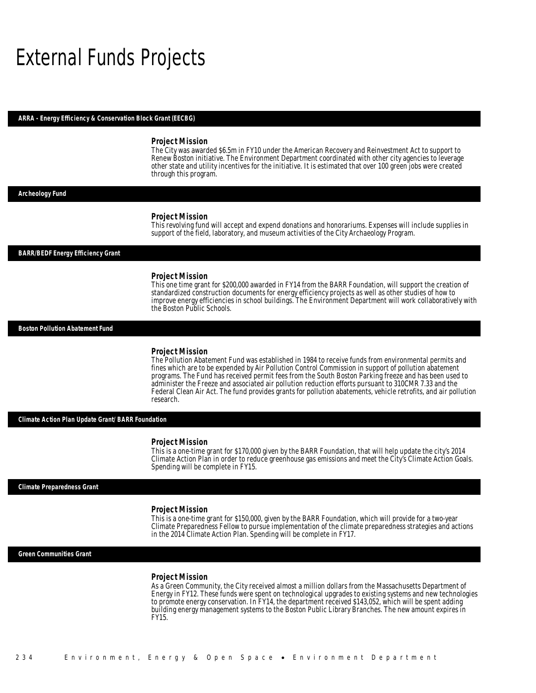## External Funds Projects

#### *ARRA - Energy Efficiency & Conservation Block Grant (EECBG)*

#### *Project Mission*

The City was awarded \$6.5m in FY10 under the American Recovery and Reinvestment Act to support to Renew Boston initiative. The Environment Department coordinated with other city agencies to leverage other state and utility incentives for the initiative. It is estimated that over 100 green jobs were created through this program.

#### *Archeology Fund*

#### *Project Mission*

This revolving fund will accept and expend donations and honorariums. Expenses will include supplies in support of the field, laboratory, and museum activities of the City Archaeology Program.

#### *BARR/BEDF Energy Efficiency Grant*

#### *Project Mission*

This one time grant for \$200,000 awarded in FY14 from the BARR Foundation, will support the creation of standardized construction documents for energy efficiency projects as well as other studies of how to improve energy efficiencies in school buildings. The Environment Department will work collaboratively with the Boston Public Schools.

#### *Boston Pollution Abatement Fund*

### *Project Mission*

The Pollution Abatement Fund was established in 1984 to receive funds from environmental permits and fines which are to be expended by Air Pollution Control Commission in support of pollution abatement programs. The Fund has received permit fees from the South Boston Parking freeze and has been used to administer the Freeze and associated air pollution reduction efforts pursuant to 310CMR 7.33 and the Federal Clean Air Act. The fund provides grants for pollution abatements, vehicle retrofits, and air pollution research.

*Climate Action Plan Update Grant/ BARR Foundation* 

#### *Project Mission*

This is a one-time grant for \$170,000 given by the BARR Foundation, that will help update the city's 2014 Climate Action Plan in order to reduce greenhouse gas emissions and meet the City's Climate Action Goals. Spending will be complete in FY15.

*Climate Preparedness Grant* 

### *Project Mission*

This is a one-time grant for \$150,000, given by the BARR Foundation, which will provide for a two-year Climate Preparedness Fellow to pursue implementation of the climate preparedness strategies and actions in the 2014 Climate Action Plan. Spending will be complete in FY17.

*Green Communities Grant* 

#### *Project Mission*

As a Green Community, the City received almost a million dollars from the Massachusetts Department of Energy in FY12. These funds were spent on technological upgrades to existing systems and new technologies to promote energy conservation. In FY14, the department received \$143,052, which will be spent adding building energy management systems to the Boston Public Library Branches. The new amount expires in FY15.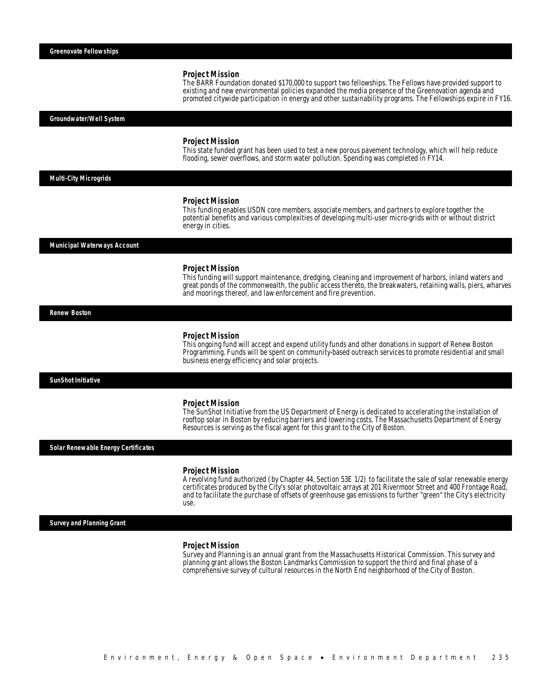#### *Project Mission*

Î

The BARR Foundation donated \$170,000 to support two fellowships. The Fellows have provided support to existing and new environmental policies expanded the media presence of the Greenovation agenda and promoted citywide participation in energy and other sustainability programs. The Fellowships expire in FY16.

*Groundwater/Well System* 

#### *Project Mission*

This state funded grant has been used to test a new porous pavement technology, which will help reduce flooding, sewer overflows, and storm water pollution. Spending was completed in FY14.

#### *Multi-City Microgrids*

#### *Project Mission*

This funding enables USDN core members, associate members, and partners to explore together the potential benefits and various complexities of developing multi-user micro-grids with or without district energy in cities.

### *Municipal Waterways Account*

#### *Project Mission*

This funding will support maintenance, dredging, cleaning and improvement of harbors, inland waters and great ponds of the commonwealth, the public access thereto, the breakwaters, retaining walls, piers, wharves and moorings thereof, and law enforcement and fire prevention.

*Renew Boston* 

#### *Project Mission*

This ongoing fund will accept and expend utility funds and other donations in support of Renew Boston Programming. Funds will be spent on community-based outreach services to promote residential and small business energy efficiency and solar projects.

*SunShot Initiative* 

#### *Project Mission*

The SunShot Initiative from the US Department of Energy is dedicated to accelerating the installation of rooftop solar in Boston by reducing barriers and lowering costs. The Massachusetts Department of Energy Resources is serving as the fiscal agent for this grant to the City of Boston.

*Solar Renewable Energy Certificates* 

#### *Project Mission*

A revolving fund authorized (by Chapter 44, Section 53E 1/2) to facilitate the sale of solar renewable energy certificates produced by the City's solar photovoltaic arrays at 201 Rivermoor Street and 400 Frontage Road, and to facilitate the purchase of offsets of greenhouse gas emissions to further "green" the City's electricity use.

*Survey and Planning Grant* 

### *Project Mission*

Survey and Planning is an annual grant from the Massachusetts Historical Commission. This survey and planning grant allows the Boston Landmarks Commission to support the third and final phase of a comprehensive survey of cultural resources in the North End neighborhood of the City of Boston.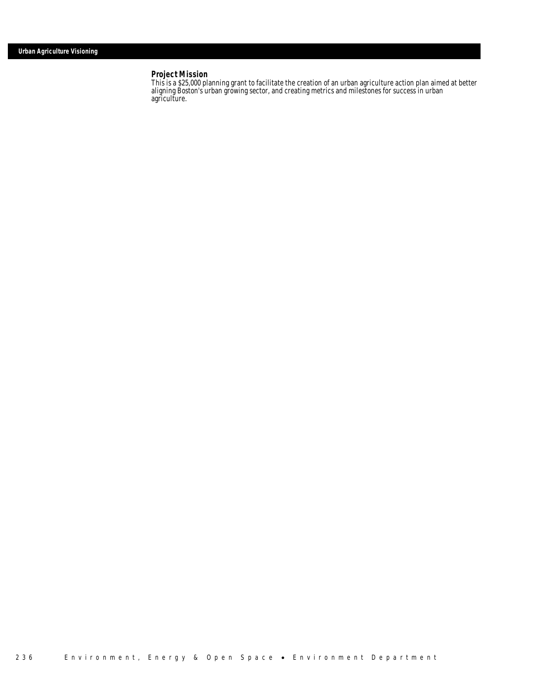### *Project Mission*

This is a \$25,000 planning grant to facilitate the creation of an urban agriculture action plan aimed at better aligning Boston's urban growing sector, and creating metrics and milestones for success in urban agriculture.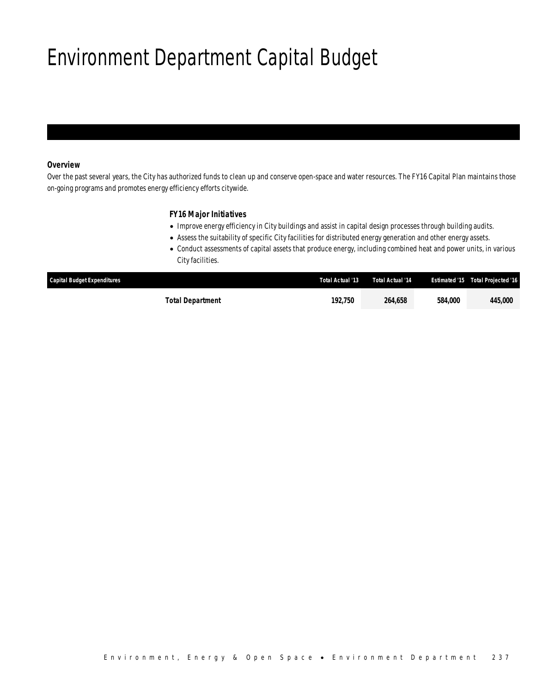# Environment Department Capital Budget

## *Overview*

Over the past several years, the City has authorized funds to clean up and conserve open-space and water resources. The FY16 Capital Plan maintains those on-going programs and promotes energy efficiency efforts citywide.

## *FY16 Major Initiatives*

- Improve energy efficiency in City buildings and assist in capital design processes through building audits.
- Assess the suitability of specific City facilities for distributed energy generation and other energy assets.
- Conduct assessments of capital assets that produce energy, including combined heat and power units, in various City facilities.

| <b>Capital Budget Expenditures</b> | Total Actual '13 | <b>Total Actual '14</b> |         | <b>Estimated '15 Total Projected '16</b> |
|------------------------------------|------------------|-------------------------|---------|------------------------------------------|
| Total Department                   | 192.750          | 264.658                 | 584,000 | 445,000                                  |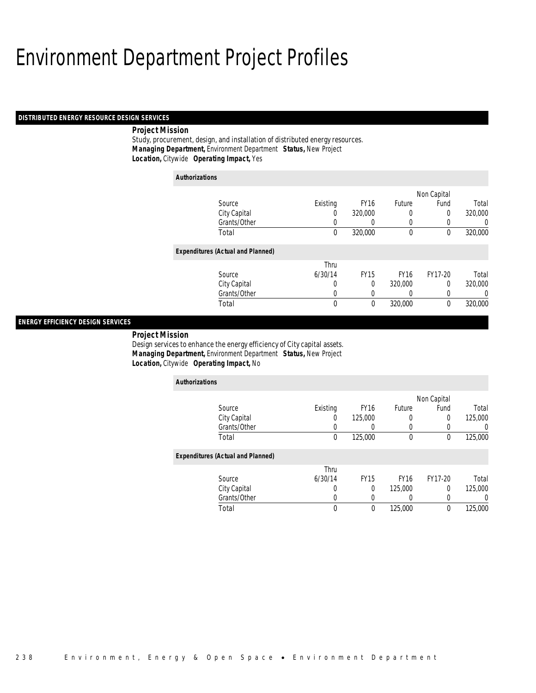## Environment Department Project Profiles

### *DISTRIBUTED ENERGY RESOURCE DESIGN SERVICES*

### *Project Mission*

Study, procurement, design, and installation of distributed energy resources. *Managing Department,* Environment Department *Status,* New Project *Location,* Citywide *Operating Impact,* Yes

| <b>Authorizations</b> |                                          |             |             |             |             |                |
|-----------------------|------------------------------------------|-------------|-------------|-------------|-------------|----------------|
|                       |                                          |             |             |             | Non Capital |                |
|                       | Source                                   | Existing    | <b>FY16</b> | Future      | Fund        | Total          |
|                       | City Capital                             | $\left($    | 320,000     | 0           | 0           | 320,000        |
|                       | Grants/Other                             | 0           | 0           | 0           |             | $\overline{0}$ |
|                       | Total                                    | $\mathbf 0$ | 320,000     | $\mathbf 0$ | 0           | 320,000        |
|                       | <b>Expenditures (Actual and Planned)</b> |             |             |             |             |                |
|                       |                                          | Thru        |             |             |             |                |
|                       | Source                                   | 6/30/14     | <b>FY15</b> | <b>FY16</b> | FY17-20     | Total          |
|                       | City Capital                             | 0           | 0           | 320,000     | 0           | 320,000        |
|                       | Grants/Other                             | 0           | 0           | 0           | 0           | 0              |
|                       | Total                                    | 0           | 0           | 320,000     | $\theta$    | 320,000        |

### *ENERGY EFFICIENCY DESIGN SERVICES*

*Project Mission* 

Design services to enhance the energy efficiency of City capital assets. *Managing Department,* Environment Department *Status,* New Project *Location,* Citywide *Operating Impact,* No

| <b>Authorizations</b>                    |          |             |             |             |         |
|------------------------------------------|----------|-------------|-------------|-------------|---------|
|                                          |          |             |             | Non Capital |         |
| Source                                   | Existing | <b>FY16</b> | Future      | Fund        | Total   |
| City Capital                             | 0        | 125,000     | 0           | 0           | 125,000 |
| Grants/Other                             |          |             |             | 0           | 0       |
| Total                                    | 0        | 125,000     | 0           | 0           | 125,000 |
| <b>Expenditures (Actual and Planned)</b> |          |             |             |             |         |
|                                          | Thru     |             |             |             |         |
| Source                                   | 6/30/14  | <b>FY15</b> | <b>FY16</b> | FY17-20     | Total   |
| City Capital                             | 0        | 0           | 125,000     | $\Omega$    | 125,000 |
| Grants/Other                             | 0        |             | 0           | 0           | 0       |
| Total                                    | 0        | 0           | 125,000     | 0           | 125,000 |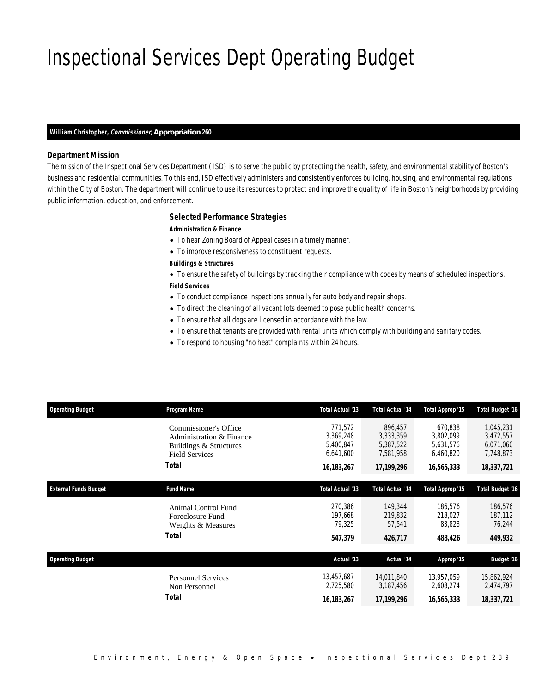# Inspectional Services Dept Operating Budget

### *William Christopher, Commissioner, Appropriation 260*

### *Department Mission*

The mission of the Inspectional Services Department (ISD) is to serve the public by protecting the health, safety, and environmental stability of Boston's business and residential communities. To this end, ISD effectively administers and consistently enforces building, housing, and environmental regulations within the City of Boston. The department will continue to use its resources to protect and improve the quality of life in Boston's neighborhoods by providing public information, education, and enforcement.

### *Selected Performance Strategies*

*Administration & Finance* 

- To hear Zoning Board of Appeal cases in a timely manner.
- To improve responsiveness to constituent requests.

#### *Buildings & Structures*

• To ensure the safety of buildings by tracking their compliance with codes by means of scheduled inspections. *Field Services* 

- To conduct compliance inspections annually for auto body and repair shops.
- To direct the cleaning of all vacant lots deemed to pose public health concerns.
- To ensure that all dogs are licensed in accordance with the law.
- To ensure that tenants are provided with rental units which comply with building and sanitary codes.
- To respond to housing "no heat" complaints within 24 hours.

| <b>Operating Budget</b>      | Program Name                                                                                         | Total Actual '13                               | <b>Total Actual '14</b>                        | Total Approp '15                               | <b>Total Budget '16</b>                          |
|------------------------------|------------------------------------------------------------------------------------------------------|------------------------------------------------|------------------------------------------------|------------------------------------------------|--------------------------------------------------|
|                              | Commissioner's Office<br>Administration & Finance<br>Buildings & Structures<br><b>Field Services</b> | 771,572<br>3.369.248<br>5,400,847<br>6,641,600 | 896,457<br>3,333,359<br>5,387,522<br>7,581,958 | 670.838<br>3.802.099<br>5,631,576<br>6,460,820 | 1,045,231<br>3,472,557<br>6,071,060<br>7,748,873 |
|                              | <b>Total</b>                                                                                         | 16, 183, 267                                   | 17,199,296                                     | 16,565,333                                     | 18,337,721                                       |
| <b>External Funds Budget</b> | <b>Fund Name</b>                                                                                     | Total Actual '13                               | <b>Total Actual '14</b>                        | Total Approp '15                               | <b>Total Budget '16</b>                          |
|                              | Animal Control Fund<br>Foreclosure Fund<br>Weights & Measures                                        | 270,386<br>197,668<br>79,325                   | 149,344<br>219,832<br>57,541                   | 186,576<br>218,027<br>83,823                   | 186,576<br>187,112<br>76,244                     |
|                              | Total                                                                                                | 547,379                                        | 426,717                                        | 488,426                                        | 449,932                                          |
| <b>Operating Budget</b>      |                                                                                                      | Actual '13                                     | Actual '14                                     | Approp '15                                     | <b>Budget '16</b>                                |
|                              | <b>Personnel Services</b><br>Non Personnel                                                           | 13,457,687<br>2,725,580                        | 14.011.840<br>3,187,456                        | 13.957.059<br>2,608,274                        | 15,862,924<br>2,474,797                          |
|                              | <b>Total</b>                                                                                         | 16,183,267                                     | 17,199,296                                     | 16,565,333                                     | 18,337,721                                       |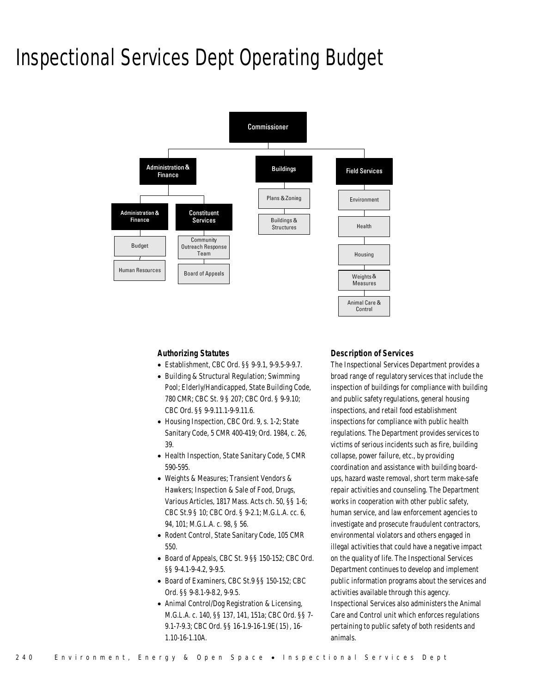## Inspectional Services Dept Operating Budget



### *Authorizing Statutes*

- Establishment, CBC Ord. §§ 9-9.1, 9-9.5-9-9.7.
- Building & Structural Regulation; Swimming Pool; Elderly/Handicapped, State Building Code, 780 CMR; CBC St. 9 § 207; CBC Ord. § 9-9.10; CBC Ord. §§ 9-9.11.1-9-9.11.6.
- Housing Inspection, CBC Ord. 9, s. 1-2; State Sanitary Code, 5 CMR 400-419; Ord. 1984, c. 26, 39.
- Health Inspection, State Sanitary Code, 5 CMR 590-595.
- Weights & Measures; Transient Vendors & Hawkers; Inspection & Sale of Food, Drugs, Various Articles, 1817 Mass. Acts ch. 50, §§ 1-6; CBC St.9 § 10; CBC Ord. § 9-2.1; M.G.L.A. cc. 6, 94, 101; M.G.L.A. c. 98, § 56.
- Rodent Control, State Sanitary Code, 105 CMR 550.
- Board of Appeals, CBC St. 9 §§ 150-152; CBC Ord. §§ 9-4.1-9-4.2, 9-9.5.
- Board of Examiners, CBC St.9 §§ 150-152; CBC Ord. §§ 9-8.1-9-8.2, 9-9.5.
- Animal Control/Dog Registration & Licensing, M.G.L.A. c. 140, §§ 137, 141, 151a; CBC Ord. §§ 7- 9.1-7-9.3; CBC Ord. §§ 16-1.9-16-1.9E(15), 16- 1.10-16-1.10A.

## *Description of Services*

The Inspectional Services Department provides a broad range of regulatory services that include the inspection of buildings for compliance with building and public safety regulations, general housing inspections, and retail food establishment inspections for compliance with public health regulations. The Department provides services to victims of serious incidents such as fire, building collapse, power failure, etc., by providing coordination and assistance with building boardups, hazard waste removal, short term make-safe repair activities and counseling. The Department works in cooperation with other public safety, human service, and law enforcement agencies to investigate and prosecute fraudulent contractors, environmental violators and others engaged in illegal activities that could have a negative impact on the quality of life. The Inspectional Services Department continues to develop and implement public information programs about the services and activities available through this agency. Inspectional Services also administers the Animal Care and Control unit which enforces regulations pertaining to public safety of both residents and animals.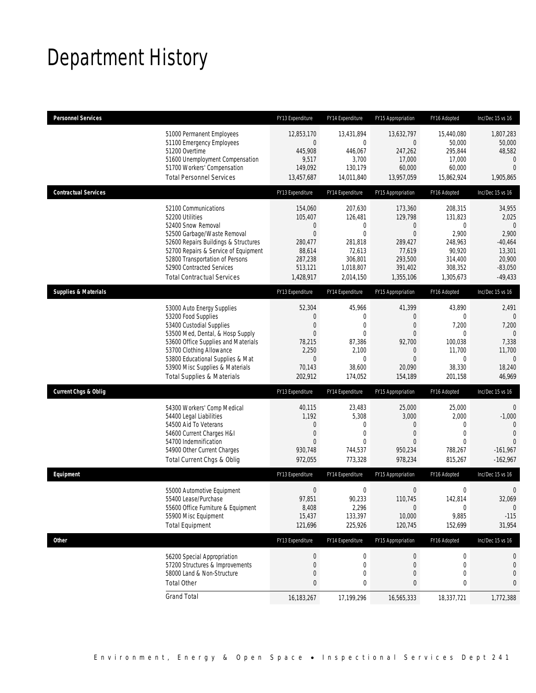# Department History

| <b>Personnel Services</b>                                                 |                                                                                                                                                                                                                                                   | FY13 Expenditure                                                                                            | FY14 Expenditure                                                                       | FY15 Appropriation                                                                                         | FY16 Adopted                                                                                           | Inc/Dec 15 vs 16                                                                                      |
|---------------------------------------------------------------------------|---------------------------------------------------------------------------------------------------------------------------------------------------------------------------------------------------------------------------------------------------|-------------------------------------------------------------------------------------------------------------|----------------------------------------------------------------------------------------|------------------------------------------------------------------------------------------------------------|--------------------------------------------------------------------------------------------------------|-------------------------------------------------------------------------------------------------------|
| 51200 Overtime                                                            | 51000 Permanent Employees<br>51100 Emergency Employees<br>51600 Unemployment Compensation<br>51700 Workers' Compensation<br><b>Total Personnel Services</b>                                                                                       | 12,853,170<br>$\overline{0}$<br>445,908<br>9,517<br>149,092<br>13,457,687                                   | 13,431,894<br>$\mathbf 0$<br>446,067<br>3,700<br>130,179<br>14,011,840                 | 13,632,797<br>0<br>247,262<br>17,000<br>60,000<br>13,957,059                                               | 15,440,080<br>50,000<br>295,844<br>17,000<br>60,000<br>15,862,924                                      | 1,807,283<br>50,000<br>48,582<br>$\mathbf{0}$<br>$\Omega$<br>1,905,865                                |
| <b>Contractual Services</b>                                               |                                                                                                                                                                                                                                                   | FY13 Expenditure                                                                                            | FY14 Expenditure                                                                       | FY15 Appropriation                                                                                         | FY16 Adopted                                                                                           | Inc/Dec 15 vs 16                                                                                      |
| 52100 Communications<br>52200 Utilities<br>52400 Snow Removal             | 52500 Garbage/Waste Removal<br>52600 Repairs Buildings & Structures<br>52700 Repairs & Service of Equipment<br>52800 Transportation of Persons<br>52900 Contracted Services<br><b>Total Contractual Services</b>                                  | 154,060<br>105,407<br>$\mathbf 0$<br>$\overline{0}$<br>280,477<br>88,614<br>287,238<br>513,121<br>1,428,917 | 207,630<br>126,481<br>0<br>0<br>281,818<br>72,613<br>306,801<br>1,018,807<br>2,014,150 | 173,360<br>129,798<br>$\mathbf 0$<br>$\mathbf{0}$<br>289,427<br>77,619<br>293,500<br>391,402<br>1,355,106  | 208,315<br>131.823<br>$\mathbf 0$<br>2,900<br>248,963<br>90,920<br>314,400<br>308,352<br>1,305,673     | 34,955<br>2,025<br>$\overline{0}$<br>2,900<br>$-40,464$<br>13,301<br>20,900<br>$-83,050$<br>$-49,433$ |
| <b>Supplies &amp; Materials</b>                                           |                                                                                                                                                                                                                                                   | FY13 Expenditure                                                                                            | FY14 Expenditure                                                                       | FY15 Appropriation                                                                                         | FY16 Adopted                                                                                           | Inc/Dec 15 vs 16                                                                                      |
| 53200 Food Supplies<br>53400 Custodial Supplies                           | 53000 Auto Energy Supplies<br>53500 Med, Dental, & Hosp Supply<br>53600 Office Supplies and Materials<br>53700 Clothing Allowance<br>53800 Educational Supplies & Mat<br>53900 Misc Supplies & Materials<br><b>Total Supplies &amp; Materials</b> | 52,304<br>0<br>$\overline{0}$<br>$\overline{0}$<br>78,215<br>2,250<br>$\mathbf 0$<br>70,143<br>202,912      | 45,966<br>0<br>0<br>0<br>87,386<br>2,100<br>0<br>38,600<br>174,052                     | 41,399<br>$\theta$<br>$\theta$<br>$\theta$<br>92,700<br>$\mathbf 0$<br>$\overline{0}$<br>20,090<br>154,189 | 43,890<br>$\mathbf 0$<br>7,200<br>$\mathbf 0$<br>100,038<br>11,700<br>$\mathbf 0$<br>38,330<br>201,158 | 2,491<br>$\mathbf{0}$<br>7,200<br>$\Omega$<br>7,338<br>11,700<br>$\mathbf{0}$<br>18,240<br>46,969     |
| <b>Current Chgs &amp; Oblig</b>                                           |                                                                                                                                                                                                                                                   | FY13 Expenditure                                                                                            | FY14 Expenditure                                                                       | FY15 Appropriation                                                                                         | FY16 Adopted                                                                                           | Inc/Dec 15 vs 16                                                                                      |
| 54400 Legal Liabilities<br>54500 Aid To Veterans<br>54700 Indemnification | 54300 Workers' Comp Medical<br>54600 Current Charges H&I<br>54900 Other Current Charges<br>Total Current Chgs & Oblig                                                                                                                             | 40,115<br>1,192<br>0<br>0<br>$\Omega$<br>930,748<br>972,055                                                 | 23,483<br>5,308<br>0<br>0<br>0<br>744,537<br>773,328                                   | 25,000<br>3,000<br>$\theta$<br>$\theta$<br>$\Omega$<br>950,234<br>978,234                                  | 25,000<br>2,000<br>$\mathbf{0}$<br>$\mathbf 0$<br>$\Omega$<br>788,267<br>815,267                       | 0<br>$-1,000$<br>$\Omega$<br>$\Omega$<br>$\theta$<br>$-161,967$<br>$-162,967$                         |
| Equipment                                                                 |                                                                                                                                                                                                                                                   | FY13 Expenditure                                                                                            | FY14 Expenditure                                                                       | FY15 Appropriation                                                                                         | FY16 Adopted                                                                                           | Inc/Dec 15 vs 16                                                                                      |
| 55400 Lease/Purchase<br>55900 Misc Equipment<br><b>Total Equipment</b>    | 55000 Automotive Equipment<br>55600 Office Furniture & Equipment                                                                                                                                                                                  | $\mathbf 0$<br>97,851<br>8,408<br>15,437<br>121,696                                                         | $\mathbf 0$<br>90,233<br>2,296<br>133,397<br>225,926                                   | $\boldsymbol{0}$<br>110,745<br>$\mathbf 0$<br>10,000<br>120,745                                            | $\mathbf 0$<br>142,814<br>$\mathbf 0$<br>9,885<br>152,699                                              | $\mathbf 0$<br>32,069<br>$\overline{0}$<br>$-115$<br>31,954                                           |
| Other                                                                     |                                                                                                                                                                                                                                                   | FY13 Expenditure                                                                                            | FY14 Expenditure                                                                       | FY15 Appropriation                                                                                         | FY16 Adopted                                                                                           | Inc/Dec 15 vs 16                                                                                      |
| <b>Total Other</b>                                                        | 56200 Special Appropriation<br>57200 Structures & Improvements<br>58000 Land & Non-Structure                                                                                                                                                      | $\boldsymbol{0}$<br>0<br>0<br>0                                                                             | $\boldsymbol{0}$<br>$\mathbf 0$<br>0<br>0                                              | $\boldsymbol{0}$<br>$\mathbf 0$<br>$\theta$<br>0                                                           | $\boldsymbol{0}$<br>$\mathbf 0$<br>$\mathbf 0$<br>0                                                    | 0<br>0<br>0<br>0                                                                                      |
| <b>Grand Total</b>                                                        |                                                                                                                                                                                                                                                   | 16,183,267                                                                                                  | 17,199,296                                                                             | 16,565,333                                                                                                 | 18,337,721                                                                                             | 1,772,388                                                                                             |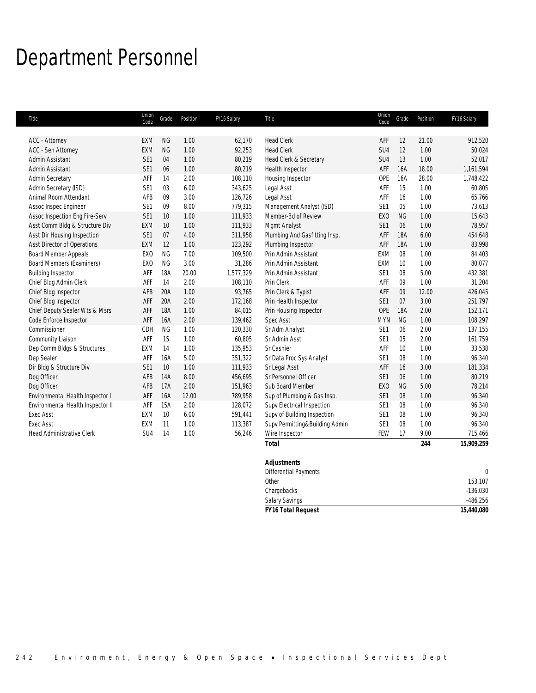# Department Personnel

| Title                             | Union<br>Code   | Grade      | Position | FY16 Salary | Title                          | Union<br>Code   | Grade      | Position | FY16 Salary |
|-----------------------------------|-----------------|------------|----------|-------------|--------------------------------|-----------------|------------|----------|-------------|
| <b>ACC - Attorney</b>             | <b>EXM</b>      | NG         | 1.00     | 62,170      | <b>Head Clerk</b>              | AFF             | 12         | 21.00    | 912,520     |
| <b>ACC - Sen Attorney</b>         | <b>EXM</b>      | NG         | 1.00     | 92,253      | <b>Head Clerk</b>              | SU4             | 12         | 1.00     | 50,024      |
| Admin Assistant                   | SE1             | 04         | 1.00     | 80,219      | Head Clerk & Secretary         | SU4             | 13         | 1.00     | 52,017      |
| Admin Assistant                   | SE <sub>1</sub> | 06         | 1.00     | 80,219      | Health Inspector               | AFF             | 16A        | 18.00    | 1,161,594   |
| Admin Secretary                   | AFF             | 14         | 2.00     | 108,110     | Housing Inspector              | OPE             | 16A        | 28.00    | 1,748,422   |
| Admin Secretary (ISD)             | SE <sub>1</sub> | 03         | 6.00     | 343,625     | Legal Asst                     | AFF             | 15         | 1.00     | 60,805      |
| Animal Room Attendant             | AFB             | 09         | 3.00     | 126,726     | Legal Asst                     | AFF             | 16         | 1.00     | 65,766      |
| Assoc Inspec Engineer             | SE <sub>1</sub> | 09         | 8.00     | 779,315     | Management Analyst (ISD)       | SE1             | 05         | 1.00     | 73,613      |
| Assoc Inspection Eng Fire-Serv    | SE1             | 10         | 1.00     | 111,933     | Member-Bd of Review            | <b>EXO</b>      | <b>NG</b>  | 1.00     | 15,643      |
| Asst Comm Bldg & Structure Div    | <b>EXM</b>      | 10         | 1.00     | 111,933     | Mgmt Analyst                   | SE <sub>1</sub> | 06         | 1.00     | 78,957      |
| Asst Dir Housing Inspection       | SE1             | 07         | 4.00     | 311,958     | Plumbing And Gasfitting Insp.  | AFF             | <b>18A</b> | 6.00     | 454,648     |
| Asst Director of Operations       | <b>EXM</b>      | 12         | 1.00     | 123,292     | Plumbing Inspector             | AFF             | <b>18A</b> | 1.00     | 83,998      |
| Board Member Appeals              | EX <sub>0</sub> | <b>NG</b>  | 7.00     | 109,500     | Prin Admin Assistant           | EXM             | 08         | 1.00     | 84,403      |
| Board Members (Examiners)         | EX <sub>0</sub> | <b>NG</b>  | 3.00     | 31,286      | Prin Admin Assistant           | EXM             | 10         | 1.00     | 80,077      |
| <b>Building Inspector</b>         | AFF             | <b>18A</b> | 20.00    | 1,577,329   | Prin Admin Assistant           | SE <sub>1</sub> | 08         | 5.00     | 432,381     |
| Chief Bldg Admin Clerk            | AFF             | 14         | 2.00     | 108,110     | Prin Clerk                     | AFF             | 09         | 1.00     | 31,204      |
| Chief Bldg Inspector              | AFB             | 20A        | 1.00     | 93,765      | Prin Clerk & Typist            | AFF             | 09         | 12.00    | 426,045     |
| Chief Bldg Inspector              | AFF             | 20A        | 2.00     | 172,168     | Prin Health Inspector          | SE <sub>1</sub> | 07         | 3.00     | 251,797     |
| Chief Deputy Sealer Wts & Msrs    | AFF             | <b>18A</b> | 1.00     | 84,015      | Prin Housing Inspector         | OPE             | <b>18A</b> | 2.00     | 152,171     |
| Code Enforce Inspector            | AFF             | <b>16A</b> | 2.00     | 139,462     | <b>Spec Asst</b>               | <b>MYN</b>      | NG         | 1.00     | 108,297     |
| Commissioner                      | CDH             | <b>NG</b>  | 1.00     | 120,330     | Sr Adm Analyst                 | SE <sub>1</sub> | 06         | 2.00     | 137,155     |
| Community Liaison                 | AFF             | 15         | 1.00     | 60,805      | Sr Admin Asst                  | SE <sub>1</sub> | 05         | 2.00     | 161,759     |
| Dep Comm Bldgs & Structures       | EXM             | 14         | 1.00     | 135,953     | Sr Cashier                     | AFF             | 10         | 1.00     | 33,538      |
| Dep Sealer                        | AFF             | 16A        | 5.00     | 351,322     | Sr Data Proc Sys Analyst       | SE1             | 08         | 1.00     | 96,340      |
| Dir Bldg & Structure Div          | SE1             | 10         | 1.00     | 111,933     | Sr Legal Asst                  | AFF             | 16         | 3.00     | 181,334     |
| Dog Officer                       | AFB             | 14A        | 8.00     | 456,695     | Sr Personnel Officer           | SE <sub>1</sub> | 06         | 1.00     | 80,219      |
| Dog Officer                       | AFB             | 17A        | 2.00     | 151,963     | Sub Board Member               | EX <sub>0</sub> | <b>NG</b>  | 5.00     | 78,214      |
| Environmental Health Inspector I  | AFF             | <b>16A</b> | 12.00    | 789,958     | Sup of Plumbing & Gas Insp.    | SE1             | 08         | 1.00     | 96,340      |
| Environmental Health Inspector II | AFF             | 15A        | 2.00     | 128,072     | Supv Electrical Inspection     | SE <sub>1</sub> | 08         | 1.00     | 96,340      |
| <b>Exec Asst</b>                  | <b>EXM</b>      | 10         | 6.00     | 591,441     | Supv of Building Inspection    | SE <sub>1</sub> | 08         | 1.00     | 96,340      |
| <b>Exec Asst</b>                  | <b>EXM</b>      | 11         | 1.00     | 113.387     | Supv Permitting&Building Admin | SE <sub>1</sub> | 08         | 1.00     | 96,340      |
| <b>Head Administrative Clerk</b>  | SU <sub>4</sub> | 14         | 1.00     | 56,246      | Wire Inspector                 | FEW             | 17         | 9.00     | 715,466     |
|                                   |                 |            |          |             | <b>Total</b>                   |                 |            | 244      | 15,909,259  |
|                                   |                 |            |          |             | <b>Adjustments</b>             |                 |            |          |             |

| <b>FY16 Total Request</b>    | 15,440,080 |
|------------------------------|------------|
| <b>Salary Savings</b>        | -486.256   |
| Chargebacks                  | $-136.030$ |
| Other                        | 153.107    |
| <b>Differential Payments</b> | $\Omega$   |
| <b>Aujustificitis</b>        |            |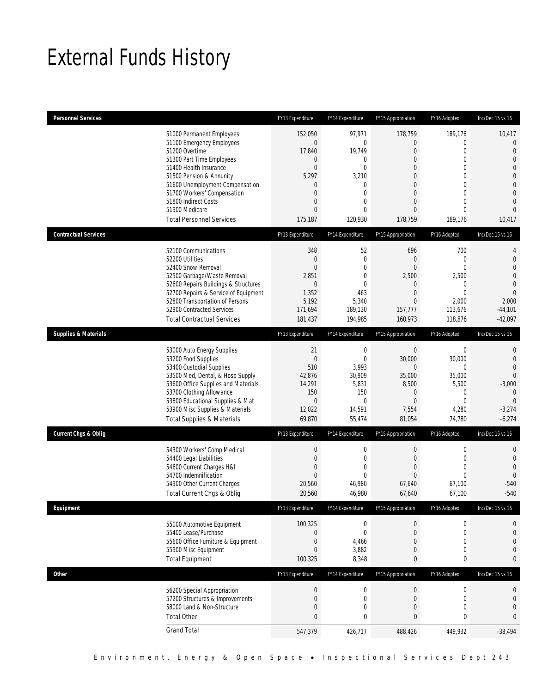# External Funds History

| <b>Personnel Services</b>       |                                                                                                                                                                                                                                                                                                            | FY13 Expenditure                                                                                                    | FY14 Expenditure                                                                                                          | FY15 Appropriation                                                                                                                                                        | FY16 Adopted                                                                                                                                          | Inc/Dec 15 vs 16                                                                                                                                                        |
|---------------------------------|------------------------------------------------------------------------------------------------------------------------------------------------------------------------------------------------------------------------------------------------------------------------------------------------------------|---------------------------------------------------------------------------------------------------------------------|---------------------------------------------------------------------------------------------------------------------------|---------------------------------------------------------------------------------------------------------------------------------------------------------------------------|-------------------------------------------------------------------------------------------------------------------------------------------------------|-------------------------------------------------------------------------------------------------------------------------------------------------------------------------|
|                                 | 51000 Permanent Employees<br>51100 Emergency Employees<br>51200 Overtime<br>51300 Part Time Employees<br>51400 Health Insurance<br>51500 Pension & Annunity<br>51600 Unemployment Compensation<br>51700 Workers' Compensation<br>51800 Indirect Costs<br>51900 Medicare<br><b>Total Personnel Services</b> | 152,050<br>$\theta$<br>17,840<br>$\mathbf 0$<br>$\overline{0}$<br>5,297<br>0<br>0<br>0<br>$\overline{0}$<br>175,187 | 97,971<br>0<br>19,749<br>$\mathbf{0}$<br>$\overline{0}$<br>3,210<br>0<br>$\overline{0}$<br>0<br>$\overline{0}$<br>120,930 | 178,759<br>0<br>$\boldsymbol{0}$<br>$\overline{0}$<br>$\overline{0}$<br>$\overline{0}$<br>$\overline{0}$<br>$\overline{0}$<br>$\overline{0}$<br>$\overline{0}$<br>178,759 | 189,176<br>0<br>$\mathbf 0$<br>$\mathbf{0}$<br>$\mathbf{0}$<br>$\mathbf 0$<br>$\mathbf{0}$<br>$\mathbf{0}$<br>$\mathbf{0}$<br>$\mathbf{0}$<br>189,176 | 10,417<br>$\theta$<br>$\mathbf{0}$<br>$\overline{0}$<br>$\overline{0}$<br>$\overline{0}$<br>$\mathbf 0$<br>$\overline{0}$<br>$\overline{0}$<br>$\overline{0}$<br>10,417 |
| <b>Contractual Services</b>     |                                                                                                                                                                                                                                                                                                            | FY13 Expenditure                                                                                                    | FY14 Expenditure                                                                                                          | FY15 Appropriation                                                                                                                                                        | FY16 Adopted                                                                                                                                          | Inc/Dec 15 vs 16                                                                                                                                                        |
|                                 | 52100 Communications<br>52200 Utilities<br>52400 Snow Removal<br>52500 Garbage/Waste Removal<br>52600 Repairs Buildings & Structures<br>52700 Repairs & Service of Equipment<br>52800 Transportation of Persons<br>52900 Contracted Services<br><b>Total Contractual Services</b>                          | 348<br>$\theta$<br>$\overline{0}$<br>2,851<br>$\theta$<br>1,352<br>5,192<br>171,694<br>181.437                      | 52<br>$\mathbf 0$<br>$\overline{0}$<br>0<br>$\mathbf{0}$<br>463<br>5,340<br>189,130<br>194,985                            | 696<br>$\overline{0}$<br>$\overline{0}$<br>2,500<br>0<br>$\boldsymbol{0}$<br>$\overline{0}$<br>157,777<br>160,973                                                         | 700<br>$\mathbf 0$<br>$\mathbf{0}$<br>2,500<br>0<br>$\mathbf 0$<br>2,000<br>113,676<br>118,876                                                        | 4<br>$\mathbf{0}$<br>$\overline{0}$<br>$\overline{0}$<br>$\mathbf 0$<br>$\overline{0}$<br>2,000<br>$-44,101$<br>$-42,097$                                               |
| <b>Supplies &amp; Materials</b> |                                                                                                                                                                                                                                                                                                            | FY13 Expenditure                                                                                                    | FY14 Expenditure                                                                                                          | FY15 Appropriation                                                                                                                                                        | FY16 Adopted                                                                                                                                          | Inc/Dec 15 vs 16                                                                                                                                                        |
|                                 | 53000 Auto Energy Supplies<br>53200 Food Supplies<br>53400 Custodial Supplies<br>53500 Med, Dental, & Hosp Supply<br>53600 Office Supplies and Materials<br>53700 Clothing Allowance<br>53800 Educational Supplies & Mat<br>53900 Misc Supplies & Materials<br><b>Total Supplies &amp; Materials</b>       | 21<br>$\theta$<br>510<br>42,876<br>14,291<br>150<br>$\theta$<br>12,022<br>69,870                                    | $\boldsymbol{0}$<br>$\mathbf 0$<br>3,993<br>30,909<br>5,831<br>150<br>$\mathbf{0}$<br>14,591<br>55,474                    | $\boldsymbol{0}$<br>30,000<br>$\overline{0}$<br>35,000<br>8,500<br>$\mathbf 0$<br>$\overline{0}$<br>7,554<br>81,054                                                       | $\boldsymbol{0}$<br>30,000<br>$\mathbf{0}$<br>35,000<br>5,500<br>$\mathbf 0$<br>$\mathbf{0}$<br>4,280<br>74,780                                       | $\mathbf{0}$<br>$\mathbf{0}$<br>$\overline{0}$<br>$\overline{0}$<br>$-3,000$<br>$\mathbf{0}$<br>$\overline{0}$<br>$-3,274$<br>$-6,274$                                  |
| <b>Current Chgs &amp; Oblig</b> |                                                                                                                                                                                                                                                                                                            | FY13 Expenditure                                                                                                    | FY14 Expenditure                                                                                                          | FY15 Appropriation                                                                                                                                                        | FY16 Adopted                                                                                                                                          | Inc/Dec 15 vs 16                                                                                                                                                        |
|                                 | 54300 Workers' Comp Medical<br>54400 Legal Liabilities<br>54600 Current Charges H&I<br>54700 Indemnification<br>54900 Other Current Charges<br>Total Current Chgs & Oblig                                                                                                                                  | $\theta$<br>$\boldsymbol{0}$<br>$\overline{0}$<br>$\overline{0}$<br>20,560<br>20,560                                | 0<br>0<br>$\overline{0}$<br>0<br>46,980<br>46,980                                                                         | $\boldsymbol{0}$<br>$\mathbf 0$<br>$\overline{0}$<br>$\mathbf{0}$<br>67,640<br>67,640                                                                                     | $\boldsymbol{0}$<br>$\mathbf 0$<br>$\mathbf{0}$<br>$\mathbf 0$<br>67,100<br>67,100                                                                    | $\mathbf 0$<br>$\mathbf 0$<br>$\overline{0}$<br>$\overline{0}$<br>$-540$<br>$-540$                                                                                      |
| Equipment                       |                                                                                                                                                                                                                                                                                                            | FY13 Expenditure                                                                                                    | FY14 Expenditure                                                                                                          | FY15 Appropriation                                                                                                                                                        | FY16 Adopted                                                                                                                                          | Inc/Dec 15 vs 16                                                                                                                                                        |
|                                 | 55000 Automotive Equipment<br>55400 Lease/Purchase<br>55600 Office Furniture & Equipment<br>55900 Misc Equipment<br><b>Total Equipment</b>                                                                                                                                                                 | 100,325<br>$\boldsymbol{0}$<br>$\boldsymbol{0}$<br>$\boldsymbol{0}$<br>100,325                                      | 0<br>$\boldsymbol{0}$<br>4,466<br>3,882<br>8,348                                                                          | 0<br>$\boldsymbol{0}$<br>$\overline{0}$<br>$\mathbf 0$<br>0                                                                                                               | $\boldsymbol{0}$<br>$\boldsymbol{0}$<br>$\mathbf 0$<br>$\mathbf 0$<br>$\bf{0}$                                                                        | 0<br>$\mathbf 0$<br>0<br>$\mathbf{0}$<br>$\bf{0}$                                                                                                                       |
| <b>Other</b>                    |                                                                                                                                                                                                                                                                                                            | FY13 Expenditure                                                                                                    | FY14 Expenditure                                                                                                          | FY15 Appropriation                                                                                                                                                        | FY16 Adopted                                                                                                                                          | Inc/Dec 15 vs 16                                                                                                                                                        |
|                                 | 56200 Special Appropriation<br>57200 Structures & Improvements<br>58000 Land & Non-Structure<br><b>Total Other</b>                                                                                                                                                                                         | $\boldsymbol{0}$<br>$\boldsymbol{0}$<br>$\boldsymbol{0}$<br>0                                                       | $\boldsymbol{0}$<br>$\boldsymbol{0}$<br>0<br>0                                                                            | $\boldsymbol{0}$<br>$\boldsymbol{0}$<br>$\boldsymbol{0}$<br>$\bf{0}$                                                                                                      | $\boldsymbol{0}$<br>$\boldsymbol{0}$<br>$\mathbf 0$<br>$\pmb{0}$                                                                                      | 0<br>0<br>$\overline{0}$<br>$\bf{0}$                                                                                                                                    |
|                                 | <b>Grand Total</b>                                                                                                                                                                                                                                                                                         | 547,379                                                                                                             | 426,717                                                                                                                   | 488,426                                                                                                                                                                   | 449,932                                                                                                                                               | $-38,494$                                                                                                                                                               |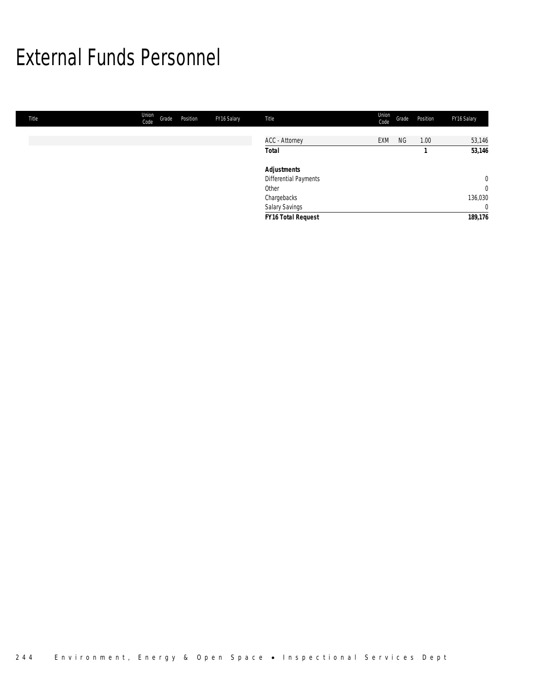## External Funds Personnel

| Title | Union<br>Code | Grade | Position | FY16 Salary | Title                 | Union<br>Code | Grade | Position | FY16 Salary    |
|-------|---------------|-------|----------|-------------|-----------------------|---------------|-------|----------|----------------|
|       |               |       |          |             |                       |               |       |          |                |
|       |               |       |          |             | <b>ACC</b> - Attorney | EXM           | NG    | 1.00     | 53,146         |
|       |               |       |          |             | <b>Total</b>          |               |       |          | 53,146         |
|       |               |       |          |             | <b>Adjustments</b>    |               |       |          |                |
|       |               |       |          |             | Differential Payments |               |       |          | $\overline{0}$ |
|       |               |       |          |             | Other                 |               |       |          | $\overline{0}$ |
|       |               |       |          |             | Chargebacks           |               |       |          | 136,030        |
|       |               |       |          |             | Salary Savings        |               |       |          | $\overline{0}$ |
|       |               |       |          |             | FY16 Total Request    |               |       |          | 189,176        |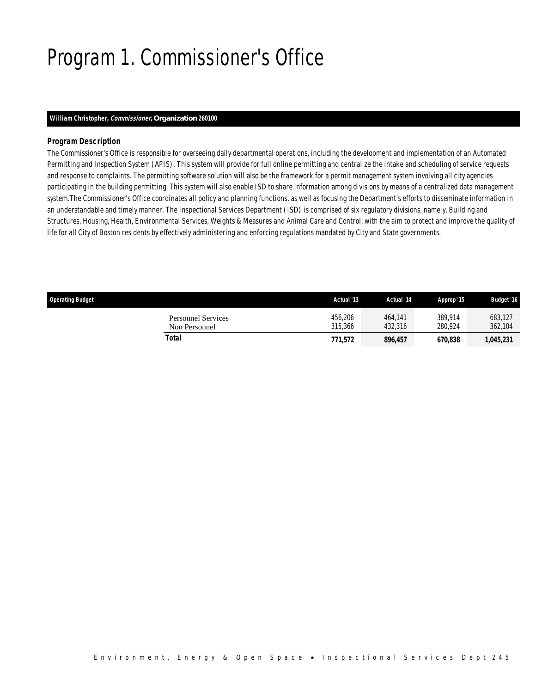# Program 1. Commissioner's Office

### *William Christopher, Commissioner, Organization 260100*

## *Program Description*

The Commissioner's Office is responsible for overseeing daily departmental operations, including the development and implementation of an Automated Permitting and Inspection System (APIS). This system will provide for full online permitting and centralize the intake and scheduling of service requests and response to complaints. The permitting software solution will also be the framework for a permit management system involving all city agencies participating in the building permitting. This system will also enable ISD to share information among divisions by means of a centralized data management system.The Commissioner's Office coordinates all policy and planning functions, as well as focusing the Department's efforts to disseminate information in an understandable and timely manner. The Inspectional Services Department (ISD) is comprised of six regulatory divisions, namely, Building and Structures, Housing, Health, Environmental Services, Weights & Measures and Animal Care and Control, with the aim to protect and improve the quality of life for all City of Boston residents by effectively administering and enforcing regulations mandated by City and State governments.

| <b>Operating Budget</b>                    | Actual '13         | Actual '14         | Approp '15         | <b>Budget '16</b>  |
|--------------------------------------------|--------------------|--------------------|--------------------|--------------------|
| <b>Personnel Services</b><br>Non Personnel | 456,206<br>315,366 | 464.141<br>432,316 | 389.914<br>280.924 | 683,127<br>362,104 |
| Total                                      | 771,572            | 896.457            | 670.838            | 1,045,231          |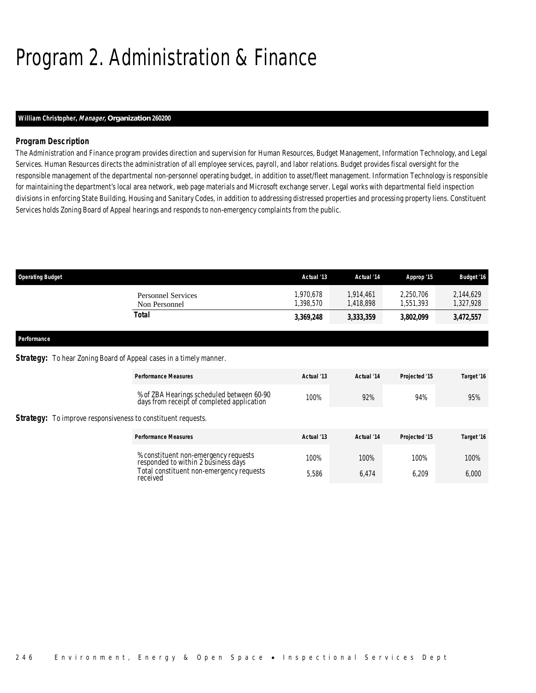# Program 2. Administration & Finance

## *William Christopher, Manager, Organization 260200*

## *Program Description*

The Administration and Finance program provides direction and supervision for Human Resources, Budget Management, Information Technology, and Legal Services. Human Resources directs the administration of all employee services, payroll, and labor relations. Budget provides fiscal oversight for the responsible management of the departmental non-personnel operating budget, in addition to asset/fleet management. Information Technology is responsible for maintaining the department's local area network, web page materials and Microsoft exchange server. Legal works with departmental field inspection divisions in enforcing State Building, Housing and Sanitary Codes, in addition to addressing distressed properties and processing property liens. Constituent Services holds Zoning Board of Appeal hearings and responds to non-emergency complaints from the public.

| <b>Operating Budget</b>                                                   |                                                                                         | Actual '13             | Actual '14             | Approp '15             | <b>Budget '16</b>      |
|---------------------------------------------------------------------------|-----------------------------------------------------------------------------------------|------------------------|------------------------|------------------------|------------------------|
|                                                                           | <b>Personnel Services</b><br>Non Personnel                                              | 1,970,678<br>1,398,570 | 1,914,461<br>1,418,898 | 2,250,706<br>1,551,393 | 2,144,629<br>1,327,928 |
|                                                                           | <b>Total</b>                                                                            | 3,369,248              | 3,333,359              | 3,802,099              | 3,472,557              |
| Performance                                                               |                                                                                         |                        |                        |                        |                        |
| <b>Strategy:</b> To hear Zoning Board of Appeal cases in a timely manner. |                                                                                         |                        |                        |                        |                        |
|                                                                           | <b>Performance Measures</b>                                                             | Actual '13             | Actual '14             | Projected '15          | Target '16             |
|                                                                           | % of ZBA Hearings scheduled between 60-90<br>days from receipt of completed application | 100%                   | 92%                    | 94%                    | 95%                    |
| <b>Strategy:</b> To improve responsiveness to constituent requests.       |                                                                                         |                        |                        |                        |                        |
|                                                                           | <b>Performance Measures</b>                                                             | Actual '13             | Actual '14             | Projected '15          | Target '16             |
|                                                                           | % constituent non-emergency requests<br>responded to within 2 business days             | 100%                   | 100%                   | 100%                   | 100%                   |
|                                                                           | Total constituent non-emergency requests<br>received                                    | 5,586                  | 6,474                  | 6,209                  | 6,000                  |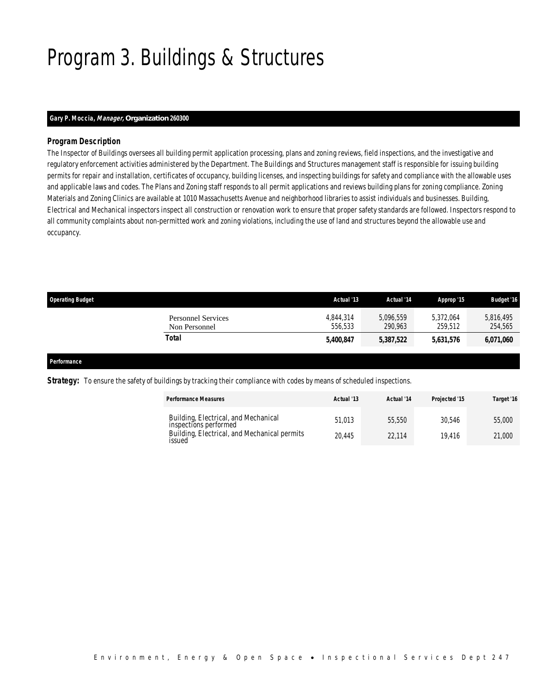# Program 3. Buildings & Structures

## *Gary P. Moccia, Manager, Organization 260300*

## *Program Description*

The Inspector of Buildings oversees all building permit application processing, plans and zoning reviews, field inspections, and the investigative and regulatory enforcement activities administered by the Department. The Buildings and Structures management staff is responsible for issuing building permits for repair and installation, certificates of occupancy, building licenses, and inspecting buildings for safety and compliance with the allowable uses and applicable laws and codes. The Plans and Zoning staff responds to all permit applications and reviews building plans for zoning compliance. Zoning Materials and Zoning Clinics are available at 1010 Massachusetts Avenue and neighborhood libraries to assist individuals and businesses. Building, Electrical and Mechanical inspectors inspect all construction or renovation work to ensure that proper safety standards are followed. Inspectors respond to all community complaints about non-permitted work and zoning violations, including the use of land and structures beyond the allowable use and occupancy.

| <b>Operating Budget</b>                    | Actual '13           | Actual '14           | Approp '15           | <b>Budget '16</b>    |
|--------------------------------------------|----------------------|----------------------|----------------------|----------------------|
| <b>Personnel Services</b><br>Non Personnel | 4.844.314<br>556.533 | 5.096.559<br>290.963 | 5.372.064<br>259.512 | 5,816,495<br>254,565 |
| Total                                      | 5,400,847            | 5,387,522            | 5,631,576            | 6,071,060            |

### *Performance*

*Strategy:* To ensure the safety of buildings by tracking their compliance with codes by means of scheduled inspections.

| <b>Performance Measures</b>                                   | Actual '13 | Actual '14 | Projected '15 | Target '16 |
|---------------------------------------------------------------|------------|------------|---------------|------------|
| Building, Electrical, and Mechanical<br>inspections performed | 51.013     | 55,550     | 30.546        | 55,000     |
| Building, Electrical, and Mechanical permits<br>issued        | 20.445     | 22.114     | 19.416        | 21,000     |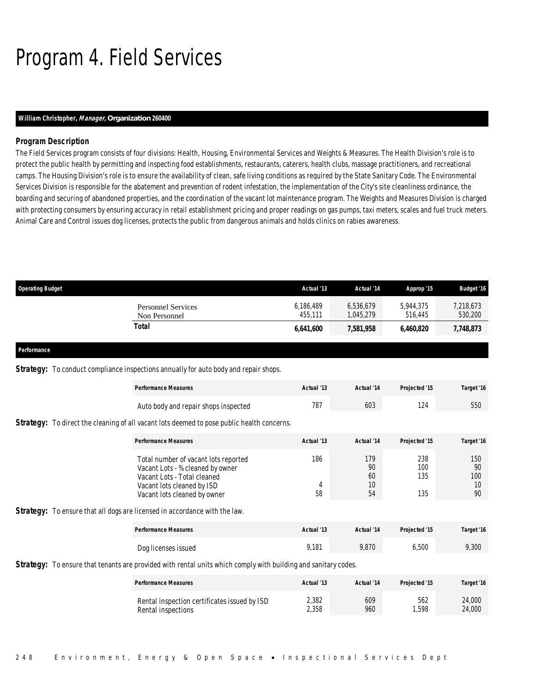# Program 4. Field Services

## *William Christopher, Manager, Organization 260400*

## *Program Description*

The Field Services program consists of four divisions: Health, Housing, Environmental Services and Weights & Measures. The Health Division's role is to protect the public health by permitting and inspecting food establishments, restaurants, caterers, health clubs, massage practitioners, and recreational camps. The Housing Division's role is to ensure the availability of clean, safe living conditions as required by the State Sanitary Code. The Environmental Services Division is responsible for the abatement and prevention of rodent infestation, the implementation of the City's site cleanliness ordinance, the boarding and securing of abandoned properties, and the coordination of the vacant lot maintenance program. The Weights and Measures Division is charged with protecting consumers by ensuring accuracy in retail establishment pricing and proper readings on gas pumps, taxi meters, scales and fuel truck meters. Animal Care and Control issues dog licenses, protects the public from dangerous animals and holds clinics on rabies awareness.

| <b>Operating Budget</b> |                                                                                                                       | Actual '13 | Actual '14 | Approp '15    | <b>Budget '16</b> |
|-------------------------|-----------------------------------------------------------------------------------------------------------------------|------------|------------|---------------|-------------------|
|                         | <b>Personnel Services</b>                                                                                             | 6,186,489  | 6,536,679  | 5,944,375     | 7,218,673         |
|                         | Non Personnel                                                                                                         | 455,111    | 1,045,279  | 516,445       | 530,200           |
|                         | <b>Total</b>                                                                                                          | 6,641,600  | 7,581,958  | 6,460,820     | 7,748,873         |
| Performance             |                                                                                                                       |            |            |               |                   |
|                         | <b>Strategy:</b> To conduct compliance inspections annually for auto body and repair shops.                           |            |            |               |                   |
|                         | <b>Performance Measures</b>                                                                                           | Actual '13 | Actual '14 | Projected '15 | Target '16        |
|                         | Auto body and repair shops inspected                                                                                  | 787        | 603        | 124           | 550               |
|                         | <b>Strategy:</b> To direct the cleaning of all vacant lots deemed to pose public health concerns.                     |            |            |               |                   |
|                         | <b>Performance Measures</b>                                                                                           | Actual '13 | Actual '14 | Projected '15 | Target '16        |
|                         | Total number of vacant lots reported<br>Vacant Lots - % cleaned by owner                                              | 186        | 179<br>90  | 238<br>100    | 150<br>90         |
|                         | Vacant Lots - Total cleaned                                                                                           |            | 60         | 135           | 100               |
|                         | Vacant lots cleaned by ISD<br>Vacant lots cleaned by owner                                                            | 4<br>58    | 10<br>54   | 135           | 10<br>90          |
|                         | <b>Strategy:</b> To ensure that all dogs are licensed in accordance with the law.                                     |            |            |               |                   |
|                         | <b>Performance Measures</b>                                                                                           | Actual '13 | Actual '14 | Projected '15 | Target '16        |
|                         | Dog licenses issued                                                                                                   | 9.181      | 9.870      | 6.500         | 9.300             |
|                         | <b>Strategy:</b> To ensure that tenants are provided with rental units which comply with building and sanitary codes. |            |            |               |                   |
|                         | <b>Performance Measures</b>                                                                                           | Actual '13 | Actual '14 | Projected '15 | Target '16        |

| <u>I chomance</u> measures                   | Aciuai IJ | Acual 17 | 1101 <del>00100</del> 10 | <i>Lalu</i> ci IV |
|----------------------------------------------|-----------|----------|--------------------------|-------------------|
| Rental inspection certificates issued by ISD | 2.382     | 609      | 562                      | 24,000            |
| Rental inspections                           | 2.358     | 960      | 1.598                    | 24,000            |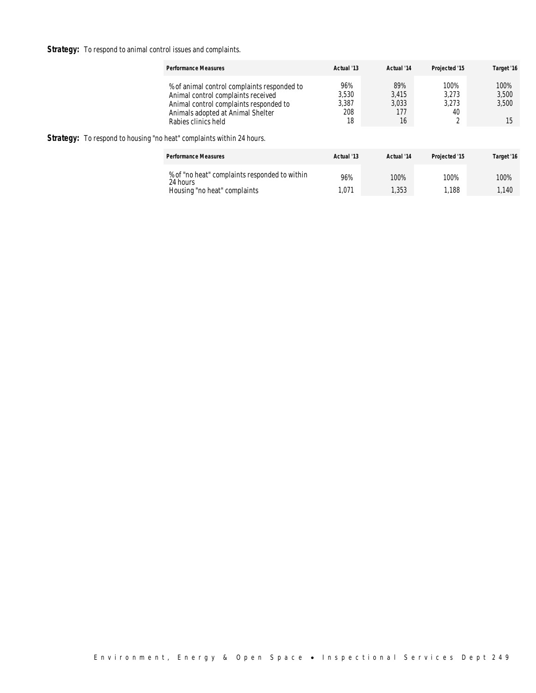**Strategy:** To respond to animal control issues and complaints.

|                                                                              | <b>Performance Measures</b>                                                                                                                                                             | Actual '13                         | Actual '14                         | Projected '15                | Target '16                   |
|------------------------------------------------------------------------------|-----------------------------------------------------------------------------------------------------------------------------------------------------------------------------------------|------------------------------------|------------------------------------|------------------------------|------------------------------|
| <b>Strategy:</b> To respond to housing "no heat" complaints within 24 hours. | % of animal control complaints responded to<br>Animal control complaints received<br>Animal control complaints responded to<br>Animals adopted at Animal Shelter<br>Rabies clinics held | 96%<br>3,530<br>3,387<br>208<br>18 | 89%<br>3,415<br>3,033<br>177<br>16 | 100%<br>3.273<br>3,273<br>40 | 100%<br>3,500<br>3,500<br>15 |
|                                                                              | <b>Performance Measures</b>                                                                                                                                                             | Actual '13                         | Actual '14                         | Projected '15                | Target '16                   |
|                                                                              | % of "no heat" complaints responded to within<br>24 hours<br>Housing "no heat" complaints                                                                                               | 96%<br>1,071                       | 100%<br>1,353                      | 100%<br>1.188                | 100%<br>1.140                |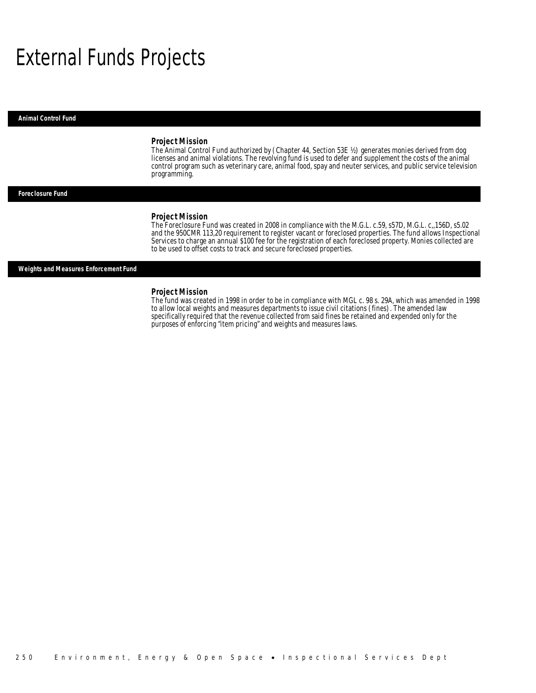## External Funds Projects

*Animal Control Fund* 

#### *Project Mission*

The Animal Control Fund authorized by (Chapter 44, Section 53E ½) generates monies derived from dog licenses and animal violations. The revolving fund is used to defer and supplement the costs of the animal control program such as veterinary care, animal food, spay and neuter services, and public service television programming. Î

### *Foreclosure Fund*

#### *Project Mission*

The Foreclosure Fund was created in 2008 in compliance with the M.G.L. c.59, s57D, M.G.L. c,,156D, s5.02 and the 950CMR 113,20 requirement to register vacant or foreclosed properties. The fund allows Inspectional Services to charge an annual \$100 fee for the registration of each foreclosed property. Monies collected are to be used to offset costs to track and secure foreclosed properties.

### *Weights and Measures Enforcement Fund*

#### *Project Mission*

The fund was created in 1998 in order to be in compliance with MGL c. 98 s. 29A, which was amended in 1998 to allow local weights and measures departments to issue civil citations (fines). The amended law specifically required that the revenue collected from said fines be retained and expended only for the purposes of enforcing "item pricing" and weights and measures laws.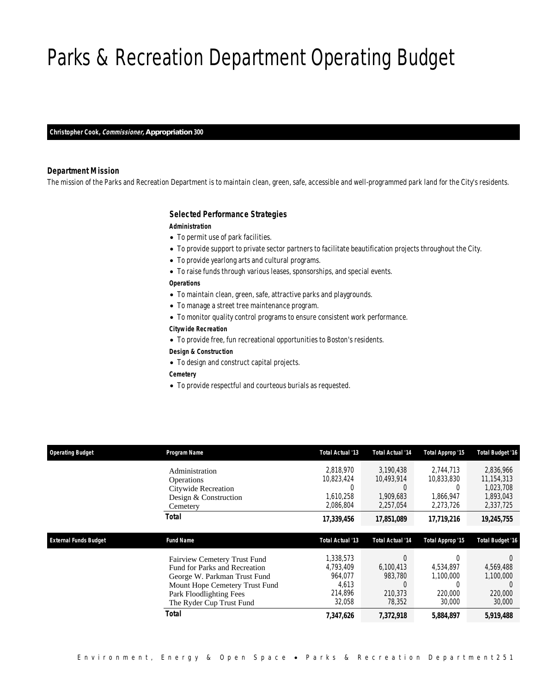# Parks & Recreation Department Operating Budget

*Christopher Cook, Commissioner, Appropriation 300* 

### *Department Mission*

The mission of the Parks and Recreation Department is to maintain clean, green, safe, accessible and well-programmed park land for the City's residents.

### *Selected Performance Strategies*

#### *Administration*

- To permit use of park facilities.
- To provide support to private sector partners to facilitate beautification projects throughout the City.
- To provide yearlong arts and cultural programs.
- To raise funds through various leases, sponsorships, and special events.

## *Operations*

- To maintain clean, green, safe, attractive parks and playgrounds.
- To manage a street tree maintenance program.
- To monitor quality control programs to ensure consistent work performance.
- *Citywide Recreation*
- To provide free, fun recreational opportunities to Boston's residents.

### *Design & Construction*

- To design and construct capital projects.
- *Cemetery*
- To provide respectful and courteous burials as requested.

| <b>Operating Budget</b>      | Program Name                                                  | <b>Total Actual '13</b> | <b>Total Actual '14</b> | Total Approp '15 | <b>Total Budget '16</b> |
|------------------------------|---------------------------------------------------------------|-------------------------|-------------------------|------------------|-------------------------|
|                              | Administration                                                | 2.818.970               | 3.190.438               | 2.744.713        | 2,836,966               |
|                              | <b>Operations</b>                                             | 10,823,424              | 10,493,914              | 10,833,830       | 11,154,313              |
|                              | Citywide Recreation                                           | U                       |                         | 0                | 1.023.708               |
|                              | Design & Construction                                         | 1,610,258               | 1.909.683               | 1.866.947        | 1.893.043               |
|                              | Cemetery                                                      | 2,086,804               | 2,257,054               | 2,273,726        | 2,337,725               |
|                              | Total                                                         | 17,339,456              | 17,851,089              | 17,719,216       | 19,245,755              |
|                              |                                                               |                         |                         |                  |                         |
|                              |                                                               |                         |                         |                  |                         |
| <b>External Funds Budget</b> | <b>Fund Name</b>                                              | <b>Total Actual '13</b> | <b>Total Actual '14</b> | Total Approp '15 | <b>Total Budget '16</b> |
|                              |                                                               | 1,338,573               |                         |                  |                         |
|                              | Fairview Cemetery Trust Fund<br>Fund for Parks and Recreation | 4,793,409               | 6,100,413               | 4,534,897        | 4,569,488               |
|                              |                                                               | 964,077                 | 983,780                 | 1,100,000        | 1,100,000               |
|                              | George W. Parkman Trust Fund                                  | 4,613                   | $\Omega$                |                  |                         |
|                              | Mount Hope Cemetery Trust Fund<br>Park Floodlighting Fees     | 214,896                 | 210.373                 | 220,000          | 220,000                 |
|                              | The Ryder Cup Trust Fund                                      | 32,058                  | 78,352                  | 30,000           | 30,000                  |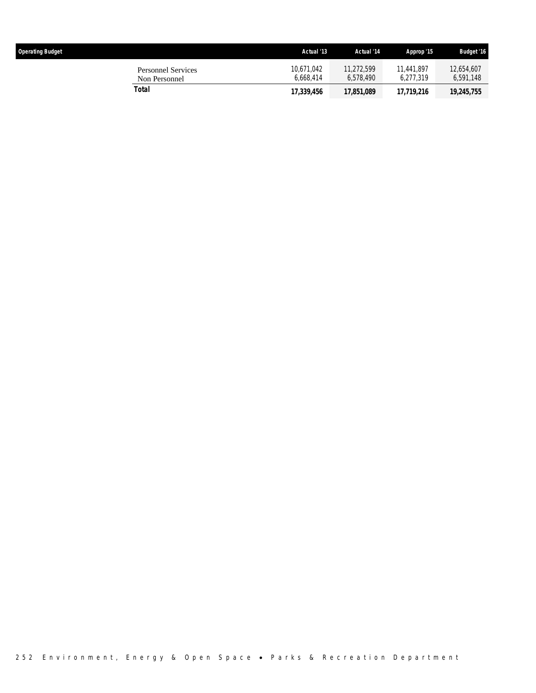| <b>Operating Budget</b>                    | Actual '13              | Actual '14              | Approp '15              | <b>Budget '16</b>       |
|--------------------------------------------|-------------------------|-------------------------|-------------------------|-------------------------|
| <b>Personnel Services</b><br>Non Personnel | 10.671.042<br>6.668.414 | 11.272.599<br>6.578.490 | 11,441,897<br>6.277.319 | 12.654.607<br>6,591,148 |
| Total                                      | 17,339,456              | 17,851,089              | 17.719.216              | 19,245,755              |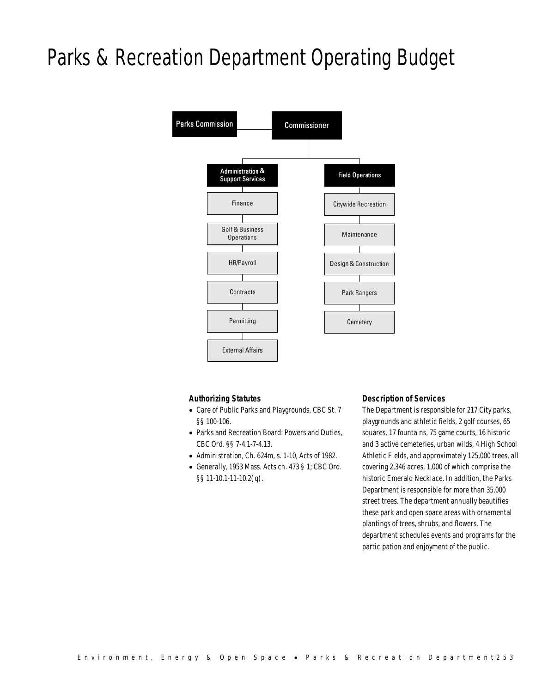# Parks & Recreation Department Operating Budget



## *Authorizing Statutes*

- Care of Public Parks and Playgrounds, CBC St. 7 §§ 100-106.
- Parks and Recreation Board: Powers and Duties, CBC Ord. §§ 7-4.1-7-4.13.
- Administration, Ch. 624m, s. 1-10, Acts of 1982.
- Generally, 1953 Mass. Acts ch. 473 § 1; CBC Ord. §§ 11-10.1-11-10.2(q).

### *Description of Services*

The Department is responsible for 217 City parks, playgrounds and athletic fields, 2 golf courses, 65 squares, 17 fountains, 75 game courts, 16 historic and 3 active cemeteries, urban wilds, 4 High School Athletic Fields, and approximately 125,000 trees, all covering 2,346 acres, 1,000 of which comprise the historic Emerald Necklace. In addition, the Parks Department is responsible for more than 35,000 street trees. The department annually beautifies these park and open space areas with ornamental plantings of trees, shrubs, and flowers. The department schedules events and programs for the participation and enjoyment of the public.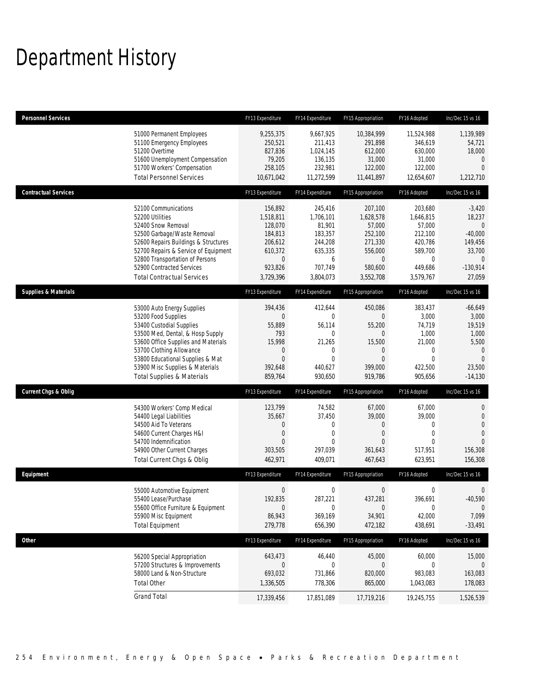# Department History

| <b>Personnel Services</b>       |                                                                                                                                                                                                                                                                                                      | FY13 Expenditure                                                                                        | FY14 Expenditure                                                                                                | FY15 Appropriation                                                                                        | FY16 Adopted                                                                                            | Inc/Dec 15 vs 16                                                                                             |
|---------------------------------|------------------------------------------------------------------------------------------------------------------------------------------------------------------------------------------------------------------------------------------------------------------------------------------------------|---------------------------------------------------------------------------------------------------------|-----------------------------------------------------------------------------------------------------------------|-----------------------------------------------------------------------------------------------------------|---------------------------------------------------------------------------------------------------------|--------------------------------------------------------------------------------------------------------------|
|                                 | 51000 Permanent Employees<br>51100 Emergency Employees<br>51200 Overtime<br>51600 Unemployment Compensation<br>51700 Workers' Compensation<br><b>Total Personnel Services</b>                                                                                                                        | 9,255,375<br>250,521<br>827,836<br>79,205<br>258,105<br>10,671,042                                      | 9,667,925<br>211,413<br>1,024,145<br>136,135<br>232,981<br>11,272,599                                           | 10,384,999<br>291,898<br>612,000<br>31,000<br>122,000<br>11,441,897                                       | 11,524,988<br>346,619<br>630,000<br>31,000<br>122,000<br>12,654,607                                     | 1,139,989<br>54,721<br>18,000<br>$\mathbf 0$<br>$\overline{0}$<br>1,212,710                                  |
| <b>Contractual Services</b>     |                                                                                                                                                                                                                                                                                                      | FY13 Expenditure                                                                                        | FY14 Expenditure                                                                                                | FY15 Appropriation                                                                                        | FY16 Adopted                                                                                            | Inc/Dec 15 vs 16                                                                                             |
|                                 | 52100 Communications<br>52200 Utilities<br>52400 Snow Removal<br>52500 Garbage/Waste Removal<br>52600 Repairs Buildings & Structures<br>52700 Repairs & Service of Equipment<br>52800 Transportation of Persons<br>52900 Contracted Services<br><b>Total Contractual Services</b>                    | 156.892<br>1,518,811<br>128,070<br>184,813<br>206,612<br>610,372<br>$\mathbf 0$<br>923,826<br>3,729,396 | 245,416<br>1,706,101<br>81,901<br>183,357<br>244,208<br>635,335<br>6<br>707,749<br>3,804,073                    | 207,100<br>1,628,578<br>57,000<br>252,100<br>271,330<br>556,000<br>$\overline{0}$<br>580,600<br>3,552,708 | 203,680<br>1,646,815<br>57,000<br>212,100<br>420,786<br>589,700<br>$\mathbf{0}$<br>449,686<br>3,579,767 | $-3,420$<br>18,237<br>$\mathbf{0}$<br>$-40,000$<br>149,456<br>33,700<br>$\mathbf{0}$<br>$-130,914$<br>27,059 |
| <b>Supplies &amp; Materials</b> |                                                                                                                                                                                                                                                                                                      | FY13 Expenditure                                                                                        | FY14 Expenditure                                                                                                | FY15 Appropriation                                                                                        | FY16 Adopted                                                                                            | Inc/Dec 15 vs 16                                                                                             |
|                                 | 53000 Auto Energy Supplies<br>53200 Food Supplies<br>53400 Custodial Supplies<br>53500 Med, Dental, & Hosp Supply<br>53600 Office Supplies and Materials<br>53700 Clothing Allowance<br>53800 Educational Supplies & Mat<br>53900 Misc Supplies & Materials<br><b>Total Supplies &amp; Materials</b> | 394,436<br>0<br>55,889<br>793<br>15,998<br>$\mathbf 0$<br>$\overline{0}$<br>392,648<br>859,764          | 412,644<br>$\mathbf 0$<br>56,114<br>$\mathbf{0}$<br>21,265<br>$\mathbf 0$<br>$\mathbf{0}$<br>440,627<br>930,650 | 450,086<br>0<br>55,200<br>$\theta$<br>15,500<br>0<br>$\mathbf{0}$<br>399,000<br>919,786                   | 383,437<br>3,000<br>74,719<br>1,000<br>21,000<br>0<br>$\mathbf{0}$<br>422,500<br>905,656                | $-66,649$<br>3,000<br>19,519<br>1,000<br>5,500<br>$\mathbf 0$<br>$\overline{0}$<br>23,500<br>$-14,130$       |
| <b>Current Chgs &amp; Oblig</b> |                                                                                                                                                                                                                                                                                                      | FY13 Expenditure                                                                                        | FY14 Expenditure                                                                                                | FY15 Appropriation                                                                                        | FY16 Adopted                                                                                            | Inc/Dec 15 vs 16                                                                                             |
|                                 | 54300 Workers' Comp Medical<br>54400 Legal Liabilities<br>54500 Aid To Veterans<br>54600 Current Charges H&I<br>54700 Indemnification<br>54900 Other Current Charges<br>Total Current Chgs & Oblig                                                                                                   | 123,799<br>35,667<br>0<br>$\overline{0}$<br>0<br>303,505<br>462,971                                     | 74,582<br>37,450<br>$\mathbf 0$<br>$\mathbf{0}$<br>$\Omega$<br>297,039<br>409,071                               | 67,000<br>39,000<br>0<br>$\mathbf{0}$<br>$\Omega$<br>361,643<br>467,643                                   | 67,000<br>39,000<br>$\mathbf{0}$<br>$\mathbf{0}$<br>$\Omega$<br>517,951<br>623,951                      | 0<br>$\mathbf 0$<br>$\overline{0}$<br>$\theta$<br>156,308<br>156,308                                         |
| Equipment                       |                                                                                                                                                                                                                                                                                                      | FY13 Expenditure                                                                                        | FY14 Expenditure                                                                                                | FY15 Appropriation                                                                                        | FY16 Adopted                                                                                            | Inc/Dec 15 vs 16                                                                                             |
|                                 | 55000 Automotive Equipment<br>55400 Lease/Purchase<br>55600 Office Furniture & Equipment<br>55900 Misc Equipment<br><b>Total Equipment</b>                                                                                                                                                           | $\mathbf 0$<br>192,835<br>$\overline{0}$<br>86,943<br>279,778                                           | $\mathbf 0$<br>287,221<br>$\boldsymbol{0}$<br>369,169<br>656,390                                                | $\boldsymbol{0}$<br>437,281<br>$\boldsymbol{0}$<br>34,901<br>472,182                                      | 0<br>396,691<br>$\boldsymbol{0}$<br>42,000<br>438,691                                                   | 0<br>$-40,590$<br>$\mathbf 0$<br>7,099<br>$-33,491$                                                          |
| Other                           |                                                                                                                                                                                                                                                                                                      | FY13 Expenditure                                                                                        | FY14 Expenditure                                                                                                | FY15 Appropriation                                                                                        | FY16 Adopted                                                                                            | Inc/Dec 15 vs 16                                                                                             |
|                                 | 56200 Special Appropriation<br>57200 Structures & Improvements<br>58000 Land & Non-Structure<br><b>Total Other</b>                                                                                                                                                                                   | 643,473<br>$\mathbf 0$<br>693,032<br>1,336,505                                                          | 46,440<br>$\mathbf 0$<br>731,866<br>778,306                                                                     | 45,000<br>0<br>820,000<br>865,000                                                                         | 60,000<br>0<br>983,083<br>1,043,083                                                                     | 15,000<br>$\mathbf 0$<br>163,083<br>178,083                                                                  |
|                                 | <b>Grand Total</b>                                                                                                                                                                                                                                                                                   | 17,339,456                                                                                              |                                                                                                                 | 17,719,216                                                                                                | 19,245,755                                                                                              | 1,526,539                                                                                                    |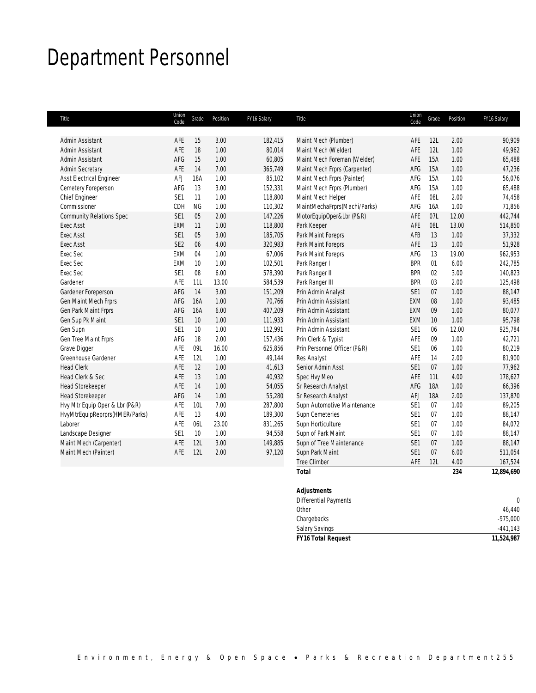# Department Personnel

| Title                           | Union<br>Code   | Grade     | Position | FY16 Salary | Title                        | Union<br>Code   | Grade | Position | FY16 Salary |
|---------------------------------|-----------------|-----------|----------|-------------|------------------------------|-----------------|-------|----------|-------------|
|                                 |                 |           |          |             |                              |                 |       |          |             |
| Admin Assistant                 | AFE             | 15        | 3.00     | 182,415     | Maint Mech (Plumber)         | AFE             | 12L   | 2.00     | 90,909      |
| Admin Assistant                 | AFE             | 18        | 1.00     | 80,014      | Maint Mech (Welder)          | AFE             | 12L   | 1.00     | 49,962      |
| Admin Assistant                 | AFG             | 15        | 1.00     | 60,805      | Maint Mech Foreman (Welder)  | AFE             | 15A   | 1.00     | 65,488      |
| <b>Admin Secretary</b>          | AFE             | 14        | 7.00     | 365,749     | Maint Mech Frprs (Carpenter) | AFG             | 15A   | 1.00     | 47,236      |
| Asst Electrical Engineer        | AFJ             | 18A       | 1.00     | 85,102      | Maint Mech Frprs (Painter)   | AFG             | 15A   | 1.00     | 56,076      |
| Cemetery Foreperson             | AFG             | 13        | 3.00     | 152,331     | Maint Mech Frprs (Plumber)   | AFG             | 15A   | 1.00     | 65,488      |
| Chief Engineer                  | SE <sub>1</sub> | 11        | 1.00     | 118,800     | Maint Mech Helper            | AFE             | 08L   | 2.00     | 74,458      |
| Commissioner                    | CDH             | <b>NG</b> | 1.00     | 110,302     | MaintMechaFrprs(Machi/Parks) | AFG             | 16A   | 1.00     | 71,856      |
| <b>Community Relations Spec</b> | SE <sub>1</sub> | 05        | 2.00     | 147,226     | MotorEquipOper&Lbr (P&R)     | AFE             | 07L   | 12.00    | 442,744     |
| <b>Exec Asst</b>                | <b>EXM</b>      | 11        | 1.00     | 118,800     | Park Keeper                  | AFE             | 08L   | 13.00    | 514,850     |
| <b>Exec Asst</b>                | SE <sub>1</sub> | 05        | 3.00     | 185,705     | Park Maint Foreprs           | AFB             | 13    | 1.00     | 37,332      |
| <b>Exec Asst</b>                | SE <sub>2</sub> | 06        | 4.00     | 320,983     | Park Maint Foreprs           | AFE             | 13    | 1.00     | 51,928      |
| Exec Sec                        | <b>EXM</b>      | 04        | 1.00     | 67,006      | Park Maint Foreprs           | AFG             | 13    | 19.00    | 962,953     |
| Exec Sec                        | <b>EXM</b>      | 10        | 1.00     | 102,501     | Park Ranger I                | <b>BPR</b>      | 01    | 6.00     | 242,785     |
| Exec Sec                        | SE <sub>1</sub> | 08        | 6.00     | 578,390     | Park Ranger II               | <b>BPR</b>      | 02    | 3.00     | 140,823     |
| Gardener                        | AFE             | 11L       | 13.00    | 584,539     | Park Ranger III              | <b>BPR</b>      | 03    | 2.00     | 125,498     |
| Gardener Foreperson             | AFG             | 14        | 3.00     | 151,209     | Prin Admin Analyst           | SE <sub>1</sub> | 07    | 1.00     | 88,147      |
| Gen Maint Mech Frprs            | AFG             | 16A       | 1.00     | 70,766      | Prin Admin Assistant         | <b>EXM</b>      | 08    | 1.00     | 93,485      |
| Gen Park Maint Frprs            | AFG             | 16A       | 6.00     | 407,209     | Prin Admin Assistant         | EXM             | 09    | 1.00     | 80,077      |
| Gen Sup Pk Maint                | SE <sub>1</sub> | 10        | 1.00     | 111,933     | Prin Admin Assistant         | EXM             | 10    | 1.00     | 95,798      |
| Gen Supn                        | SE <sub>1</sub> | 10        | 1.00     | 112,991     | Prin Admin Assistant         | SE1             | 06    | 12.00    | 925,784     |
| Gen Tree Maint Frprs            | AFG             | 18        | 2.00     | 157,436     | Prin Clerk & Typist          | AFE             | 09    | 1.00     | 42,721      |
| Grave Digger                    | AFE             | 09L       | 16.00    | 625,856     | Prin Personnel Officer (P&R) | SE1             | 06    | 1.00     | 80,219      |
| Greenhouse Gardener             | AFE             | 12L       | 1.00     | 49,144      | Res Analyst                  | AFE             | 14    | 2.00     | 81,900      |
| <b>Head Clerk</b>               | AFE             | 12        | 1.00     | 41,613      | Senior Admin Asst            | SE1             | 07    | 1.00     | 77,962      |
| Head Clerk & Sec                | AFE             | 13        | 1.00     | 40,932      | Spec Hvy Meo                 | AFE             | 11L   | 4.00     | 178,627     |
| <b>Head Storekeeper</b>         | AFE             | 14        | 1.00     | 54,055      | Sr Research Analyst          | AFG             | 18A   | 1.00     | 66,396      |
| <b>Head Storekeeper</b>         | AFG             | 14        | 1.00     | 55,280      | Sr Research Analyst          | AFJ             | 18A   | 2.00     | 137,870     |
| Hvy Mtr Equip Oper & Lbr (P&R)  | AFE             | 10L       | 7.00     | 287,800     | Supn Automotive Maintenance  | SE1             | 07    | 1.00     | 89,205      |
| HvyMtrEquipReprprs(HMER/Parks)  | AFE             | 13        | 4.00     | 189,300     | Supn Cemeteries              | SE <sub>1</sub> | 07    | 1.00     | 88,147      |
| Laborer                         | AFE             | 06L       | 23.00    | 831,265     | Supn Horticulture            | SE1             | 07    | 1.00     | 84,072      |
| Landscape Designer              | SE <sub>1</sub> | 10        | 1.00     | 94,558      | Supn of Park Maint           | SE1             | 07    | 1.00     | 88,147      |
| Maint Mech (Carpenter)          | AFE             | 12L       | 3.00     | 149,885     | Supn of Tree Maintenance     | SE1             | 07    | 1.00     | 88,147      |
| Maint Mech (Painter)            | AFE             | 12L       | 2.00     | 97,120      | Supn Park Maint              | SE1             | 07    | 6.00     | 511,054     |
|                                 |                 |           |          |             | <b>Tree Climber</b>          | AFE             | 12L   | 4.00     | 167,524     |
|                                 |                 |           |          |             | <b>Total</b>                 |                 |       | 234      | 12,894,690  |

| <b>FY16 Total Request</b>    | 11,524,987 |
|------------------------------|------------|
| <b>Salary Savings</b>        | $-441,143$ |
| Chargebacks                  | $-975,000$ |
| Other                        | 46,440     |
| <b>Differential Payments</b> |            |
| <b>Adjustments</b>           |            |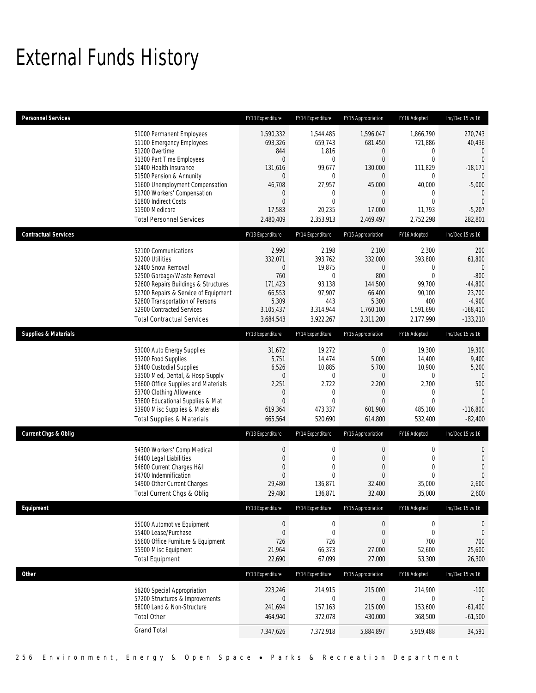# External Funds History

| <b>Personnel Services</b>       |                                                                                                                                                                                                                                                                                                            | FY13 Expenditure                                                                                                                 | FY14 Expenditure                                                                                                    | FY15 Appropriation                                                                                                                              | FY16 Adopted                                                                                                           | Inc/Dec 15 vs 16                                                                                                                            |
|---------------------------------|------------------------------------------------------------------------------------------------------------------------------------------------------------------------------------------------------------------------------------------------------------------------------------------------------------|----------------------------------------------------------------------------------------------------------------------------------|---------------------------------------------------------------------------------------------------------------------|-------------------------------------------------------------------------------------------------------------------------------------------------|------------------------------------------------------------------------------------------------------------------------|---------------------------------------------------------------------------------------------------------------------------------------------|
|                                 | 51000 Permanent Employees<br>51100 Emergency Employees<br>51200 Overtime<br>51300 Part Time Employees<br>51400 Health Insurance<br>51500 Pension & Annunity<br>51600 Unemployment Compensation<br>51700 Workers' Compensation<br>51800 Indirect Costs<br>51900 Medicare<br><b>Total Personnel Services</b> | 1,590,332<br>693,326<br>844<br>$\overline{0}$<br>131,616<br>$\overline{0}$<br>46,708<br>0<br>$\mathbf{0}$<br>17,583<br>2,480,409 | 1,544,485<br>659,743<br>1,816<br>$\mathbf 0$<br>99,677<br>0<br>27,957<br>0<br>$\overline{0}$<br>20.235<br>2,353,913 | 1,596,047<br>681,450<br>$\mathbf 0$<br>$\overline{0}$<br>130,000<br>$\mathbf 0$<br>45,000<br>$\mathbf 0$<br>$\mathbf{0}$<br>17,000<br>2,469,497 | 1,866,790<br>721,886<br>0<br>$\mathbf{0}$<br>111,829<br>0<br>40,000<br>$\mathbf{0}$<br>$\Omega$<br>11,793<br>2,752,298 | 270,743<br>40,436<br>$\mathbf{0}$<br>$\Omega$<br>$-18,171$<br>$\overline{0}$<br>$-5,000$<br>$\mathbf{0}$<br>$\Omega$<br>$-5,207$<br>282,801 |
| <b>Contractual Services</b>     |                                                                                                                                                                                                                                                                                                            | FY13 Expenditure                                                                                                                 | FY14 Expenditure                                                                                                    | FY15 Appropriation                                                                                                                              | FY16 Adopted                                                                                                           | Inc/Dec 15 vs 16                                                                                                                            |
|                                 | 52100 Communications<br>52200 Utilities<br>52400 Snow Removal<br>52500 Garbage/Waste Removal<br>52600 Repairs Buildings & Structures<br>52700 Repairs & Service of Equipment<br>52800 Transportation of Persons<br>52900 Contracted Services<br><b>Total Contractual Services</b>                          | 2,990<br>332,071<br>$\boldsymbol{0}$<br>760<br>171,423<br>66,553<br>5,309<br>3,105,437<br>3,684,543                              | 2,198<br>393,762<br>19,875<br>0<br>93,138<br>97,907<br>443<br>3,314,944<br>3,922,267                                | 2,100<br>332,000<br>$\boldsymbol{0}$<br>800<br>144,500<br>66,400<br>5,300<br>1,760,100<br>2,311,200                                             | 2,300<br>393,800<br>$\mathbf 0$<br>$\overline{0}$<br>99,700<br>90,100<br>400<br>1,591,690<br>2,177,990                 | 200<br>61,800<br>$\overline{0}$<br>$-800$<br>$-44,800$<br>23,700<br>$-4,900$<br>$-168,410$<br>$-133,210$                                    |
| <b>Supplies &amp; Materials</b> |                                                                                                                                                                                                                                                                                                            | FY13 Expenditure                                                                                                                 | FY14 Expenditure                                                                                                    | FY15 Appropriation                                                                                                                              | FY16 Adopted                                                                                                           | Inc/Dec 15 vs 16                                                                                                                            |
|                                 | 53000 Auto Energy Supplies<br>53200 Food Supplies<br>53400 Custodial Supplies<br>53500 Med, Dental, & Hosp Supply<br>53600 Office Supplies and Materials<br>53700 Clothing Allowance<br>53800 Educational Supplies & Mat<br>53900 Misc Supplies & Materials<br><b>Total Supplies &amp; Materials</b>       | 31,672<br>5,751<br>6,526<br>$\mathbf 0$<br>2,251<br>0<br>$\mathbf{0}$<br>619,364<br>665,564                                      | 19,272<br>14,474<br>10,885<br>$\mathbf 0$<br>2,722<br>$\mathbf 0$<br>$\overline{0}$<br>473,337<br>520,690           | $\boldsymbol{0}$<br>5,000<br>5,700<br>$\boldsymbol{0}$<br>2,200<br>$\mathbf 0$<br>$\overline{0}$<br>601,900<br>614,800                          | 19,300<br>14,400<br>10,900<br>$\mathbf 0$<br>2,700<br>$\mathbf{0}$<br>$\Omega$<br>485,100<br>532,400                   | 19,300<br>9,400<br>5,200<br>$\overline{0}$<br>500<br>$\overline{0}$<br>$\Omega$<br>$-116,800$<br>$-82,400$                                  |
| <b>Current Chgs &amp; Oblig</b> |                                                                                                                                                                                                                                                                                                            | FY13 Expenditure                                                                                                                 | FY14 Expenditure                                                                                                    | FY15 Appropriation                                                                                                                              | FY16 Adopted                                                                                                           | Inc/Dec 15 vs 16                                                                                                                            |
|                                 | 54300 Workers' Comp Medical<br>54400 Legal Liabilities<br>54600 Current Charges H&I<br>54700 Indemnification<br>54900 Other Current Charges<br>Total Current Chgs & Oblig                                                                                                                                  | $\boldsymbol{0}$<br>$\boldsymbol{0}$<br>$\mathbf{0}$<br>$\overline{0}$<br>29,480<br>29,480                                       | $\boldsymbol{0}$<br>$\mathbf 0$<br>$\mathbf{0}$<br>$\overline{0}$<br>136,871<br>136,871                             | $\boldsymbol{0}$<br>$\mathbf 0$<br>$\mathbf 0$<br>$\mathbf{0}$<br>32,400<br>32,400                                                              | 0<br>$\mathbf 0$<br>$\mathbf{0}$<br>$\mathbf{0}$<br>35,000<br>35,000                                                   | $\mathbf 0$<br>$\mathbf 0$<br>$\mathbf{0}$<br>$\mathbf{0}$<br>2,600<br>2,600                                                                |
| Equipment                       |                                                                                                                                                                                                                                                                                                            | FY13 Expenditure                                                                                                                 | FY14 Expenditure                                                                                                    | FY15 Appropriation                                                                                                                              | FY16 Adopted                                                                                                           | Inc/Dec 15 vs 16                                                                                                                            |
|                                 | 55000 Automotive Equipment<br>55400 Lease/Purchase<br>55600 Office Furniture & Equipment<br>55900 Misc Equipment<br><b>Total Equipment</b>                                                                                                                                                                 | $\boldsymbol{0}$<br>$\boldsymbol{0}$<br>726<br>21,964<br>22,690                                                                  | $\boldsymbol{0}$<br>$\mathbf 0$<br>726<br>66,373<br>67,099                                                          | $\boldsymbol{0}$<br>$\boldsymbol{0}$<br>$\overline{0}$<br>27,000<br>27,000                                                                      | $\boldsymbol{0}$<br>$\boldsymbol{0}$<br>700<br>52,600<br>53,300                                                        | $\mathbf 0$<br>$\mathbf 0$<br>700<br>25,600<br>26,300                                                                                       |
| <b>Other</b>                    |                                                                                                                                                                                                                                                                                                            | FY13 Expenditure                                                                                                                 | FY14 Expenditure                                                                                                    | FY15 Appropriation                                                                                                                              | FY16 Adopted                                                                                                           | Inc/Dec 15 vs 16                                                                                                                            |
|                                 | 56200 Special Appropriation<br>57200 Structures & Improvements<br>58000 Land & Non-Structure<br><b>Total Other</b><br><b>Grand Total</b>                                                                                                                                                                   | 223,246<br>0<br>241,694<br>464,940                                                                                               | 214,915<br>0<br>157,163<br>372,078                                                                                  | 215,000<br>$\mathbf 0$<br>215,000<br>430,000                                                                                                    | 214,900<br>0<br>153,600<br>368,500                                                                                     | $-100$<br>$\mathbf 0$<br>$-61,400$<br>$-61,500$                                                                                             |
|                                 |                                                                                                                                                                                                                                                                                                            | 7,347,626                                                                                                                        | 7,372,918                                                                                                           | 5,884,897                                                                                                                                       | 5,919,488                                                                                                              | 34,591                                                                                                                                      |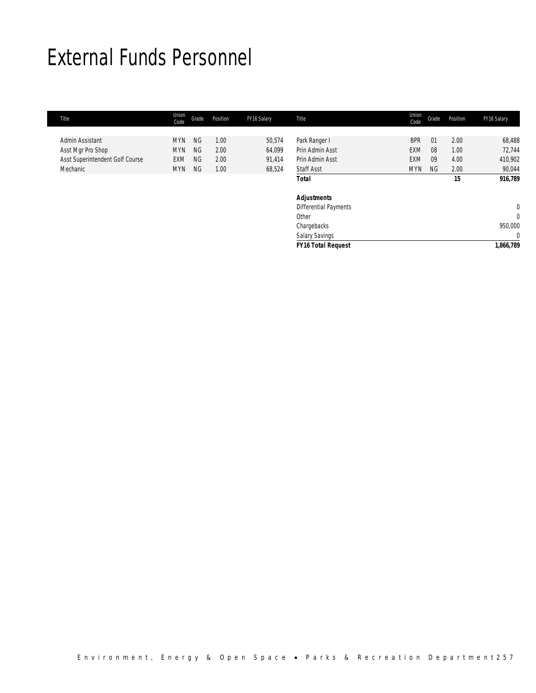## External Funds Personnel

| Title                           | Union<br>Code | Grade     | Position | FY16 Salary | Title                        | Union<br>Code | Grade | Position | FY16 Salary    |
|---------------------------------|---------------|-----------|----------|-------------|------------------------------|---------------|-------|----------|----------------|
|                                 |               |           |          |             |                              |               |       |          |                |
| Admin Assistant                 | <b>MYN</b>    | <b>NG</b> | 1.00     | 50,574      | Park Ranger I                | <b>BPR</b>    | 01    | 2.00     | 68,488         |
| Asst Mgr Pro Shop               | <b>MYN</b>    | <b>NG</b> | 2.00     | 64,099      | Prin Admin Asst              | EXM           | 08    | 1.00     | 72,744         |
| Asst Superintendent Golf Course | <b>EXM</b>    | <b>NG</b> | 2.00     | 91,414      | Prin Admin Asst              | <b>EXM</b>    | 09    | 4.00     | 410,902        |
| Mechanic                        | <b>MYN</b>    | ΝG        | 1.00     | 68,524      | <b>Staff Asst</b>            | <b>MYN</b>    | NG.   | 2.00     | 90,044         |
|                                 |               |           |          |             | <b>Total</b>                 |               |       | 15       | 916,789        |
|                                 |               |           |          |             | <b>Adjustments</b>           |               |       |          |                |
|                                 |               |           |          |             | <b>Differential Payments</b> |               |       |          | $\overline{0}$ |
|                                 |               |           |          |             | Other                        |               |       |          | $\overline{0}$ |
|                                 |               |           |          |             | Chargebacks                  |               |       |          | 950,000        |
|                                 |               |           |          |             | <b>Salary Savings</b>        |               |       |          | $\overline{0}$ |
|                                 |               |           |          |             | <b>FY16 Total Request</b>    |               |       |          | 1,866,789      |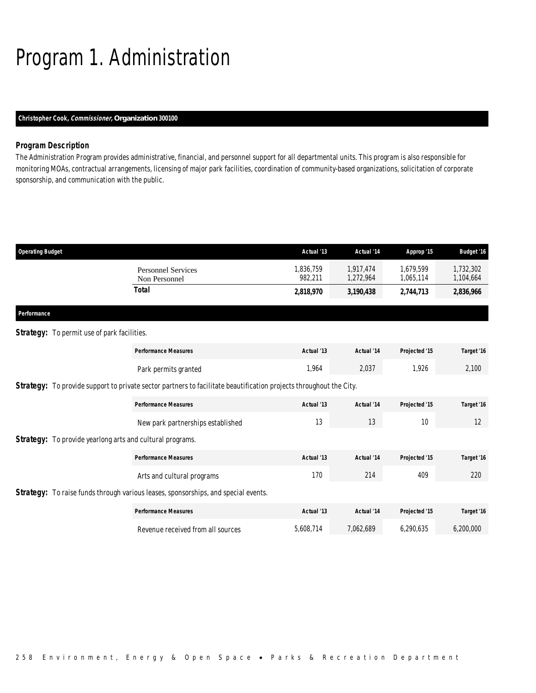# Program 1. Administration

## *Christopher Cook, Commissioner, Organization 300100*

### *Program Description*

The Administration Program provides administrative, financial, and personnel support for all departmental units. This program is also responsible for monitoring MOAs, contractual arrangements, licensing of major park facilities, coordination of community-based organizations, solicitation of corporate sponsorship, and communication with the public.

| <b>Operating Budget</b> |                                                                  |                                                                                                                    | Actual '13           | Actual '14             | Approp '15             | <b>Budget '16</b>      |
|-------------------------|------------------------------------------------------------------|--------------------------------------------------------------------------------------------------------------------|----------------------|------------------------|------------------------|------------------------|
|                         |                                                                  | <b>Personnel Services</b><br>Non Personnel                                                                         | 1,836,759<br>982,211 | 1,917,474<br>1,272,964 | 1,679,599<br>1,065,114 | 1,732,302<br>1,104,664 |
|                         |                                                                  | <b>Total</b>                                                                                                       | 2,818,970            | 3,190,438              | 2,744,713              | 2,836,966              |
| Performance             |                                                                  |                                                                                                                    |                      |                        |                        |                        |
|                         | <b>Strategy:</b> To permit use of park facilities.               |                                                                                                                    |                      |                        |                        |                        |
|                         |                                                                  | <b>Performance Measures</b>                                                                                        | Actual '13           | Actual '14             | Projected '15          | Target '16             |
|                         |                                                                  | Park permits granted                                                                                               | 1,964                | 2,037                  | 1,926                  | 2,100                  |
|                         |                                                                  | Strategy: To provide support to private sector partners to facilitate beautification projects throughout the City. |                      |                        |                        |                        |
|                         |                                                                  | <b>Performance Measures</b>                                                                                        | Actual '13           | Actual '14             | Projected '15          | Target '16             |
|                         |                                                                  | New park partnerships established                                                                                  | 13                   | 13                     | 10                     | 12                     |
|                         | <b>Strategy:</b> To provide yearlong arts and cultural programs. |                                                                                                                    |                      |                        |                        |                        |
|                         |                                                                  | <b>Performance Measures</b>                                                                                        | Actual '13           | Actual '14             | Projected '15          | Target '16             |
|                         |                                                                  | Arts and cultural programs                                                                                         | 170                  | 214                    | 409                    | 220                    |
|                         |                                                                  | Strategy: To raise funds through various leases, sponsorships, and special events.                                 |                      |                        |                        |                        |
|                         |                                                                  | <b>Performance Measures</b>                                                                                        | Actual '13           | Actual '14             | Projected '15          | Target '16             |
|                         |                                                                  | Revenue received from all sources                                                                                  | 5,608,714            | 7.062.689              | 6.290.635              | 6.200.000              |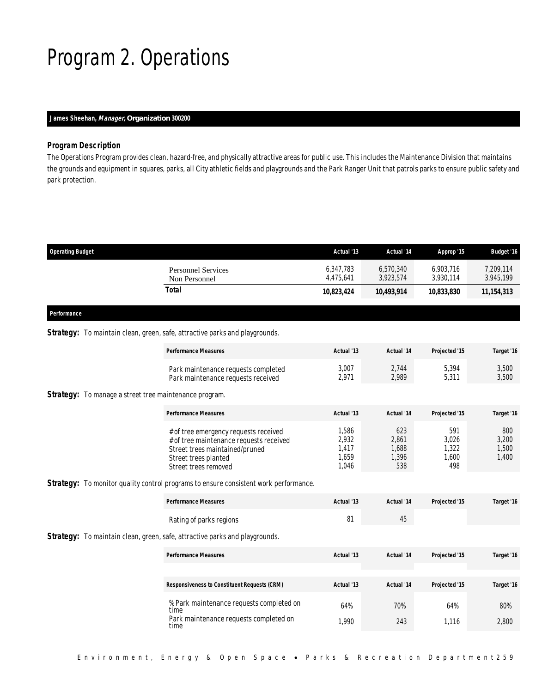## Program 2. Operations

## *James Sheehan, Manager, Organization 300200*

## *Program Description*

The Operations Program provides clean, hazard-free, and physically attractive areas for public use. This includes the Maintenance Division that maintains the grounds and equipment in squares, parks, all City athletic fields and playgrounds and the Park Ranger Unit that patrols parks to ensure public safety and park protection.

| <b>Operating Budget</b>                    | Actual '13             | Actual '14             | Approp '15             | <b>Budget '16</b>      |
|--------------------------------------------|------------------------|------------------------|------------------------|------------------------|
| <b>Personnel Services</b><br>Non Personnel | 6,347,783<br>4,475,641 | 6,570,340<br>3,923,574 | 6,903,716<br>3,930,114 | 7,209,114<br>3,945,199 |
| Total                                      | 10,823,424             | 10,493,914             | 10,833,830             | 11,154,313             |
|                                            |                        |                        |                        |                        |

#### *Performance*

### **Strategy:** To maintain clean, green, safe, attractive parks and playgrounds.

| <b>Performance Measures</b>         | Actual '13 | Actual '14 | Projected '15 | Target '16 |
|-------------------------------------|------------|------------|---------------|------------|
| Park maintenance requests completed | 3,007      | 2.744      | 5.394         | 3,500      |
| Park maintenance requests received  | 2,971      | 2,989      | 3,311         | 3,500      |

## Strategy: To manage a street tree maintenance program.

| <b>Performance Measures</b>                                                                                                                                        | Actual '13                              | Actual '14                           | Projected '15                         | Target '16                     |
|--------------------------------------------------------------------------------------------------------------------------------------------------------------------|-----------------------------------------|--------------------------------------|---------------------------------------|--------------------------------|
| # of tree emergency requests received<br># of tree maintenance requests received<br>Street trees maintained/pruned<br>Street trees planted<br>Street trees removed | ,586<br>2,932<br>.417<br>1,659<br>1.046 | 623<br>2,861<br>,688<br>1,396<br>538 | 591<br>3.026<br>1,322<br>1,600<br>498 | 800<br>3.200<br>1,500<br>1,400 |

#### **Strategy:** To monitor quality control programs to ensure consistent work performance.

| <b>Performance Measures</b> | Actual '13 | Actual '14 | Proiected '15 | Target '16 |
|-----------------------------|------------|------------|---------------|------------|
| Rating of parks regions     |            | 45         |               |            |

## Strategy: To maintain clean, green, safe, attractive parks and playgrounds.

| <b>Performance Measures</b>                         | Actual '13 | Actual '14 | Projected '15 | Target '16 |
|-----------------------------------------------------|------------|------------|---------------|------------|
| <b>Responsiveness to Constituent Requests (CRM)</b> | Actual '13 | Actual '14 | Projected '15 | Target '16 |
| % Park maintenance requests completed on<br>time    | 64%        | 70%        | 64%           | 80%        |
| Park maintenance requests completed on<br>time      | 1.990      | 243        | 1.116         | 2,800      |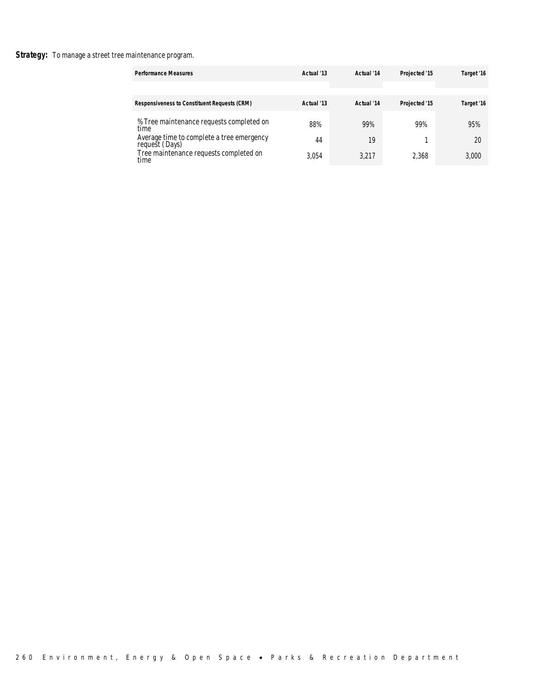## Strategy: To manage a street tree maintenance program.

| <b>Performance Measures</b>                                                                                                                               | Actual '13         | Actual '14         | Projected '15 | Target '16         |
|-----------------------------------------------------------------------------------------------------------------------------------------------------------|--------------------|--------------------|---------------|--------------------|
| <b>Responsiveness to Constituent Requests (CRM)</b>                                                                                                       | Actual '13         | Actual '14         | Projected '15 | Target '16         |
| % Tree maintenance requests completed on<br>time<br>Average time to complete a tree emergency<br>request (Days)<br>Tree maintenance requests completed on | 88%<br>44<br>3.054 | 99%<br>19<br>3,217 | 99%<br>2.368  | 95%<br>20<br>3,000 |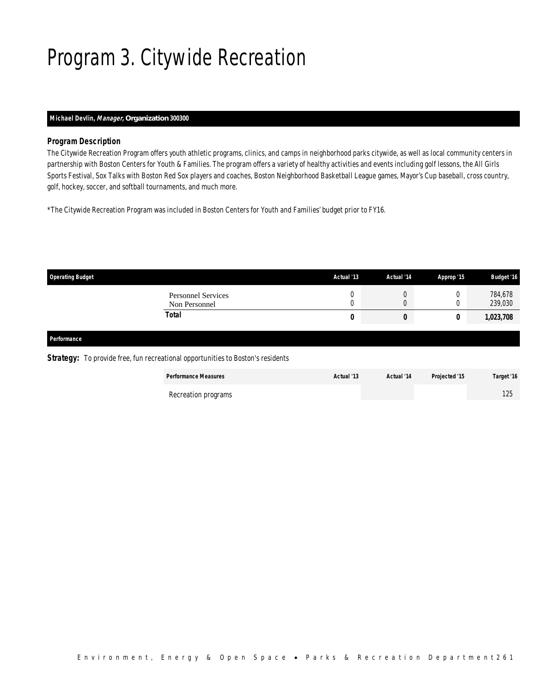# Program 3. Citywide Recreation

## *Michael Devlin, Manager, Organization 300300*

## *Program Description*

The Citywide Recreation Program offers youth athletic programs, clinics, and camps in neighborhood parks citywide, as well as local community centers in partnership with Boston Centers for Youth & Families. The program offers a variety of healthy activities and events including golf lessons, the All Girls Sports Festival, Sox Talks with Boston Red Sox players and coaches, Boston Neighborhood Basketball League games, Mayor's Cup baseball, cross country, golf, hockey, soccer, and softball tournaments, and much more.

\*The Citywide Recreation Program was included in Boston Centers for Youth and Families' budget prior to FY16.

| <b>Operating Budget</b>                    | Actual '13 | Actual '14 | Approp '15 | <b>Budget '16</b>  |
|--------------------------------------------|------------|------------|------------|--------------------|
| <b>Personnel Services</b><br>Non Personnel |            |            |            | 784,678<br>239,030 |
| Total                                      | 0          | υ          |            | 1,023,708          |
|                                            |            |            |            |                    |

## *Performance*

**Strategy:** To provide free, fun recreational opportunities to Boston's residents

| <b>Performance Measures</b> | Actual '13 | Actual '14 | Projected '15 | Target '16 |
|-----------------------------|------------|------------|---------------|------------|
| Recreation programs         |            |            |               | 125        |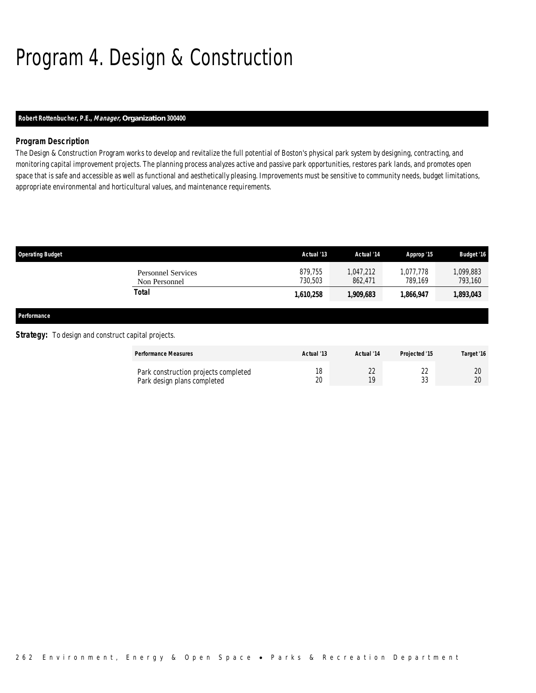# Program 4. Design & Construction

## *Robert Rottenbucher, P.E., Manager, Organization 300400*

## *Program Description*

The Design & Construction Program works to develop and revitalize the full potential of Boston's physical park system by designing, contracting, and monitoring capital improvement projects. The planning process analyzes active and passive park opportunities, restores park lands, and promotes open space that is safe and accessible as well as functional and aesthetically pleasing. Improvements must be sensitive to community needs, budget limitations, appropriate environmental and horticultural values, and maintenance requirements.

| <b>Operating Budget</b>                                    |                                                                     | Actual '13         | Actual '14           | Approp '15           | <b>Budget '16</b>    |
|------------------------------------------------------------|---------------------------------------------------------------------|--------------------|----------------------|----------------------|----------------------|
|                                                            | <b>Personnel Services</b><br>Non Personnel                          | 879.755<br>730.503 | 1.047.212<br>862,471 | 1.077.778<br>789.169 | 1,099,883<br>793,160 |
|                                                            | Total                                                               | 1,610,258          | 1,909,683            | 1,866,947            | 1,893,043            |
| Performance                                                |                                                                     |                    |                      |                      |                      |
| <b>Strategy:</b> To design and construct capital projects. |                                                                     |                    |                      |                      |                      |
|                                                            | <b>Performance Measures</b>                                         | Actual '13         | Actual '14           | Projected '15        | Target '16           |
|                                                            | Park construction projects completed<br>Park design plans completed | 18<br>20           | 22<br>19             | 22<br>33             | 20<br>20             |

Park design plans completed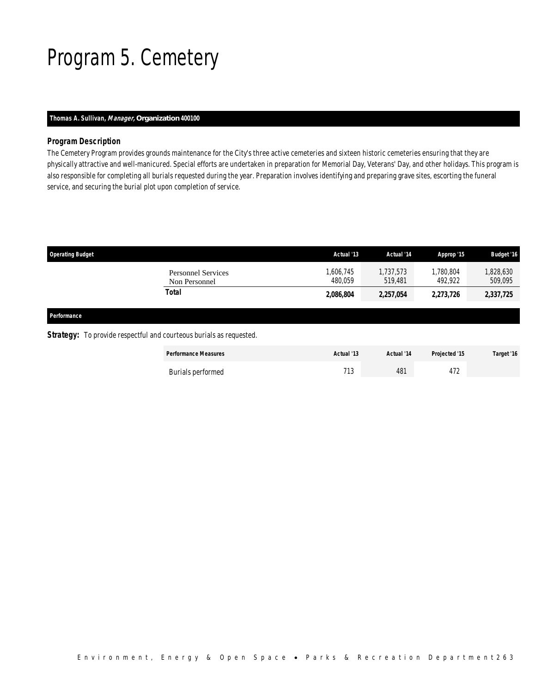## Program 5. Cemetery

## *Thomas A. Sullivan, Manager, Organization 400100*

## *Program Description*

The Cemetery Program provides grounds maintenance for the City's three active cemeteries and sixteen historic cemeteries ensuring that they are physically attractive and well-manicured. Special efforts are undertaken in preparation for Memorial Day, Veterans' Day, and other holidays. This program is also responsible for completing all burials requested during the year. Preparation involves identifying and preparing grave sites, escorting the funeral service, and securing the burial plot upon completion of service.

| Actual '13           | Actual '14           | Approp '15           | <b>Budget '16</b>    |
|----------------------|----------------------|----------------------|----------------------|
| 1,606,745<br>480.059 | 1,737,573<br>519,481 | 1,780,804<br>492,922 | 1,828,630<br>509,095 |
| 2,086,804            | 2,257,054            | 2,273,726            | 2,337,725            |
|                      |                      |                      |                      |
|                      |                      |                      |                      |
|                      |                      |                      |                      |

| <b>Performance Measures</b> | Actual '13 | Actual '14 | Projected '15 | Target '16 |
|-----------------------------|------------|------------|---------------|------------|
| Burials performed           | 71 7       | 481        | 177<br>412    |            |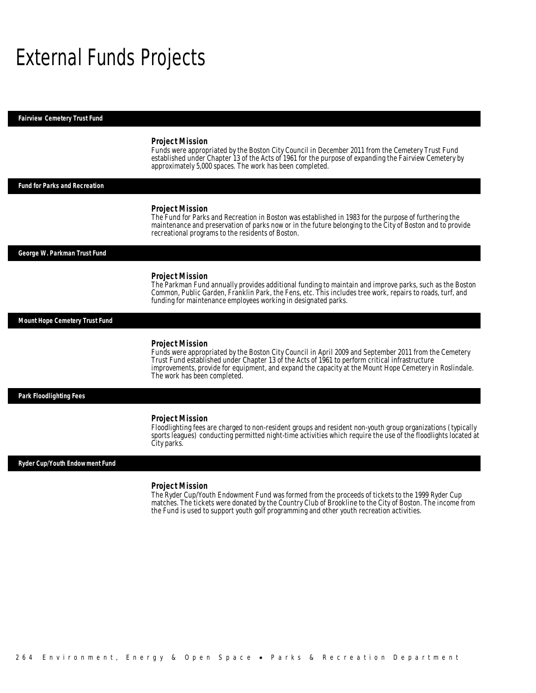## External Funds Projects

*Fairview Cemetery Trust Fund* 

#### *Project Mission*

Funds were appropriated by the Boston City Council in December 2011 from the Cemetery Trust Fund established under Chapter 13 of the Acts of 1961 for the purpose of expanding the Fairview Cemetery by approximately 5,000 spaces. The work has been completed.

## *Fund for Parks and Recreation*

#### *Project Mission*

The Fund for Parks and Recreation in Boston was established in 1983 for the purpose of furthering the maintenance and preservation of parks now or in the future belonging to the City of Boston and to provide recreational programs to the residents of Boston.

*George W. Parkman Trust Fund* 

#### *Project Mission*

The Parkman Fund annually provides additional funding to maintain and improve parks, such as the Boston Common, Public Garden, Franklin Park, the Fens, etc. This includes tree work, repairs to roads, turf, and funding for maintenance employees working in designated parks.

*Mount Hope Cemetery Trust Fund* 

#### *Project Mission*

Funds were appropriated by the Boston City Council in April 2009 and September 2011 from the Cemetery Trust Fund established under Chapter 13 of the Acts of 1961 to perform critical infrastructure improvements, provide for equipment, and expand the capacity at the Mount Hope Cemetery in Roslindale. The work has been completed.

#### *Park Floodlighting Fees*

#### *Project Mission*

Floodlighting fees are charged to non-resident groups and resident non-youth group organizations (typically sports leagues) conducting permitted night-time activities which require the use of the floodlights located at City parks.

#### *Ryder Cup/Youth Endowment Fund*

#### *Project Mission*

The Ryder Cup/Youth Endowment Fund was formed from the proceeds of tickets to the 1999 Ryder Cup matches. The tickets were donated by the Country Club of Brookline to the City of Boston. The income from the Fund is used to support youth golf programming and other youth recreation activities.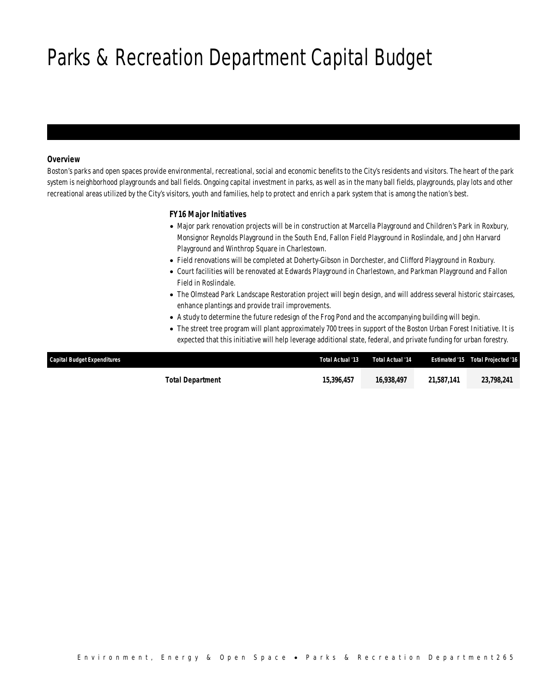# Parks & Recreation Department Capital Budget

## *Overview*

Boston's parks and open spaces provide environmental, recreational, social and economic benefits to the City's residents and visitors. The heart of the park system is neighborhood playgrounds and ball fields. Ongoing capital investment in parks, as well as in the many ball fields, playgrounds, play lots and other recreational areas utilized by the City's visitors, youth and families, help to protect and enrich a park system that is among the nation's best.

## *FY16 Major Initiatives*

- Major park renovation projects will be in construction at Marcella Playground and Children's Park in Roxbury, Monsignor Reynolds Playground in the South End, Fallon Field Playground in Roslindale, and John Harvard Playground and Winthrop Square in Charlestown.
- Field renovations will be completed at Doherty-Gibson in Dorchester, and Clifford Playground in Roxbury.
- Court facilities will be renovated at Edwards Playground in Charlestown, and Parkman Playground and Fallon Field in Roslindale.
- The Olmstead Park Landscape Restoration project will begin design, and will address several historic staircases, enhance plantings and provide trail improvements.
- A study to determine the future redesign of the Frog Pond and the accompanying building will begin.
- The street tree program will plant approximately 700 trees in support of the Boston Urban Forest Initiative. It is expected that this initiative will help leverage additional state, federal, and private funding for urban forestry.

| <b>Capital Budget Expenditures</b> | Total Actual '13 | Total Actual '14 |            | <b>Estimated '15 Total Projected '16</b> |
|------------------------------------|------------------|------------------|------------|------------------------------------------|
| Total Department                   | 15,396,457       | 16,938,497       | 21,587,141 | 23.798.241                               |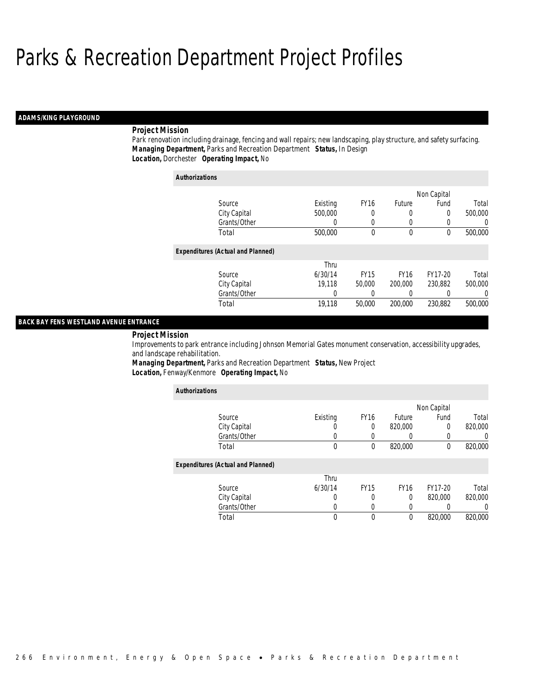## *ADAMS/KING PLAYGROUND*

## *Project Mission*

Park renovation including drainage, fencing and wall repairs; new landscaping, play structure, and safety surfacing. *Managing Department,* Parks and Recreation Department *Status,* In Design*Location,* Dorchester *Operating Impact,* No

| <b>Authorizations</b>                    |          |             |               |             |          |
|------------------------------------------|----------|-------------|---------------|-------------|----------|
|                                          |          |             |               | Non Capital |          |
| Source                                   | Existing | <b>FY16</b> | <b>Future</b> | Fund        | Total    |
| City Capital                             | 500,000  | 0           | 0             | 0           | 500,000  |
| Grants/Other                             | 0        | 0           | 0             | 0           | $\Omega$ |
| Total                                    | 500,000  | 0           | 0             | 0           | 500,000  |
| <b>Expenditures (Actual and Planned)</b> |          |             |               |             |          |
|                                          | Thru     |             |               |             |          |
| Source                                   | 6/30/14  | <b>FY15</b> | <b>FY16</b>   | FY17-20     | Total    |
| City Capital                             | 19.118   | 50,000      | 200,000       | 230.882     | 500,000  |
| Grants/Other                             | $\left($ | 0           | 0             | 0           | $\Omega$ |
| Total                                    | 19,118   | 50,000      | 200,000       | 230.882     | 500,000  |

## *BACK BAY FENS WESTLAND AVENUE ENTRANCE*

*Project Mission* 

Improvements to park entrance including Johnson Memorial Gates monument conservation, accessibility upgrades, and landscape rehabilitation.

*Managing Department,* Parks and Recreation Department *Status,* New Project*Location,* Fenway/Kenmore *Operating Impact,* No

| <b>Authorizations</b>                    |          |                  |             |             |                  |
|------------------------------------------|----------|------------------|-------------|-------------|------------------|
|                                          |          |                  |             | Non Capital |                  |
| Source                                   | Existing | FY <sub>16</sub> | Future      | Fund        | Total            |
| City Capital                             |          | 0                | 820,000     | 0           | 820,000          |
| Grants/Other                             |          |                  |             |             |                  |
| Total                                    | 0        | $\theta$         | 820,000     | $\theta$    | 820,000          |
| <b>Expenditures (Actual and Planned)</b> |          |                  |             |             |                  |
|                                          | Thru     |                  |             |             |                  |
| Source                                   | 6/30/14  | <b>FY15</b>      | <b>FY16</b> | FY17-20     | Total            |
| City Capital                             | 0        | 0                | 0           | 820,000     | 820,000          |
| Grants/Other                             |          |                  |             | 0           | $\left( \right)$ |
| Total                                    | 0        | $\theta$         | $\theta$    | 820,000     | 820,000          |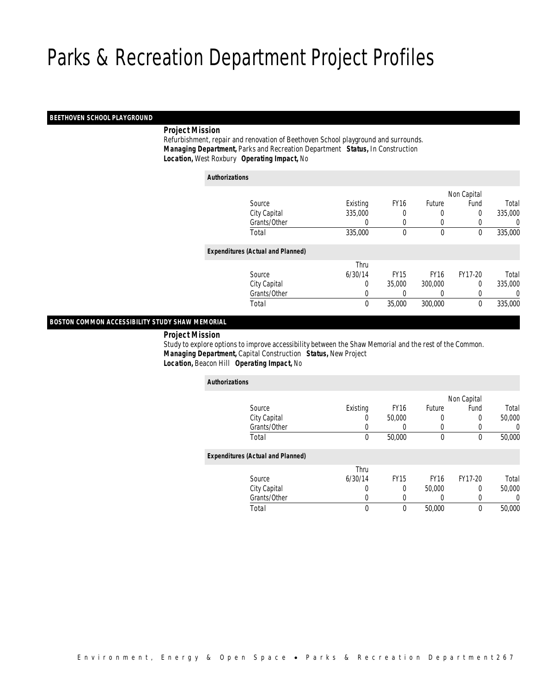## *BEETHOVEN SCHOOL PLAYGROUND*

## *Project Mission*

 Refurbishment, repair and renovation of Beethoven School playground and surrounds. *Managing Department,* Parks and Recreation Department *Status,* In Construction*Location,* West Roxbury *Operating Impact,* No

| <b>Authorizations</b>                    |          |              |              |              |         |
|------------------------------------------|----------|--------------|--------------|--------------|---------|
|                                          |          |              |              | Non Capital  |         |
| Source                                   | Existing | <b>FY16</b>  | Future       | Fund         | Total   |
| City Capital                             | 335,000  | 0            | 0            | 0            | 335,000 |
| Grants/Other                             | 0        | 0            | 0            | 0            | 0       |
| Total                                    | 335,000  | $\mathbf{0}$ | $\mathbf{0}$ | $\mathbf{0}$ | 335,000 |
| <b>Expenditures (Actual and Planned)</b> |          |              |              |              |         |
|                                          | Thru     |              |              |              |         |
| Source                                   | 6/30/14  | <b>FY15</b>  | <b>FY16</b>  | FY17-20      | Total   |
| City Capital                             | 0        | 35,000       | 300,000      | 0            | 335,000 |
| Grants/Other                             | 0        | 0            | 0            | 0            | 0       |
| Total                                    | 0        | 35,000       | 300,000      | 0            | 335,000 |

## *BOSTON COMMON ACCESSIBILITY STUDY SHAW MEMORIAL*

## *Project Mission*

 Study to explore options to improve accessibility between the Shaw Memorial and the rest of the Common. *Managing Department,* Capital Construction *Status,* New Project*Location,* Beacon Hill *Operating Impact,* No

| <b>Authorizations</b>                    |                  |             |              |                  |        |
|------------------------------------------|------------------|-------------|--------------|------------------|--------|
|                                          |                  |             |              | Non Capital      |        |
| Source                                   | Existing         | <b>FY16</b> | Future       | Fund             | Total  |
| City Capital                             | $\left( \right)$ | 50,000      | 0            | 0                | 50,000 |
| Grants/Other                             | 0                | 0           | 0            |                  | 0      |
| Total                                    | 0                | 50,000      | $\mathbf{0}$ | $\boldsymbol{0}$ | 50,000 |
| <b>Expenditures (Actual and Planned)</b> |                  |             |              |                  |        |
|                                          | Thru             |             |              |                  |        |
| Source                                   | 6/30/14          | <b>FY15</b> | <b>FY16</b>  | FY17-20          | Total  |
| City Capital                             | 0                | 0           | 50,000       | 0                | 50,000 |
| Grants/Other                             | 0                | 0           | 0            | 0                | 0      |
| Total                                    | 0                | 0           | 50,000       | $\boldsymbol{0}$ | 50,000 |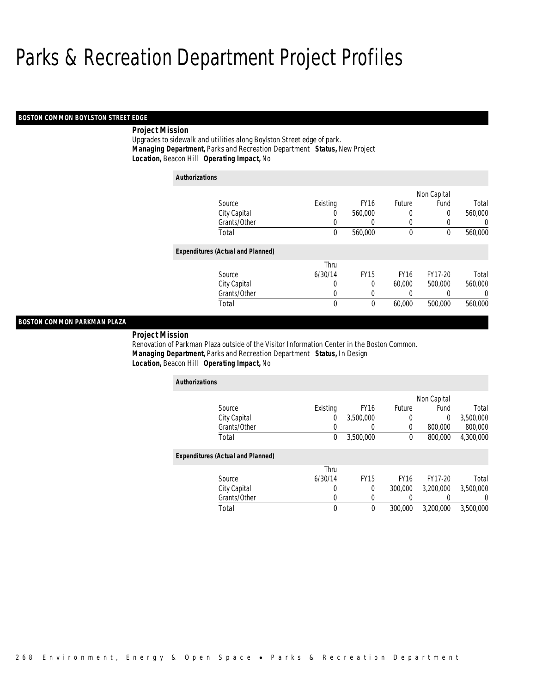## *BOSTON COMMON BOYLSTON STREET EDGE*

## *Project Mission*

Upgrades to sidewalk and utilities along Boylston Street edge of park. *Managing Department,* Parks and Recreation Department *Status,* New Project*Location,* Beacon Hill *Operating Impact,* No

| <b>Authorizations</b>                    |          |             |             |             |                |
|------------------------------------------|----------|-------------|-------------|-------------|----------------|
|                                          |          |             |             | Non Capital |                |
| Source                                   | Existing | <b>FY16</b> | Future      | Fund        | Total          |
| City Capital                             | 0        | 560.000     | 0           | 0           | 560,000        |
| Grants/Other                             | 0        | 0           | 0           | 0           | $\overline{0}$ |
| Total                                    | 0        | 560,000     | 0           | 0           | 560,000        |
| <b>Expenditures (Actual and Planned)</b> |          |             |             |             |                |
|                                          | Thru     |             |             |             |                |
| Source                                   | 6/30/14  | <b>FY15</b> | <b>FY16</b> | FY17-20     | Total          |
| City Capital                             | 0        | 0           | 60,000      | 500,000     | 560,000        |
| Grants/Other                             | 0        | 0           | 0           |             | $\overline{0}$ |
| Total                                    | 0        | 0           | 60,000      | 500,000     | 560,000        |

## *BOSTON COMMON PARKMAN PLAZA*

*Project Mission* 

Renovation of Parkman Plaza outside of the Visitor Information Center in the Boston Common. *Managing Department,* Parks and Recreation Department *Status,* In Design*Location,* Beacon Hill *Operating Impact,* No

| <b>Authorizations</b>                    |          |                  |             |             |           |
|------------------------------------------|----------|------------------|-------------|-------------|-----------|
|                                          |          |                  |             | Non Capital |           |
| Source                                   | Existing | <b>FY16</b>      | Future      | Fund        | Total     |
| City Capital                             | 0        | 3,500,000        | 0           | $\theta$    | 3,500,000 |
| Grants/Other                             | 0        | $\left( \right)$ | 0           | 800,000     | 800,000   |
| Total                                    | 0        | 3,500,000        | 0           | 800,000     | 4,300,000 |
| <b>Expenditures (Actual and Planned)</b> |          |                  |             |             |           |
|                                          | Thru     |                  |             |             |           |
| Source                                   | 6/30/14  | <b>FY15</b>      | <b>FY16</b> | FY17-20     | Total     |
| City Capital                             | 0        | 0                | 300,000     | 3.200.000   | 3.500.000 |
| Grants/Other                             | 0        | $\left($         |             |             | $\left($  |
| Total                                    | 0        | $\theta$         | 300,000     | 3,200,000   | 3,500,000 |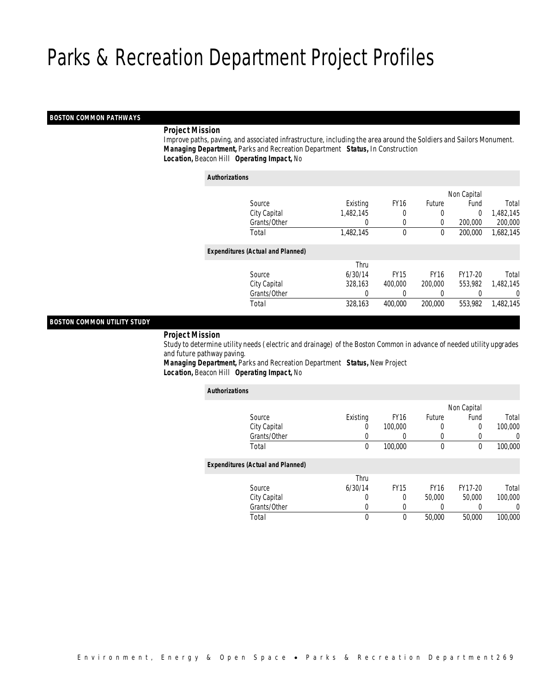## *BOSTON COMMON PATHWAYS*

## *Project Mission*

 Improve paths, paving, and associated infrastructure, including the area around the Soldiers and Sailors Monument. *Managing Department,* Parks and Recreation Department *Status,* In Construction*Location,* Beacon Hill *Operating Impact,* No

| <b>Authorizations</b>                    |                  |             |               |             |           |
|------------------------------------------|------------------|-------------|---------------|-------------|-----------|
|                                          |                  |             |               | Non Capital |           |
| Source                                   | Existing         | <b>FY16</b> | <b>Future</b> | Fund        | Total     |
| City Capital                             | 1,482,145        | 0           | 0             | $\Omega$    | 1,482,145 |
| Grants/Other                             | $\left( \right)$ | 0           | 0             | 200,000     | 200,000   |
| Total                                    | 1,482,145        | 0           | 0             | 200,000     | 1,682,145 |
| <b>Expenditures (Actual and Planned)</b> |                  |             |               |             |           |
|                                          | Thru             |             |               |             |           |
| Source                                   | 6/30/14          | <b>FY15</b> | <b>FY16</b>   | FY17-20     | Total     |
| City Capital                             | 328,163          | 400,000     | 200,000       | 553.982     | 1,482,145 |
| Grants/Other                             | 0                |             |               |             | 0         |
| Total                                    | 328,163          | 400.000     | 200,000       | 553,982     | 1.482.145 |
|                                          |                  |             |               |             |           |

## *BOSTON COMMON UTILITY STUDY*

#### *Project Mission*

 Study to determine utility needs (electric and drainage) of the Boston Common in advance of needed utility upgrades and future pathway paving.

*Managing Department,* Parks and Recreation Department *Status,* New Project*Location,* Beacon Hill *Operating Impact,* No

| <b>Authorizations</b> |                                          |          |             |             |             |         |
|-----------------------|------------------------------------------|----------|-------------|-------------|-------------|---------|
|                       |                                          |          |             |             | Non Capital |         |
|                       | Source                                   | Existing | <b>FY16</b> | Future      | Fund        | Total   |
|                       | City Capital                             | 0        | 100,000     | 0           | 0           | 100,000 |
|                       | Grants/Other                             | 0        | 0           |             |             | 0       |
|                       | Total                                    | 0        | 100,000     | $\mathbf 0$ | 0           | 100,000 |
|                       | <b>Expenditures (Actual and Planned)</b> |          |             |             |             |         |
|                       |                                          | Thru     |             |             |             |         |
|                       | Source                                   | 6/30/14  | <b>FY15</b> | <b>FY16</b> | FY17-20     | Total   |
|                       | City Capital                             | $\Omega$ | 0           | 50,000      | 50,000      | 100,000 |
|                       | Grants/Other                             | 0        | 0           | 0           | 0           | 0       |
|                       | Total                                    | 0        | 0           | 50,000      | 50,000      | 100,000 |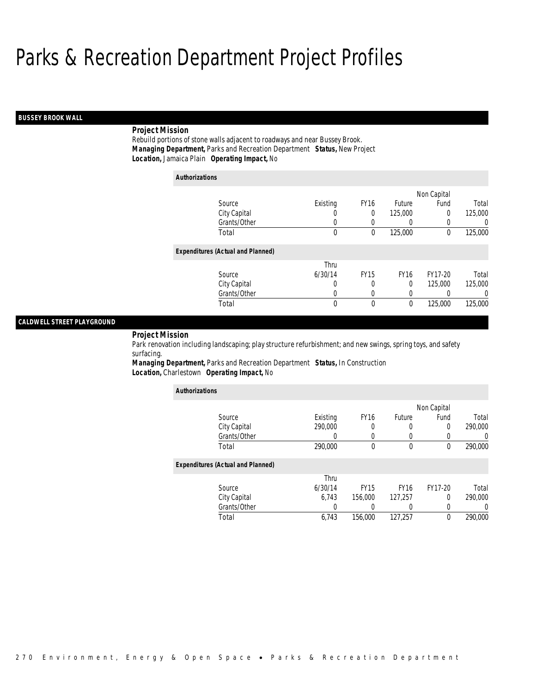## *BUSSEY BROOK WALL*

## *Project Mission*

Rebuild portions of stone walls adjacent to roadways and near Bussey Brook. *Managing Department,* Parks and Recreation Department *Status,* New Project*Location,* Jamaica Plain *Operating Impact,* No

| <b>Authorizations</b>                    |          |             |             |             |          |
|------------------------------------------|----------|-------------|-------------|-------------|----------|
|                                          |          |             |             | Non Capital |          |
| Source                                   | Existing | <b>FY16</b> | Future      | Fund        | Total    |
| City Capital                             | U        | 0           | 125,000     | 0           | 125,000  |
| Grants/Other                             | $\left($ | $\left($    | 0           | 0           | $\Omega$ |
| Total                                    | 0        | 0           | 125,000     | $\Omega$    | 125,000  |
| <b>Expenditures (Actual and Planned)</b> |          |             |             |             |          |
|                                          | Thru     |             |             |             |          |
| Source                                   | 6/30/14  | <b>FY15</b> | <b>FY16</b> | FY17-20     | Total    |
| City Capital                             | 0        | 0           | $\theta$    | 125,000     | 125,000  |
| Grants/Other                             | 0        | 0           | 0           |             | 0        |
| Total                                    | $\theta$ | $\theta$    | 0           | 125,000     | 125,000  |

## *CALDWELL STREET PLAYGROUND*

*Project Mission* 

Park renovation including landscaping; play structure refurbishment; and new swings, spring toys, and safety surfacing.

*Managing Department,* Parks and Recreation Department *Status,* In Construction*Location,* Charlestown *Operating Impact,* No

| <b>Authorizations</b>                    |                  |                  |              |             |         |
|------------------------------------------|------------------|------------------|--------------|-------------|---------|
|                                          |                  |                  |              | Non Capital |         |
| Source                                   | Existing         | FY <sub>16</sub> | Future       | Fund        | Total   |
| City Capital                             | 290,000          | 0                | 0            | $\mathbf 0$ | 290,000 |
| Grants/Other                             |                  | 0                | 0            | 0           |         |
| Total                                    | 290,000          | $\theta$         | $\mathbf{0}$ | $\theta$    | 290,000 |
| <b>Expenditures (Actual and Planned)</b> |                  |                  |              |             |         |
|                                          | Thru             |                  |              |             |         |
| Source                                   | 6/30/14          | <b>FY15</b>      | <b>FY16</b>  | FY17-20     | Total   |
| City Capital                             | 6.743            | 156,000          | 127,257      | $\Omega$    | 290,000 |
| Grants/Other                             | $\left( \right)$ |                  | 0            | $\Omega$    |         |
| Total                                    | 6,743            | 156,000          | 127.257      | $\theta$    | 290,000 |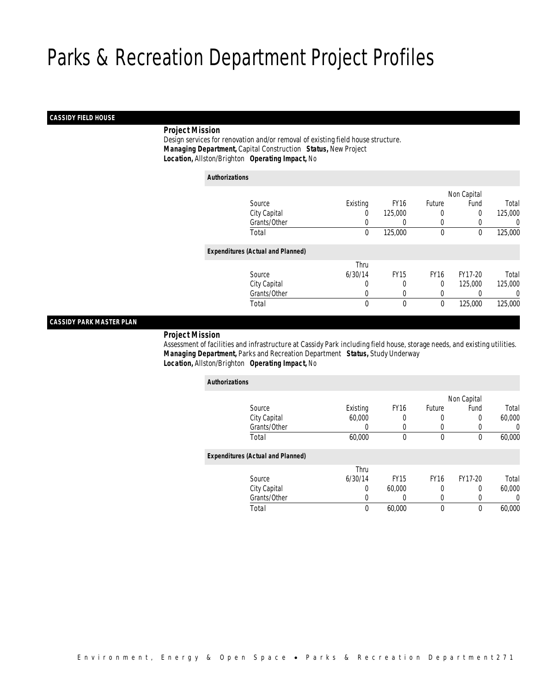## *CASSIDY FIELD HOUSE*

## *Project Mission*

 Design services for renovation and/or removal of existing field house structure. *Managing Department,* Capital Construction *Status,* New Project*Location,* Allston/Brighton *Operating Impact,* No

| <b>Authorizations</b>                    |          |                  |             |             |         |
|------------------------------------------|----------|------------------|-------------|-------------|---------|
|                                          |          |                  |             | Non Capital |         |
| Source                                   | Existing | FY <sub>16</sub> | Future      | Fund        | Total   |
| City Capital                             | 0        | 125,000          | 0           | 0           | 125,000 |
| Grants/Other                             | 0        | 0                |             | 0           |         |
| Total                                    | $\theta$ | 125,000          | $\theta$    | 0           | 125,000 |
| <b>Expenditures (Actual and Planned)</b> |          |                  |             |             |         |
|                                          | Thru     |                  |             |             |         |
| Source                                   | 6/30/14  | <b>FY15</b>      | <b>FY16</b> | FY17-20     | Total   |
| City Capital                             | 0        | 0                | 0           | 125,000     | 125,000 |
| Grants/Other                             | 0        | 0                |             | 0           |         |
| Total                                    | 0        | 0                | 0           | 125,000     | 125,000 |

## *CASSIDY PARK MASTER PLAN*

#### *Project Mission*

 Assessment of facilities and infrastructure at Cassidy Park including field house, storage needs, and existing utilities. *Managing Department,* Parks and Recreation Department *Status,* Study Underway*Location,* Allston/Brighton *Operating Impact,* No

| <b>Authorizations</b>                    |          |             |             |             |        |
|------------------------------------------|----------|-------------|-------------|-------------|--------|
|                                          |          |             |             | Non Capital |        |
| Source                                   | Existing | <b>FY16</b> | Future      | Fund        | Total  |
| City Capital                             | 60,000   |             | 0           | 0           | 60,000 |
| Grants/Other                             | 0        | 0           | $\left($    | 0           | 0      |
| Total                                    | 60,000   | 0           | $\mathbf 0$ | 0           | 60,000 |
| <b>Expenditures (Actual and Planned)</b> |          |             |             |             |        |
|                                          | Thru     |             |             |             |        |
| Source                                   | 6/30/14  | <b>FY15</b> | <b>FY16</b> | FY17-20     | Total  |
| City Capital                             | 0        | 60,000      | 0           | 0           | 60,000 |
| Grants/Other                             | 0        | 0           | 0           | 0           | 0      |
| Total                                    | 0        | 60,000      | $\mathbf 0$ | 0           | 60,000 |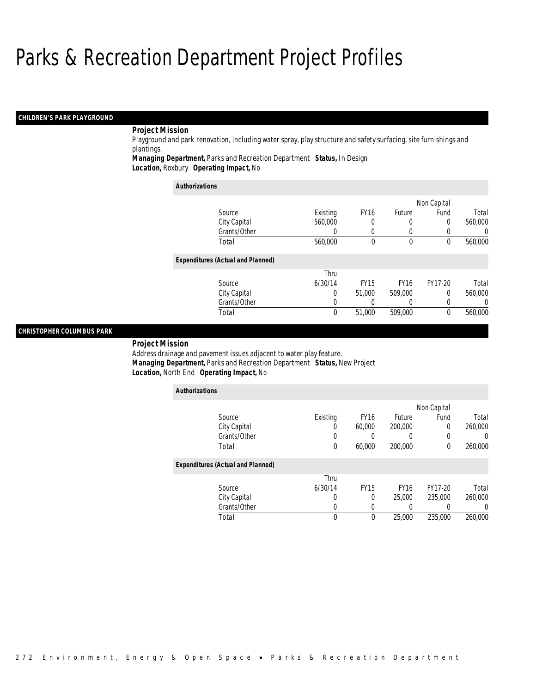## *CHILDREN'S PARK PLAYGROUND*

## *Project Mission*

Playground and park renovation, including water spray, play structure and safety surfacing, site furnishings and plantings.

*Managing Department,* Parks and Recreation Department *Status,* In Design*Location,* Roxbury *Operating Impact,* No

| <b>Authorizations</b>                    |          |                  |             |             |                  |
|------------------------------------------|----------|------------------|-------------|-------------|------------------|
|                                          |          |                  |             | Non Capital |                  |
| Source                                   | Existing | FY <sub>16</sub> | Future      | Fund        | Total            |
| City Capital                             | 560,000  | $\Omega$         | 0           | 0           | 560,000          |
| Grants/Other                             | U        | 0                | 0           | 0           | $\left( \right)$ |
| Total                                    | 560,000  | $\Omega$         | $\theta$    | $\Omega$    | 560,000          |
| <b>Expenditures (Actual and Planned)</b> |          |                  |             |             |                  |
|                                          | Thru     |                  |             |             |                  |
| Source                                   | 6/30/14  | <b>FY15</b>      | <b>FY16</b> | FY17-20     | Total            |
| City Capital                             | 0        | 51,000           | 509,000     | 0           | 560,000          |
| Grants/Other                             | 0        |                  |             | 0           | $\left( \right)$ |
| Total                                    | 0        | 51,000           | 509,000     | 0           | 560,000          |

## *CHRISTOPHER COLUMBUS PARK*

#### *Project Mission*

Address drainage and pavement issues adjacent to water play feature. *Managing Department,* Parks and Recreation Department *Status,* New Project*Location,* North End *Operating Impact,* No

| <b>Authorizations</b>                    |          |             |                  |             |         |
|------------------------------------------|----------|-------------|------------------|-------------|---------|
|                                          |          |             |                  | Non Capital |         |
| Source                                   | Existing | <b>FY16</b> | Future           | Fund        | Total   |
| City Capital                             | O        | 60,000      | 200,000          | $\Omega$    | 260,000 |
| Grants/Other                             | U        |             | $\left( \right)$ | 0           | U       |
| Total                                    | 0        | 60,000      | 200,000          | $\Omega$    | 260,000 |
| <b>Expenditures (Actual and Planned)</b> |          |             |                  |             |         |
|                                          | Thru     |             |                  |             |         |
| Source                                   | 6/30/14  | <b>FY15</b> | <b>FY16</b>      | FY17-20     | Total   |
| City Capital                             | 0        | 0           | 25,000           | 235,000     | 260,000 |
| Grants/Other                             | 0        | 0           | 0                |             |         |
| Total                                    | 0        | 0           | 25,000           | 235,000     | 260,000 |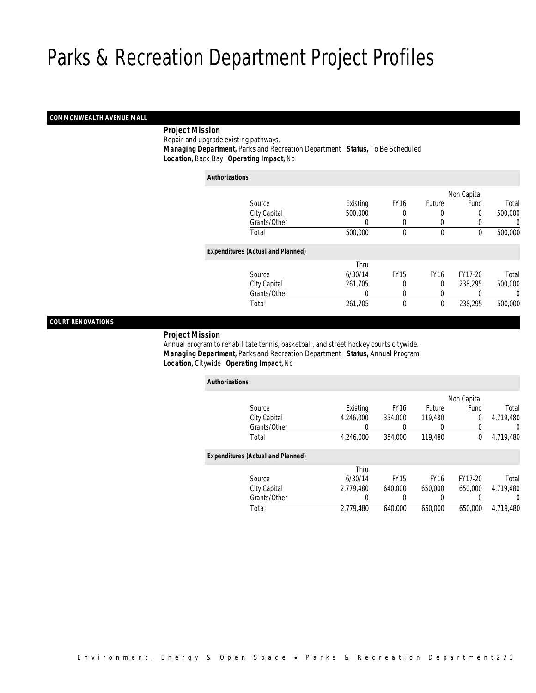## *COMMONWEALTH AVENUE MALL*

## *Project Mission*

Repair and upgrade existing pathways.

 *Managing Department,* Parks and Recreation Department *Status,* To Be Scheduled*Location,* Back Bay *Operating Impact,* No

| <b>Authorizations</b>                    |          |             |               |             |         |
|------------------------------------------|----------|-------------|---------------|-------------|---------|
|                                          |          |             |               | Non Capital |         |
| Source                                   | Existing | <b>FY16</b> | <b>Future</b> | Fund        | Total   |
| City Capital                             | 500,000  |             | 0             | 0           | 500,000 |
| Grants/Other                             | 0        |             | 0             |             | 0       |
| Total                                    | 500,000  | 0           | $\mathbf 0$   | 0           | 500,000 |
| <b>Expenditures (Actual and Planned)</b> |          |             |               |             |         |
|                                          | Thru     |             |               |             |         |
| Source                                   | 6/30/14  | <b>FY15</b> | <b>FY16</b>   | FY17-20     | Total   |
| City Capital                             | 261,705  | 0           | $\Omega$      | 238,295     | 500,000 |
| Grants/Other                             | 0        |             |               |             | 0       |
| Total                                    | 261,705  | $\theta$    | 0             | 238,295     | 500,000 |
|                                          |          |             |               |             |         |

## *COURT RENOVATIONS*

#### *Project Mission*

 Annual program to rehabilitate tennis, basketball, and street hockey courts citywide. *Managing Department,* Parks and Recreation Department *Status,* Annual Program*Location,* Citywide *Operating Impact,* No

| <b>Authorizations</b>                    |           |             |             |             |           |
|------------------------------------------|-----------|-------------|-------------|-------------|-----------|
|                                          |           |             |             | Non Capital |           |
| Source                                   | Existing  | <b>FY16</b> | Future      | Fund        | Total     |
| City Capital                             | 4.246.000 | 354,000     | 119,480     | 0           | 4,719,480 |
| Grants/Other                             | 0         |             | 0           | 0           | 0         |
| Total                                    | 4,246,000 | 354,000     | 119,480     | 0           | 4,719,480 |
| <b>Expenditures (Actual and Planned)</b> |           |             |             |             |           |
|                                          | Thru      |             |             |             |           |
| Source                                   | 6/30/14   | <b>FY15</b> | <b>FY16</b> | FY17-20     | Total     |
| City Capital                             | 2.779.480 | 640.000     | 650,000     | 650,000     | 4.719.480 |
| Grants/Other                             | 0         | 0           | 0           | 0           | $\left($  |
| Total                                    | 2.779.480 | 640.000     | 650,000     | 650.000     | 4.719.480 |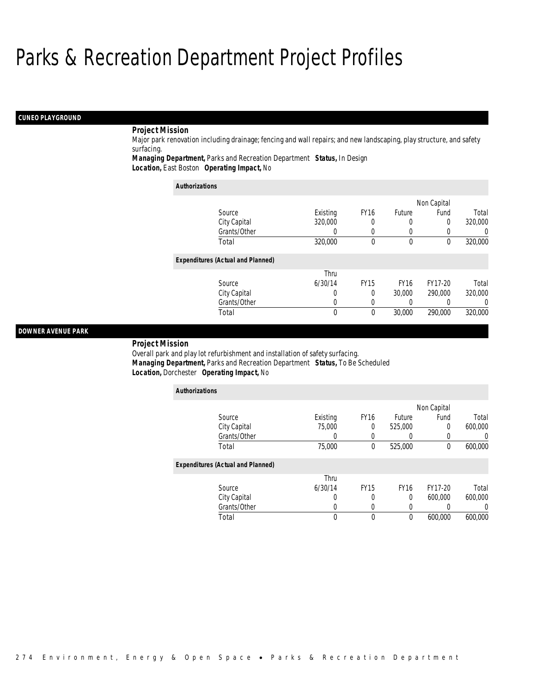## *CUNEO PLAYGROUND*

## *Project Mission*

Major park renovation including drainage; fencing and wall repairs; and new landscaping, play structure, and safety surfacing.

*Managing Department,* Parks and Recreation Department *Status,* In Design*Location,* East Boston *Operating Impact,* No

| <b>Authorizations</b>                    |          |             |             |             |                  |
|------------------------------------------|----------|-------------|-------------|-------------|------------------|
|                                          |          |             |             | Non Capital |                  |
| Source                                   | Existing | <b>FY16</b> | Future      | Fund        | Total            |
| City Capital                             | 320,000  | 0           |             | 0           | 320,000          |
| Grants/Other                             | 0        | 0           |             |             | 0                |
| Total                                    | 320,000  | 0           | $\mathbf 0$ | 0           | 320,000          |
| <b>Expenditures (Actual and Planned)</b> |          |             |             |             |                  |
|                                          | Thru     |             |             |             |                  |
| Source                                   | 6/30/14  | <b>FY15</b> | <b>FY16</b> | FY17-20     | Total            |
| City Capital                             | 0        | 0           | 30,000      | 290,000     | 320,000          |
| Grants/Other                             | 0        | 0           |             |             | $\left( \right)$ |
| Total                                    | 0        | 0           | 30,000      | 290,000     | 320,000          |

## *DOWNER AVENUE PARK*

#### *Project Mission*

Overall park and play lot refurbishment and installation of safety surfacing. *Managing Department,* Parks and Recreation Department *Status,* To Be Scheduled*Location,* Dorchester *Operating Impact,* No

| <b>Authorizations</b>                    |          |             |             |             |         |
|------------------------------------------|----------|-------------|-------------|-------------|---------|
|                                          |          |             |             | Non Capital |         |
| Source                                   | Existing | FY16        | Future      | Fund        | Total   |
| City Capital                             | 75,000   | $\Omega$    | 525,000     | 0           | 600,000 |
| Grants/Other                             |          | 0           |             | 0           | 0       |
| Total                                    | 75,000   | $\theta$    | 525,000     | 0           | 600,000 |
| <b>Expenditures (Actual and Planned)</b> |          |             |             |             |         |
|                                          | Thru     |             |             |             |         |
| Source                                   | 6/30/14  | <b>FY15</b> | <b>FY16</b> | FY17-20     | Total   |
| City Capital                             | 0        | 0           | $\theta$    | 600.000     | 600,000 |
| Grants/Other                             | U        | 0           | 0           |             |         |
| Total                                    |          | 0           | 0           | 600.000     | 600,000 |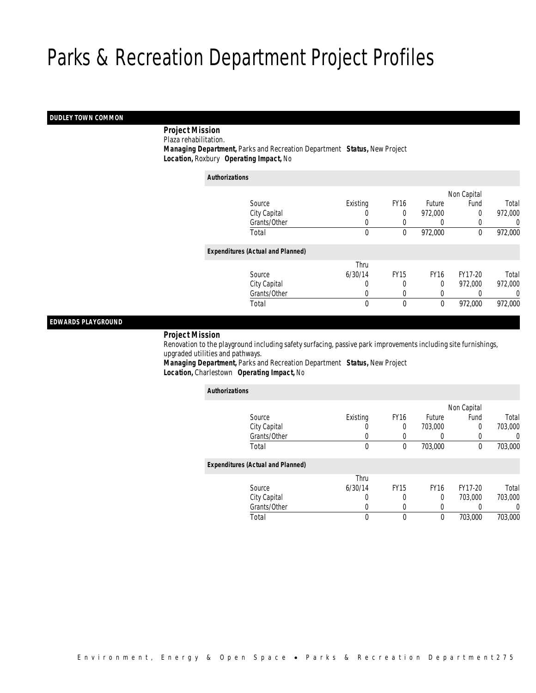## *DUDLEY TOWN COMMON*

*Project Mission*

Plaza rehabilitation.

 *Managing Department,* Parks and Recreation Department *Status,* New Project*Location,* Roxbury *Operating Impact,* No

| <b>Authorizations</b> |                                          |                  |             |               |             |         |
|-----------------------|------------------------------------------|------------------|-------------|---------------|-------------|---------|
|                       |                                          |                  |             |               | Non Capital |         |
|                       | Source                                   | Existing         | <b>FY16</b> | <b>Future</b> | Fund        | Total   |
|                       | City Capital                             | $\left( \right)$ | $\Omega$    | 972,000       | 0           | 972,000 |
|                       | Grants/Other                             | 0                |             | $\left($      |             | 0       |
|                       | Total                                    | $\mathbf{0}$     | 0           | 972,000       | 0           | 972,000 |
|                       | <b>Expenditures (Actual and Planned)</b> |                  |             |               |             |         |
|                       |                                          | Thru             |             |               |             |         |
|                       | Source                                   | 6/30/14          | <b>FY15</b> | <b>FY16</b>   | FY17-20     | Total   |
|                       | City Capital                             | 0                | 0           | $\theta$      | 972.000     | 972,000 |
|                       | Grants/Other                             | 0                | 0           | 0             |             | 0       |
|                       | Total                                    | 0                | $\theta$    | 0             | 972,000     | 972,000 |

## *EDWARDS PLAYGROUND*

## *Project Mission*

 Renovation to the playground including safety surfacing, passive park improvements including site furnishings, upgraded utilities and pathways.

*Managing Department,* Parks and Recreation Department *Status,* New Project*Location,* Charlestown *Operating Impact,* No

| <b>Authorizations</b>                    |             |             |             |             |          |
|------------------------------------------|-------------|-------------|-------------|-------------|----------|
|                                          |             |             |             | Non Capital |          |
| Source                                   | Existing    | <b>FY16</b> | Future      | Fund        | Total    |
| City Capital                             | U           | 0           | 703,000     | 0           | 703,000  |
| Grants/Other                             |             | 0           | 0           |             | 0        |
| Total                                    | $\mathbf 0$ | 0           | 703,000     | 0           | 703,000  |
| <b>Expenditures (Actual and Planned)</b> |             |             |             |             |          |
|                                          | Thru        |             |             |             |          |
| Source                                   | 6/30/14     | <b>FY15</b> | <b>FY16</b> | FY17-20     | Total    |
| City Capital                             | 0           | 0           | 0           | 703,000     | 703,000  |
| Grants/Other                             | 0           | 0           | 0           |             | $\Omega$ |
| Total                                    | 0           | 0           | 0           | 703,000     | 703,000  |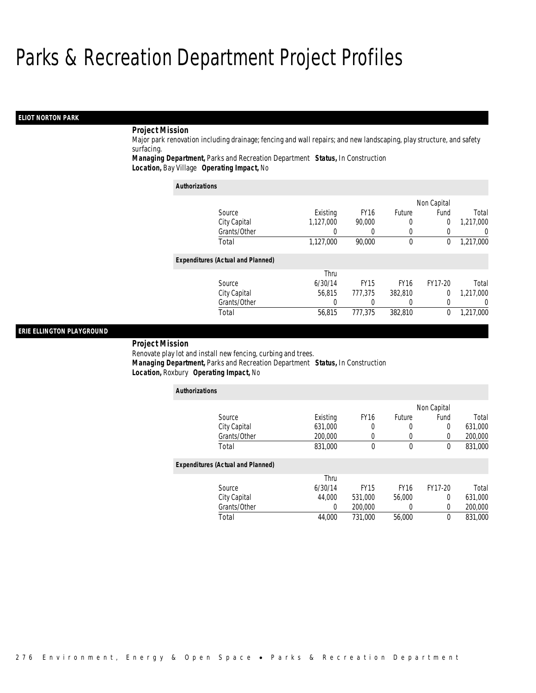## *ELIOT NORTON PARK*

## *Project Mission*

Major park renovation including drainage; fencing and wall repairs; and new landscaping, play structure, and safety surfacing.

*Managing Department,* Parks and Recreation Department *Status,* In Construction*Location,* Bay Village *Operating Impact,* No

| <b>Authorizations</b>                    |           |             |             |             |                  |
|------------------------------------------|-----------|-------------|-------------|-------------|------------------|
|                                          |           |             |             | Non Capital |                  |
| Source                                   | Existing  | <b>FY16</b> | Future      | Fund        | Total            |
| City Capital                             | 1,127,000 | 90.000      | 0           | 0           | 1,217,000        |
| Grants/Other                             | 0         | 0           |             | $\Omega$    | $\left( \right)$ |
| Total                                    | 1,127,000 | 90,000      | 0           | 0           | 1,217,000        |
| <b>Expenditures (Actual and Planned)</b> |           |             |             |             |                  |
|                                          | Thru      |             |             |             |                  |
| Source                                   | 6/30/14   | <b>FY15</b> | <b>FY16</b> | FY17-20     | Total            |
| City Capital                             | 56.815    | 777,375     | 382,810     | 0           | 1,217,000        |
| Grants/Other                             | 0         | 0           | $\left($    | 0           | 0                |
| Total                                    | 56.815    | 777.375     | 382,810     | 0           | 1.217.000        |

## *ERIE ELLINGTON PLAYGROUND*

#### *Project Mission*

*Authorizations*

Renovate play lot and install new fencing, curbing and trees. *Managing Department,* Parks and Recreation Department *Status,* In Construction*Location,* Roxbury *Operating Impact,* No

| <b>Authorizations</b>                    |          |             |             |             |         |
|------------------------------------------|----------|-------------|-------------|-------------|---------|
|                                          |          |             |             | Non Capital |         |
| Source                                   | Existing | <b>FY16</b> | Future      | Fund        | Total   |
| City Capital                             | 631,000  | 0           | 0           | $\mathbf 0$ | 631,000 |
| Grants/Other                             | 200,000  | 0           | 0           | 0           | 200,000 |
| Total                                    | 831,000  | $\theta$    | 0           | 0           | 831,000 |
| <b>Expenditures (Actual and Planned)</b> |          |             |             |             |         |
|                                          | Thru     |             |             |             |         |
| Source                                   | 6/30/14  | <b>FY15</b> | <b>FY16</b> | FY17-20     | Total   |
| City Capital                             | 44.000   | 531,000     | 56,000      | 0           | 631,000 |
| Grants/Other                             | 0        | 200,000     | 0           | $\mathbf 0$ | 200,000 |
| Total                                    | 44.000   | 731.000     | 56,000      | 0           | 831,000 |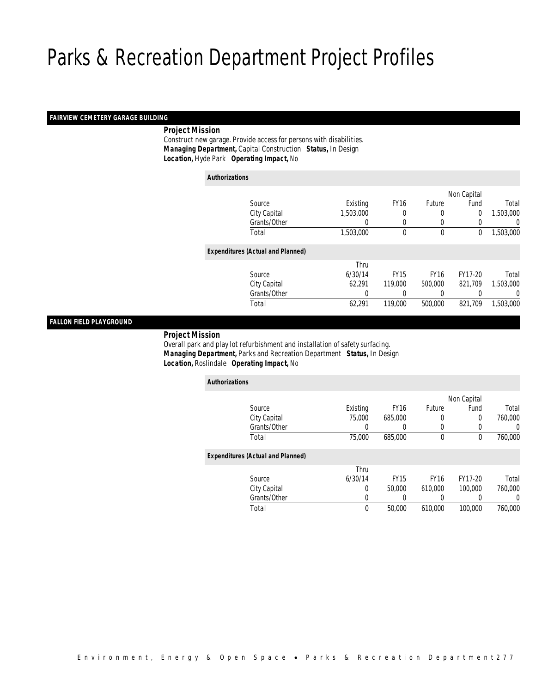## *FAIRVIEW CEMETERY GARAGE BUILDING*

## *Project Mission*

 Construct new garage. Provide access for persons with disabilities. *Managing Department,* Capital Construction *Status,* In Design*Location,* Hyde Park *Operating Impact,* No

| <b>Authorizations</b> |                                          |           |             |             |             |           |
|-----------------------|------------------------------------------|-----------|-------------|-------------|-------------|-----------|
|                       |                                          |           |             |             | Non Capital |           |
|                       | Source                                   | Existing  | <b>FY16</b> | Future      | Fund        | Total     |
|                       | City Capital                             | 1,503,000 | 0           | $\left($    | 0           | 1,503,000 |
|                       | Grants/Other                             | 0         | 0           | 0           |             | 0         |
|                       | Total                                    | 1,503,000 | $\Omega$    | $\theta$    | 0           | 1,503,000 |
|                       | <b>Expenditures (Actual and Planned)</b> |           |             |             |             |           |
|                       |                                          | Thru      |             |             |             |           |
|                       | Source                                   | 6/30/14   | <b>FY15</b> | <b>FY16</b> | FY17-20     | Total     |
|                       | City Capital                             | 62,291    | 119,000     | 500,000     | 821.709     | 1,503,000 |
|                       | Grants/Other                             | 0         |             | $\left($    |             | 0         |
|                       | Total                                    | 62,291    | 119,000     | 500,000     | 821.709     | 1,503,000 |

## *FALLON FIELD PLAYGROUND*

#### *Project Mission*

 Overall park and play lot refurbishment and installation of safety surfacing. *Managing Department,* Parks and Recreation Department *Status,* In Design*Location,* Roslindale *Operating Impact,* No

| <b>Authorizations</b>                    |          |             |             |             |          |
|------------------------------------------|----------|-------------|-------------|-------------|----------|
|                                          |          |             |             | Non Capital |          |
| Source                                   | Existing | <b>FY16</b> | Future      | Fund        | Total    |
| City Capital                             | 75,000   | 685,000     | 0           | $\Omega$    | 760,000  |
| Grants/Other                             | 0        | 0           | 0           | 0           | 0        |
| Total                                    | 75,000   | 685,000     | $\mathbf 0$ | 0           | 760,000  |
| <b>Expenditures (Actual and Planned)</b> |          |             |             |             |          |
|                                          | Thru     |             |             |             |          |
| Source                                   | 6/30/14  | <b>FY15</b> | <b>FY16</b> | FY17-20     | Total    |
| City Capital                             | 0        | 50,000      | 610.000     | 100,000     | 760,000  |
| Grants/Other                             | 0        | 0           |             | 0           | $\Omega$ |
| Total                                    | 0        | 50,000      | 610,000     | 100,000     | 760,000  |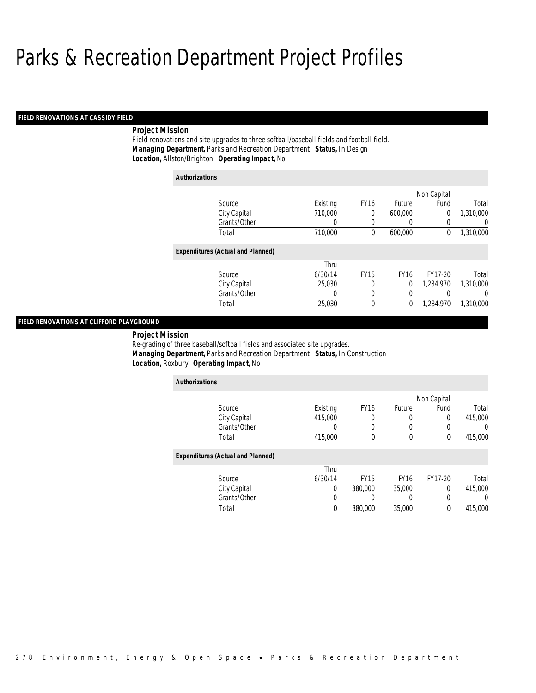## *FIELD RENOVATIONS AT CASSIDY FIELD*

## *Project Mission*

Field renovations and site upgrades to three softball/baseball fields and football field. *Managing Department,* Parks and Recreation Department *Status,* In Design*Location,* Allston/Brighton *Operating Impact,* No

| <b>Authorizations</b> |                                          |          |             |               |             |                |
|-----------------------|------------------------------------------|----------|-------------|---------------|-------------|----------------|
|                       |                                          |          |             |               | Non Capital |                |
|                       | Source                                   | Existing | <b>FY16</b> | <b>Future</b> | Fund        | Total          |
|                       | City Capital                             | 710,000  | 0           | 600,000       | $\mathbf 0$ | 1,310,000      |
|                       | Grants/Other                             | 0        | 0           | 0             | 0           | $\overline{0}$ |
|                       | Total                                    | 710,000  | 0           | 600,000       | 0           | 1,310,000      |
|                       | <b>Expenditures (Actual and Planned)</b> |          |             |               |             |                |
|                       |                                          | Thru     |             |               |             |                |
|                       | Source                                   | 6/30/14  | <b>FY15</b> | <b>FY16</b>   | FY17-20     | Total          |
|                       | City Capital                             | 25.030   | 0           | 0             | 1,284,970   | 1,310,000      |
|                       | Grants/Other                             | 0        | 0           | 0             |             | $\overline{0}$ |
|                       | Total                                    | 25,030   | 0           | 0             | 1.284.970   | 1,310,000      |

## *FIELD RENOVATIONS AT CLIFFORD PLAYGROUND*

 *Project Mission* Re-grading of three baseball/softball fields and associated site upgrades. *Managing Department,* Parks and Recreation Department *Status,* In Construction*Location,* Roxbury *Operating Impact,* No

| <b>Authorizations</b>                    |          |             |             |             |          |
|------------------------------------------|----------|-------------|-------------|-------------|----------|
|                                          |          |             |             | Non Capital |          |
| Source                                   | Existing | <b>FY16</b> | Future      | Fund        | Total    |
| City Capital                             | 415,000  | 0           | 0           | 0           | 415,000  |
| Grants/Other                             | O        | $\Omega$    |             | 0           | $\left($ |
| Total                                    | 415,000  | $\theta$    | $\mathbf 0$ | 0           | 415,000  |
| <b>Expenditures (Actual and Planned)</b> |          |             |             |             |          |
|                                          | Thru     |             |             |             |          |
| Source                                   | 6/30/14  | <b>FY15</b> | <b>FY16</b> | FY17-20     | Total    |
| City Capital                             | 0        | 380,000     | 35,000      | 0           | 415,000  |
| Grants/Other                             | 0        |             | 0           | 0           | 0        |
| Total                                    | 0        | 380,000     | 35,000      | 0           | 415,000  |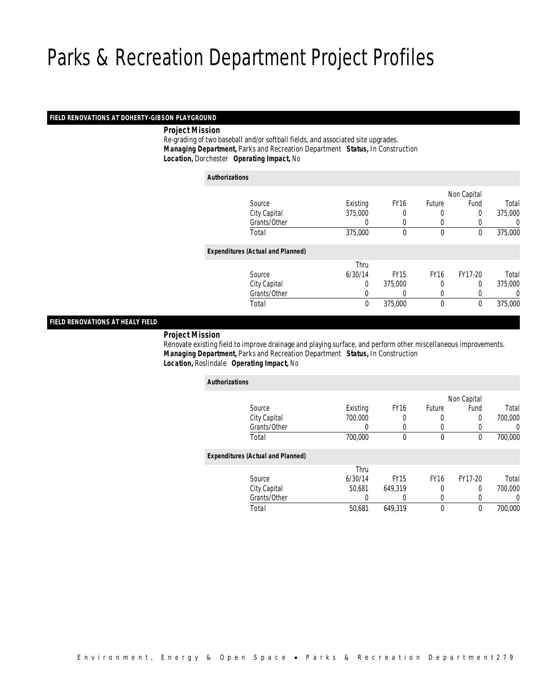## *FIELD RENOVATIONS AT DOHERTY-GIBSON PLAYGROUND*

*Project Mission*

 Re-grading of two baseball and/or softball fields, and associated site upgrades. *Managing Department,* Parks and Recreation Department *Status,* In Construction*Location,* Dorchester *Operating Impact,* No

| <b>Authorizations</b>                    |          |             |             |              |         |
|------------------------------------------|----------|-------------|-------------|--------------|---------|
|                                          |          |             |             | Non Capital  |         |
| Source                                   | Existing | <b>FY16</b> | Future      | Fund         | Total   |
| City Capital                             | 375,000  | 0           | 0           | 0            | 375,000 |
| Grants/Other                             | 0        | 0           | 0           | 0            | 0       |
| Total                                    | 375,000  | $\theta$    | $\theta$    | $\theta$     | 375,000 |
| <b>Expenditures (Actual and Planned)</b> |          |             |             |              |         |
|                                          | Thru     |             |             |              |         |
| Source                                   | 6/30/14  | <b>FY15</b> | <b>FY16</b> | FY17-20      | Total   |
|                                          | 0        | 375,000     | 0           | 0            | 375,000 |
| Grants/Other                             | 0        | 0           | 0           | 0            | 0       |
| Total                                    | 0        | 375,000     | $\mathbf 0$ | $\mathbf{0}$ | 375,000 |
| City Capital                             |          |             |             |              |         |

## *FIELD RENOVATIONS AT HEALY FIELD*

## *Project Mission*

 Renovate existing field to improve drainage and playing surface, and perform other miscellaneous improvements. *Managing Department,* Parks and Recreation Department *Status,* In Construction*Location,* Roslindale *Operating Impact,* No

| <b>Authorizations</b>                    |          |             |             |             |         |
|------------------------------------------|----------|-------------|-------------|-------------|---------|
|                                          |          |             |             | Non Capital |         |
| Source                                   | Existing | <b>FY16</b> | Future      | Fund        | Total   |
| City Capital                             | 700,000  |             | 0           | $\Omega$    | 700,000 |
| Grants/Other                             | 0        | 0           | 0           | 0           | 0       |
| Total                                    | 700,000  | $\mathbf 0$ | $\mathbf 0$ | 0           | 700,000 |
| <b>Expenditures (Actual and Planned)</b> |          |             |             |             |         |
|                                          | Thru     |             |             |             |         |
| Source                                   | 6/30/14  | <b>FY15</b> | <b>FY16</b> | FY17-20     | Total   |
| City Capital                             | 50.681   | 649.319     | 0           | 0           | 700,000 |
| Grants/Other                             | 0        | 0           | 0           | 0           | 0       |
| Total                                    | 50,681   | 649.319     | $\mathbf 0$ | 0           | 700,000 |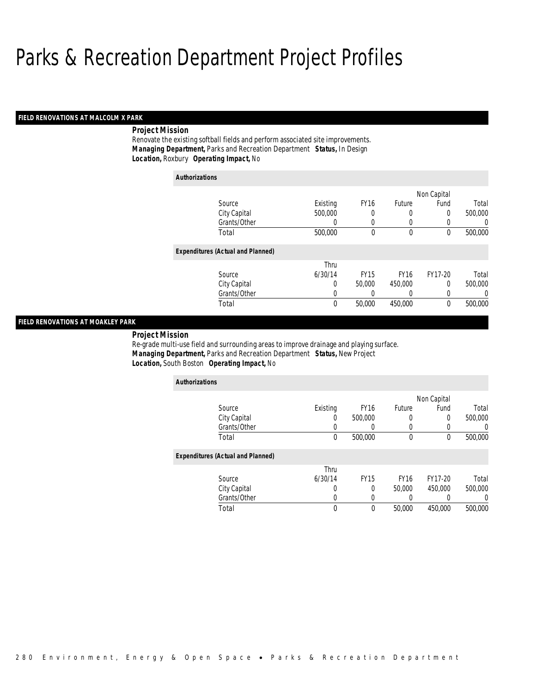## *FIELD RENOVATIONS AT MALCOLM X PARK*

## *Project Mission*

Renovate the existing softball fields and perform associated site improvements. *Managing Department,* Parks and Recreation Department *Status,* In Design*Location,* Roxbury *Operating Impact,* No

| <b>Authorizations</b> |                                          |          |             |             |             |         |
|-----------------------|------------------------------------------|----------|-------------|-------------|-------------|---------|
|                       |                                          |          |             |             | Non Capital |         |
|                       | Source                                   | Existing | <b>FY16</b> | Future      | Fund        | Total   |
|                       | City Capital                             | 500,000  | 0           | 0           | 0           | 500,000 |
|                       | Grants/Other                             | 0        | 0           | 0           | 0           | 0       |
|                       | Total                                    | 500,000  | 0           | 0           | 0           | 500,000 |
|                       | <b>Expenditures (Actual and Planned)</b> |          |             |             |             |         |
|                       |                                          | Thru     |             |             |             |         |
|                       | Source                                   | 6/30/14  | <b>FY15</b> | <b>FY16</b> | FY17-20     | Total   |
|                       | City Capital                             | 0        | 50,000      | 450,000     | $\Omega$    | 500,000 |
|                       | Grants/Other                             | 0        | 0           | 0           | 0           | 0       |
|                       | Total                                    | 0        | 50,000      | 450,000     | 0           | 500,000 |

## *FIELD RENOVATIONS AT MOAKLEY PARK*

*Project Mission* 

Re-grade multi-use field and surrounding areas to improve drainage and playing surface. *Managing Department,* Parks and Recreation Department *Status,* New Project*Location,* South Boston *Operating Impact,* No

| <b>Authorizations</b>                    |          |             |             |             |                  |
|------------------------------------------|----------|-------------|-------------|-------------|------------------|
|                                          |          |             |             | Non Capital |                  |
| Source                                   | Existing | <b>FY16</b> | Future      | Fund        | Total            |
| City Capital                             | 0        | 500,000     | 0           | 0           | 500,000          |
| Grants/Other                             |          |             |             | 0           | $\left( \right)$ |
| Total                                    | 0        | 500,000     | 0           | 0           | 500,000          |
| <b>Expenditures (Actual and Planned)</b> |          |             |             |             |                  |
|                                          | Thru     |             |             |             |                  |
| Source                                   | 6/30/14  | <b>FY15</b> | <b>FY16</b> | FY17-20     | Total            |
| City Capital                             | O        | $\Omega$    | 50,000      | 450,000     | 500,000          |
| Grants/Other                             | 0        | 0           | $\left($    | 0           | 0                |
| Total                                    | 0        | 0           | 50,000      | 450,000     | 500,000          |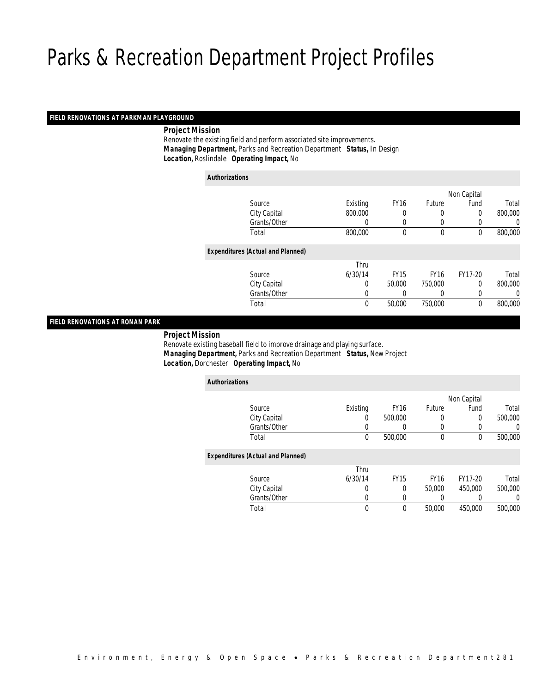## *FIELD RENOVATIONS AT PARKMAN PLAYGROUND*

*Project Mission*

 Renovate the existing field and perform associated site improvements. *Managing Department,* Parks and Recreation Department *Status,* In Design*Location,* Roslindale *Operating Impact,* No

| <b>Authorizations</b> |                                          |          |             |             |             |         |
|-----------------------|------------------------------------------|----------|-------------|-------------|-------------|---------|
|                       |                                          |          |             |             | Non Capital |         |
|                       | Source                                   | Existing | <b>FY16</b> | Future      | Fund        | Total   |
|                       | City Capital                             | 800,000  | 0           | 0           | 0           | 800,000 |
|                       | Grants/Other                             | $\left($ | 0           | 0           | 0           | 0       |
|                       | Total                                    | 800,000  | $\mathbf 0$ | $\mathbf 0$ | $\mathbf 0$ | 800,000 |
|                       | <b>Expenditures (Actual and Planned)</b> |          |             |             |             |         |
|                       |                                          | Thru     |             |             |             |         |
|                       | Source                                   | 6/30/14  | <b>FY15</b> | <b>FY16</b> | FY17-20     | Total   |
|                       | City Capital                             | 0        | 50,000      | 750,000     | 0           | 800,000 |
|                       | Grants/Other                             | 0        | 0           | 0           | 0           | 0       |
|                       | Total                                    | 0        | 50,000      | 750,000     | 0           | 800,000 |
|                       |                                          |          |             |             |             |         |

## *FIELD RENOVATIONS AT RONAN PARK*

*Project Mission*

 Renovate existing baseball field to improve drainage and playing surface. *Managing Department,* Parks and Recreation Department *Status,* New Project*Location,* Dorchester *Operating Impact,* No

| <b>Authorizations</b>                    |                  |             |               |             |         |
|------------------------------------------|------------------|-------------|---------------|-------------|---------|
|                                          |                  |             |               | Non Capital |         |
| Source                                   | Existing         | <b>FY16</b> | <b>Future</b> | Fund        | Total   |
| City Capital                             | $\left( \right)$ | 500,000     | 0             | 0           | 500,000 |
| Grants/Other                             | 0                |             | 0             | 0           | 0       |
| Total                                    | 0                | 500,000     | $\mathbf 0$   | 0           | 500,000 |
| <b>Expenditures (Actual and Planned)</b> |                  |             |               |             |         |
|                                          | Thru             |             |               |             |         |
| Source                                   | 6/30/14          | <b>FY15</b> | <b>FY16</b>   | FY17-20     | Total   |
| City Capital                             | 0                | 0           | 50,000        | 450,000     | 500,000 |
| Grants/Other                             | 0                | 0           |               |             | 0       |
| Total                                    | 0                | $\theta$    | 50,000        | 450,000     | 500,000 |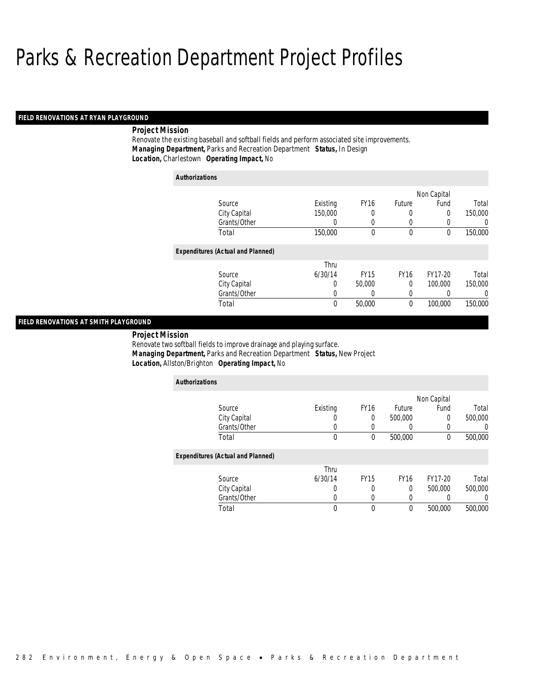## *FIELD RENOVATIONS AT RYAN PLAYGROUND*

## *Project Mission*

Renovate the existing baseball and softball fields and perform associated site improvements. *Managing Department,* Parks and Recreation Department *Status,* In Design*Location,* Charlestown *Operating Impact,* No

| <b>Authorizations</b>                    |          |             |               |             |         |
|------------------------------------------|----------|-------------|---------------|-------------|---------|
|                                          |          |             |               | Non Capital |         |
| Source                                   | Existing | <b>FY16</b> | <b>Future</b> | Fund        | Total   |
| City Capital                             | 150,000  | 0           | 0             | 0           | 150,000 |
| Grants/Other                             | 0        | 0           | 0             | 0           | 0       |
| Total                                    | 150,000  | 0           | $\mathbf 0$   | 0           | 150,000 |
| <b>Expenditures (Actual and Planned)</b> |          |             |               |             |         |
|                                          | Thru     |             |               |             |         |
| Source                                   | 6/30/14  | <b>FY15</b> | <b>FY16</b>   | FY17-20     | Total   |
| City Capital                             | 0        | 50,000      | $\theta$      | 100,000     | 150,000 |
| Grants/Other                             | 0        | 0           | 0             |             | 0       |
| Total                                    | 0        | 50,000      | 0             | 100,000     | 150,000 |
|                                          |          |             |               |             |         |

## *FIELD RENOVATIONS AT SMITH PLAYGROUND*

 *Project Mission* Renovate two softball fields to improve drainage and playing surface. *Managing Department,* Parks and Recreation Department *Status,* New Project*Location,* Allston/Brighton *Operating Impact,* No

| <b>Authorizations</b>                    |          |             |             |             |         |
|------------------------------------------|----------|-------------|-------------|-------------|---------|
|                                          |          |             |             | Non Capital |         |
| Source                                   | Existing | <b>FY16</b> | Future      | Fund        | Total   |
| City Capital                             | U        | 0           | 500,000     | $\Omega$    | 500,000 |
| Grants/Other                             | U        | 0           |             | 0           |         |
| Total                                    | $\theta$ | $\theta$    | 500,000     | $\theta$    | 500,000 |
| <b>Expenditures (Actual and Planned)</b> |          |             |             |             |         |
|                                          | Thru     |             |             |             |         |
| Source                                   | 6/30/14  | <b>FY15</b> | <b>FY16</b> | FY17-20     | Total   |
| City Capital                             | 0        |             | 0           | 500,000     | 500,000 |
| Grants/Other                             | 0        | $\Omega$    | 0           | 0           |         |
| Total                                    | 0        | $\theta$    | $\theta$    | 500,000     | 500,000 |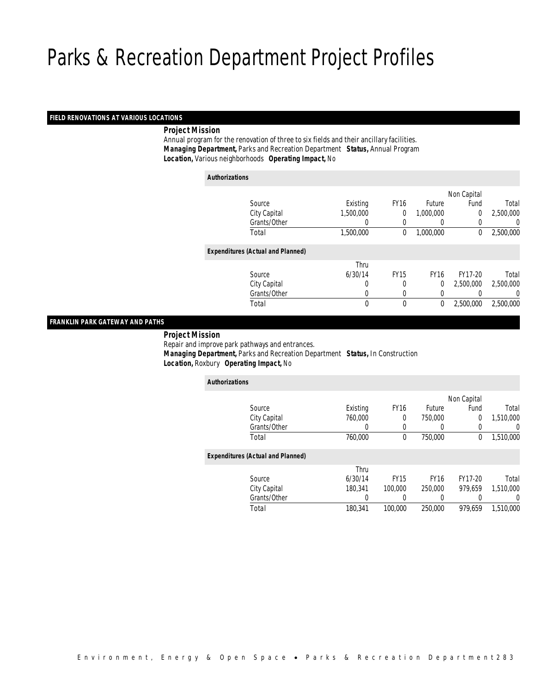## *FIELD RENOVATIONS AT VARIOUS LOCATIONS*

## *Project Mission*

 Annual program for the renovation of three to six fields and their ancillary facilities. *Managing Department,* Parks and Recreation Department *Status,* Annual Program*Location,* Various neighborhoods *Operating Impact,* No

| <b>Authorizations</b>                    |              |           |             |             |                |           |
|------------------------------------------|--------------|-----------|-------------|-------------|----------------|-----------|
|                                          |              |           |             |             | Non Capital    |           |
| Source                                   |              | Existing  | <b>FY16</b> | Future      | Fund           | Total     |
|                                          | City Capital | 1,500,000 | 0           | 1,000,000   | $\overline{0}$ | 2,500,000 |
|                                          | Grants/Other | 0         | 0           | $\left($    | 0              | 0         |
| Total                                    |              | 1,500,000 | 0           | 1.000.000   | 0              | 2,500,000 |
| <b>Expenditures (Actual and Planned)</b> |              |           |             |             |                |           |
|                                          |              | Thru      |             |             |                |           |
| Source                                   |              | 6/30/14   | <b>FY15</b> | <b>FY16</b> | FY17-20        | Total     |
|                                          | City Capital | 0         | 0           | 0           | 2,500,000      | 2,500,000 |
|                                          | Grants/Other | 0         | 0           | 0           |                | 0         |
| Total                                    |              | 0         | $\mathbf 0$ | 0           | 2,500,000      | 2,500,000 |

## *FRANKLIN PARK GATEWAY AND PATHS*

## *Project Mission*

Repair and improve park pathways and entrances.

*Managing Department,* Parks and Recreation Department *Status,* In Construction

*Location,* Roxbury *Operating Impact,* No

| <b>Authorizations</b>                    |          |             |                  |             |           |
|------------------------------------------|----------|-------------|------------------|-------------|-----------|
|                                          |          |             |                  | Non Capital |           |
| Source                                   | Existing | <b>FY16</b> | Future           | Fund        | Total     |
| City Capital                             | 760,000  | 0           | 750,000          | 0           | 1,510,000 |
| Grants/Other                             | $\Omega$ | 0           | $\left( \right)$ | 0           | 0         |
| Total                                    | 760,000  | 0           | 750,000          | 0           | 1,510,000 |
| <b>Expenditures (Actual and Planned)</b> |          |             |                  |             |           |
|                                          | Thru     |             |                  |             |           |
| Source                                   | 6/30/14  | <b>FY15</b> | <b>FY16</b>      | FY17-20     | Total     |
| City Capital                             | 180.341  | 100,000     | 250,000          | 979.659     | 1,510,000 |
| Grants/Other                             | 0        | 0           | 0                | 0           | 0         |
| Total                                    | 180,341  | 100,000     | 250,000          | 979,659     | 1,510,000 |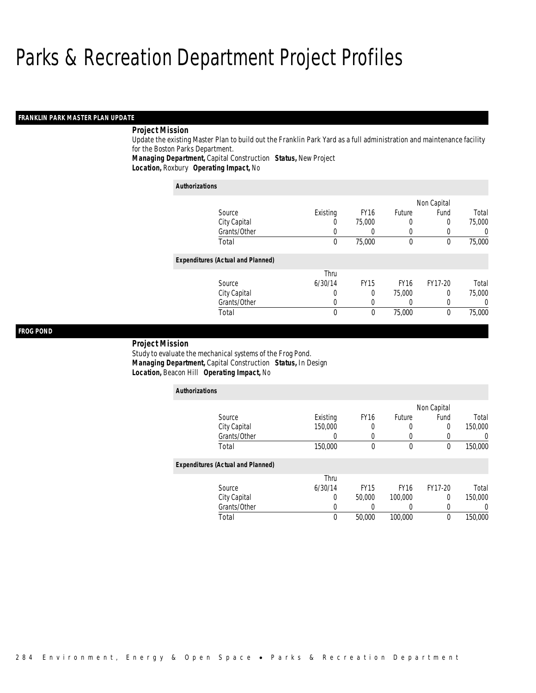## *FRANKLIN PARK MASTER PLAN UPDATE*

## *Project Mission*

Update the existing Master Plan to build out the Franklin Park Yard as a full administration and maintenance facility for the Boston Parks Department.

*Managing Department,* Capital Construction *Status,* New Project

*Location,* Roxbury *Operating Impact,* No

| <b>Authorizations</b>                    |          |             |             |             |        |
|------------------------------------------|----------|-------------|-------------|-------------|--------|
|                                          |          |             |             | Non Capital |        |
| Source                                   | Existing | <b>FY16</b> | Future      | Fund        | Total  |
| City Capital                             | U        | 75,000      | 0           | $\Omega$    | 75,000 |
| Grants/Other                             | U        |             | 0           | 0           |        |
| Total                                    | 0        | 75,000      | $\theta$    | 0           | 75,000 |
| <b>Expenditures (Actual and Planned)</b> |          |             |             |             |        |
|                                          | Thru     |             |             |             |        |
| Source                                   | 6/30/14  | <b>FY15</b> | <b>FY16</b> | FY17-20     | Total  |
| City Capital                             | 0        | 0           | 75,000      | 0           | 75,000 |
| Grants/Other                             | 0        |             |             | 0           |        |
| Total                                    | 0        | 0           | 75,000      | 0           | 75,000 |

## *FROG POND*

#### *Project Mission*

Study to evaluate the mechanical systems of the Frog Pond. *Managing Department,* Capital Construction *Status,* In Design*Location,* Beacon Hill *Operating Impact,* No

| <b>Authorizations</b>                    |          |                  |             |             |         |
|------------------------------------------|----------|------------------|-------------|-------------|---------|
|                                          |          |                  |             | Non Capital |         |
| Source                                   | Existing | <b>FY16</b>      | Future      | Fund        | Total   |
| City Capital                             | 150,000  | 0                | 0           | $\Omega$    | 150,000 |
| Grants/Other                             | 0        | 0                |             |             | 0       |
| Total                                    | 150,000  | $\theta$         | $\mathbf 0$ | $\theta$    | 150,000 |
| <b>Expenditures (Actual and Planned)</b> |          |                  |             |             |         |
|                                          | Thru     |                  |             |             |         |
| Source                                   | 6/30/14  | FY <sub>15</sub> | <b>FY16</b> | FY17-20     | Total   |
| City Capital                             | 0        | 50,000           | 100,000     | $\Omega$    | 150,000 |
| Grants/Other                             | 0        | U                |             | 0           | 0       |
| Total                                    | 0        | 50,000           | 100,000     | $\theta$    | 150,000 |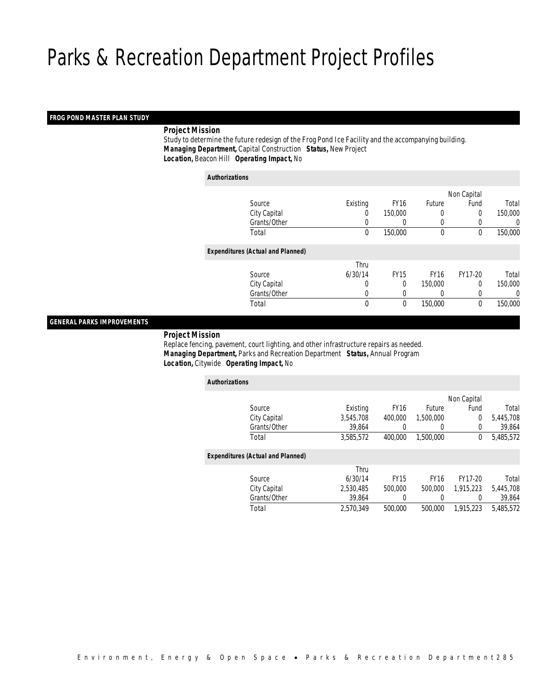## *FROG POND MASTER PLAN STUDY*

## *Project Mission*

 Study to determine the future redesign of the Frog Pond Ice Facility and the accompanying building. *Managing Department,* Capital Construction *Status,* New Project*Location,* Beacon Hill *Operating Impact,* No

*Authorizations*

|                                          |          |             |             | Non Capital |         |
|------------------------------------------|----------|-------------|-------------|-------------|---------|
| Source                                   | Existing | <b>FY16</b> | Future      | Fund        | Total   |
| City Capital                             | 0        | 150,000     | 0           | 0           | 150,000 |
| Grants/Other                             | 0        | $\left($    | $\left($    | 0           | 0       |
| Total                                    | $\theta$ | 150,000     | $\mathbf 0$ | 0           | 150,000 |
| <b>Expenditures (Actual and Planned)</b> |          |             |             |             |         |
|                                          | Thru     |             |             |             |         |
| Source                                   | 6/30/14  | <b>FY15</b> | <b>FY16</b> | FY17-20     | Total   |
| City Capital                             | $\Omega$ | $\theta$    | 150,000     | 0           | 150,000 |
| Grants/Other                             | 0        | 0           | 0           | 0           | 0       |
| Total                                    | 0        | 0           | 150,000     | 0           | 150,000 |
|                                          |          |             |             |             |         |

## *GENERAL PARKS IMPROVEMENTS*

### *Project Mission*

 Replace fencing, pavement, court lighting, and other infrastructure repairs as needed. *Managing Department,* Parks and Recreation Department *Status,* Annual Program*Location,* Citywide *Operating Impact,* No

| <b>Authorizations</b>                    |           |             |             |             |           |
|------------------------------------------|-----------|-------------|-------------|-------------|-----------|
|                                          |           |             |             | Non Capital |           |
| Source                                   | Existing  | <b>FY16</b> | Future      | Fund        | Total     |
| City Capital                             | 3,545,708 | 400,000     | 1,500,000   | $\Omega$    | 5,445,708 |
| Grants/Other                             | 39,864    | 0           |             | $\Omega$    | 39,864    |
| Total                                    | 3,585,572 | 400.000     | 1,500,000   | 0           | 5,485,572 |
| <b>Expenditures (Actual and Planned)</b> |           |             |             |             |           |
|                                          | Thru      |             |             |             |           |
| Source                                   | 6/30/14   | <b>FY15</b> | <b>FY16</b> | FY17-20     | Total     |
| City Capital                             | 2.530.485 | 500,000     | 500,000     | 1.915.223   | 5.445.708 |
| Grants/Other                             | 39.864    | 0           |             | 0           | 39.864    |
| Total                                    | 2.570.349 | 500,000     | 500,000     | 1,915,223   | 5,485,572 |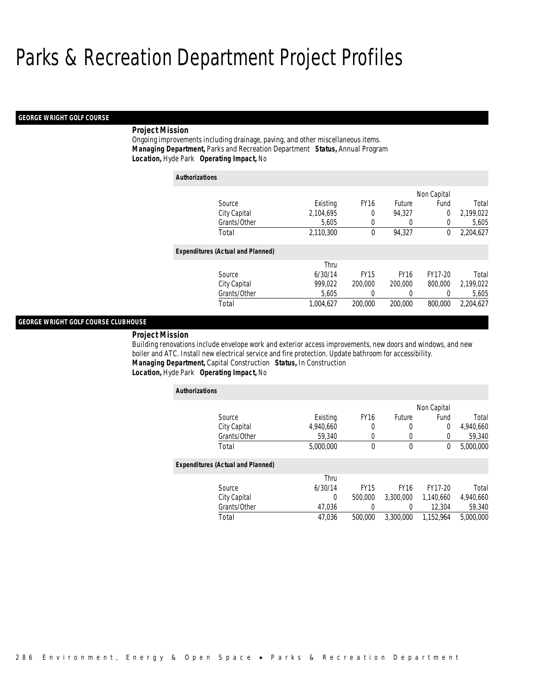#### *GEORGE WRIGHT GOLF COURSE*

## *Project Mission*

Ongoing improvements including drainage, paving, and other miscellaneous items. *Managing Department,* Parks and Recreation Department *Status,* Annual Program*Location,* Hyde Park *Operating Impact,* No

| <b>Authorizations</b>                    |           |             |             |             |           |
|------------------------------------------|-----------|-------------|-------------|-------------|-----------|
|                                          |           |             |             | Non Capital |           |
| Source                                   | Existing  | <b>FY16</b> | Future      | Fund        | Total     |
| City Capital                             | 2.104.695 | 0           | 94.327      | 0           | 2,199,022 |
| Grants/Other                             | 5.605     | 0           | 0           | $\Omega$    | 5,605     |
| Total                                    | 2.110.300 | 0           | 94.327      | 0           | 2.204.627 |
| <b>Expenditures (Actual and Planned)</b> |           |             |             |             |           |
|                                          | Thru      |             |             |             |           |
| Source                                   | 6/30/14   | <b>FY15</b> | <b>FY16</b> | FY17-20     | Total     |
| City Capital                             | 999.022   | 200,000     | 200,000     | 800,000     | 2,199,022 |
| Grants/Other                             | 5,605     | 0           | 0           | 0           | 5,605     |
| Total                                    | 1,004,627 | 200,000     | 200,000     | 800,000     | 2,204,627 |

## *GEORGE WRIGHT GOLF COURSE CLUBHOUSE*

*Project Mission* 

Building renovations include envelope work and exterior access improvements, new doors and windows, and new boiler and ATC. Install new electrical service and fire protection. Update bathroom for accessibility. *Managing Department,* Capital Construction *Status,* In Construction*Location,* Hyde Park *Operating Impact,* No

| <b>Authorizations</b>                    |           |             |             |             |           |
|------------------------------------------|-----------|-------------|-------------|-------------|-----------|
|                                          |           |             |             | Non Capital |           |
| Source                                   | Existing  | <b>FY16</b> | Future      | Fund        | Total     |
| City Capital                             | 4,940,660 | 0           | 0           | $\theta$    | 4,940,660 |
| Grants/Other                             | 59,340    | 0           | 0           | 0           | 59,340    |
| Total                                    | 5,000,000 | 0           | $\mathbf 0$ | 0           | 5,000,000 |
| <b>Expenditures (Actual and Planned)</b> |           |             |             |             |           |
|                                          | Thru      |             |             |             |           |
| Source                                   | 6/30/14   | <b>FY15</b> | <b>FY16</b> | FY17-20     | Total     |
| City Capital                             | 0         | 500,000     | 3,300,000   | 1,140,660   | 4,940,660 |
| Grants/Other                             | 47.036    | 0           | 0           | 12,304      | 59,340    |
| Total                                    | 47,036    | 500,000     | 3.300.000   | 1,152,964   | 5,000,000 |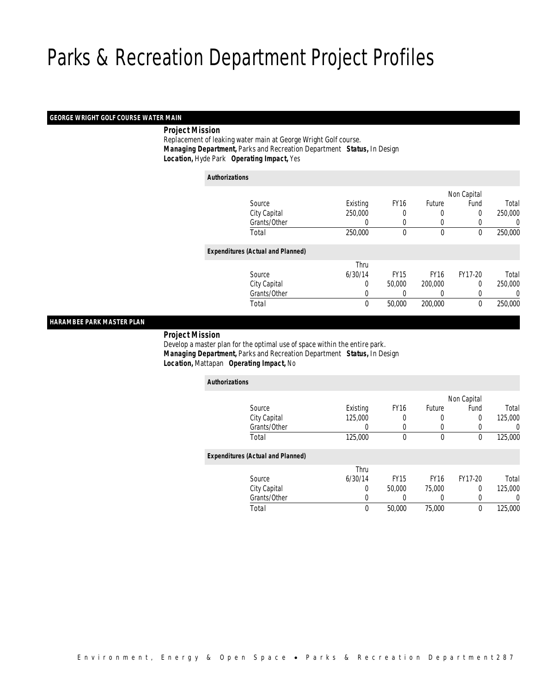## *GEORGE WRIGHT GOLF COURSE WATER MAIN*

*Project Mission*

 Replacement of leaking water main at George Wright Golf course. *Managing Department,* Parks and Recreation Department *Status,* In Design*Location,* Hyde Park *Operating Impact,* Yes

| <b>Authorizations</b> |                                          |          |             |              |             |         |
|-----------------------|------------------------------------------|----------|-------------|--------------|-------------|---------|
|                       |                                          |          |             |              | Non Capital |         |
|                       | Source                                   | Existing | <b>FY16</b> | Future       | Fund        | Total   |
|                       | City Capital                             | 250,000  | 0           | 0            | 0           | 250,000 |
|                       | Grants/Other                             | 0        | 0           | 0            | 0           | 0       |
|                       | Total                                    | 250,000  | $\mathbf 0$ | $\mathbf{0}$ | $\mathbf 0$ | 250,000 |
|                       | <b>Expenditures (Actual and Planned)</b> |          |             |              |             |         |
|                       |                                          | Thru     |             |              |             |         |
|                       | Source                                   | 6/30/14  | <b>FY15</b> | <b>FY16</b>  | FY17-20     | Total   |
|                       | City Capital                             | 0        | 50,000      | 200,000      | $\Omega$    | 250,000 |
|                       | Grants/Other                             | 0        | 0           | 0            | 0           | 0       |
|                       | Total                                    | 0        | 50,000      | 200,000      | $\mathbf 0$ | 250,000 |

## *HARAMBEE PARK MASTER PLAN*

*Project Mission*

 Develop a master plan for the optimal use of space within the entire park. *Managing Department,* Parks and Recreation Department *Status,* In Design*Location,* Mattapan *Operating Impact,* No

| <b>Authorizations</b>                    |          |             |             |             |         |
|------------------------------------------|----------|-------------|-------------|-------------|---------|
|                                          |          |             |             | Non Capital |         |
| Source                                   | Existing | <b>FY16</b> | Future      | Fund        | Total   |
| City Capital                             | 125,000  | 0           |             | $\Omega$    | 125,000 |
| Grants/Other                             | 0        | $\left($    |             | 0           | 0       |
| Total                                    | 125,000  | $\mathbf 0$ | $\mathbf 0$ | 0           | 125,000 |
| <b>Expenditures (Actual and Planned)</b> |          |             |             |             |         |
|                                          | Thru     |             |             |             |         |
| Source                                   | 6/30/14  | <b>FY15</b> | <b>FY16</b> | FY17-20     | Total   |
| City Capital                             | 0        | 50,000      | 75,000      | 0           | 125,000 |
| Grants/Other                             | 0        | 0           |             | 0           | 0       |
| Total                                    | 0        | 50,000      | 75,000      | 0           | 125,000 |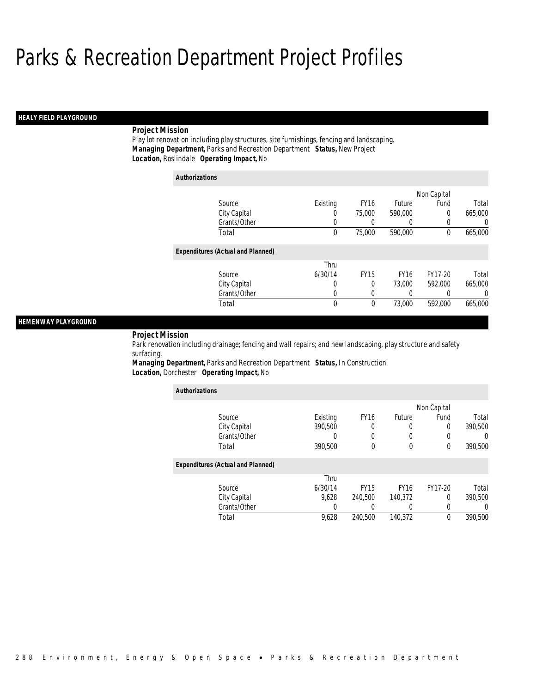## *HEALY FIELD PLAYGROUND*

## *Project Mission*

Play lot renovation including play structures, site furnishings, fencing and landscaping. *Managing Department,* Parks and Recreation Department *Status,* New Project*Location,* Roslindale *Operating Impact,* No

| <b>Authorizations</b>                    |             |             |             |             |         |
|------------------------------------------|-------------|-------------|-------------|-------------|---------|
|                                          |             |             |             | Non Capital |         |
| Source                                   | Existing    | <b>FY16</b> | Future      | Fund        | Total   |
| City Capital                             | 0           | 75,000      | 590,000     | 0           | 665,000 |
| Grants/Other                             | 0           |             | 0           | 0           | 0       |
| Total                                    | 0           | 75,000      | 590,000     | 0           | 665,000 |
| <b>Expenditures (Actual and Planned)</b> |             |             |             |             |         |
|                                          | Thru        |             |             |             |         |
| Source                                   | 6/30/14     | <b>FY15</b> | <b>FY16</b> | FY17-20     | Total   |
| City Capital                             | 0           | 0           | 73,000      | 592,000     | 665,000 |
| Grants/Other                             | 0           | 0           | 0           | 0           | 0       |
| Total                                    | $\mathbf 0$ | 0           | 73,000      | 592,000     | 665,000 |

## *HEMENWAY PLAYGROUND*

*Project Mission* 

Park renovation including drainage; fencing and wall repairs; and new landscaping, play structure and safety surfacing.

*Managing Department,* Parks and Recreation Department *Status,* In Construction*Location,* Dorchester *Operating Impact,* No

| <b>Authorizations</b>                    |                  |                  |              |                |         |
|------------------------------------------|------------------|------------------|--------------|----------------|---------|
|                                          |                  |                  |              | Non Capital    |         |
| Source                                   | Existing         | FY <sub>16</sub> | Future       | Fund           | Total   |
| City Capital                             | 390,500          | 0                | 0            | $\overline{0}$ | 390,500 |
| Grants/Other                             |                  | 0                |              | 0              |         |
| Total                                    | 390,500          | $\theta$         | $\mathbf{0}$ | $\theta$       | 390,500 |
| <b>Expenditures (Actual and Planned)</b> |                  |                  |              |                |         |
|                                          | Thru             |                  |              |                |         |
| Source                                   | 6/30/14          | <b>FY15</b>      | <b>FY16</b>  | FY17-20        | Total   |
| City Capital                             | 9.628            | 240.500          | 140,372      | $\Omega$       | 390.500 |
| Grants/Other                             | $\left( \right)$ |                  | 0            | $\Omega$       |         |
| Total                                    | 9.628            | 240.500          | 140.372      | $\theta$       | 390.500 |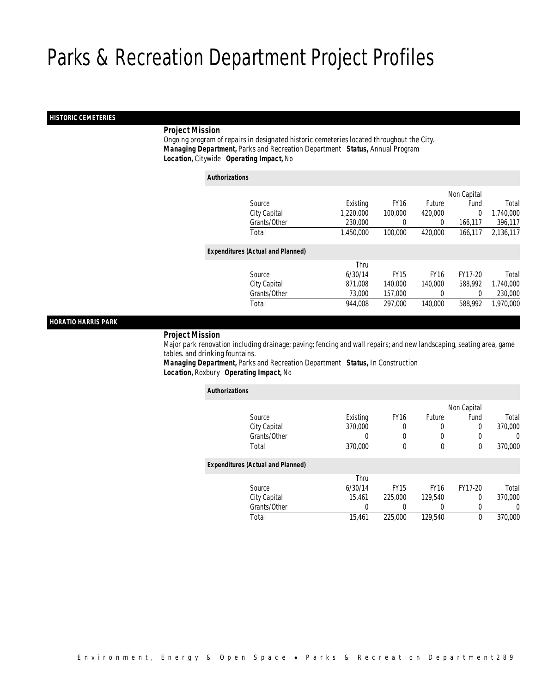## *HISTORIC CEMETERIES*

## *Project Mission*

 Ongoing program of repairs in designated historic cemeteries located throughout the City. *Managing Department,* Parks and Recreation Department *Status,* Annual Program*Location,* Citywide *Operating Impact,* No

| <b>Authorizations</b> |                                          |           |             |               |             |           |
|-----------------------|------------------------------------------|-----------|-------------|---------------|-------------|-----------|
|                       |                                          |           |             |               | Non Capital |           |
|                       | Source                                   | Existing  | <b>FY16</b> | <b>Future</b> | Fund        | Total     |
|                       | City Capital                             | 1.220.000 | 100,000     | 420,000       | 0           | 1,740,000 |
|                       | Grants/Other                             | 230,000   |             | $\left($      | 166,117     | 396,117   |
|                       | Total                                    | 1.450.000 | 100,000     | 420,000       | 166.117     | 2,136,117 |
|                       | <b>Expenditures (Actual and Planned)</b> |           |             |               |             |           |
|                       |                                          | Thru      |             |               |             |           |
|                       | Source                                   | 6/30/14   | <b>FY15</b> | <b>FY16</b>   | FY17-20     | Total     |
|                       | City Capital                             | 871.008   | 140,000     | 140,000       | 588.992     | 1,740,000 |
|                       | Grants/Other                             | 73,000    | 157,000     | 0             | $\Omega$    | 230,000   |
|                       | Total                                    | 944,008   | 297.000     | 140,000       | 588,992     | 1,970,000 |

## *HORATIO HARRIS PARK*

#### *Project Mission*

 Major park renovation including drainage; paving; fencing and wall repairs; and new landscaping, seating area, game tables. and drinking fountains.

*Managing Department,* Parks and Recreation Department *Status,* In Construction*Location,* Roxbury *Operating Impact,* No

| <b>Authorizations</b>                    |              |          |                  |             |             |         |
|------------------------------------------|--------------|----------|------------------|-------------|-------------|---------|
|                                          |              |          |                  |             | Non Capital |         |
| Source                                   |              | Existing | FY <sub>16</sub> | Future      | Fund        | Total   |
| City Capital                             |              | 370,000  | 0                | 0           | 0           | 370,000 |
|                                          | Grants/Other | 0        | 0                | 0           |             | 0       |
| Total                                    |              | 370,000  | 0                | $\mathbf 0$ | 0           | 370,000 |
| <b>Expenditures (Actual and Planned)</b> |              |          |                  |             |             |         |
|                                          |              | Thru     |                  |             |             |         |
| Source                                   |              | 6/30/14  | <b>FY15</b>      | <b>FY16</b> | FY17-20     | Total   |
| City Capital                             |              | 15.461   | 225,000          | 129,540     | 0           | 370,000 |
|                                          | Grants/Other | 0        |                  | 0           | 0           | 0       |
| Total                                    |              | 15.461   | 225,000          | 129.540     | 0           | 370,000 |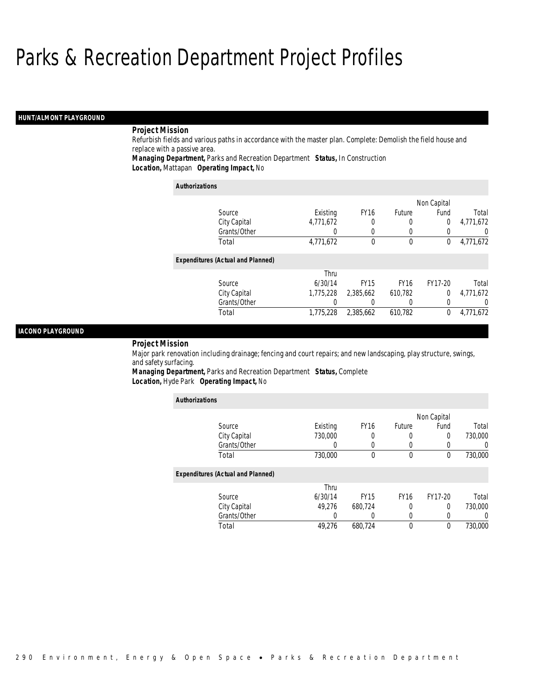## *HUNT/ALMONT PLAYGROUND*

## *Project Mission*

Refurbish fields and various paths in accordance with the master plan. Complete: Demolish the field house and replace with a passive area.

*Managing Department,* Parks and Recreation Department *Status,* In Construction*Location,* Mattapan *Operating Impact,* No

| <b>Authorizations</b>                    |           |                  |             |             |                  |
|------------------------------------------|-----------|------------------|-------------|-------------|------------------|
|                                          |           |                  |             | Non Capital |                  |
| Source                                   | Existing  | FY <sub>16</sub> | Future      | Fund        | Total            |
| City Capital                             | 4,771,672 | 0                | 0           | 0           | 4,771,672        |
| Grants/Other                             | 0         |                  |             | 0           | $\left( \right)$ |
| Total                                    | 4,771,672 | $\theta$         | 0           | 0           | 4,771,672        |
| <b>Expenditures (Actual and Planned)</b> |           |                  |             |             |                  |
|                                          | Thru      |                  |             |             |                  |
| Source                                   | 6/30/14   | <b>FY15</b>      | <b>FY16</b> | FY17-20     | Total            |
| City Capital                             | 1,775,228 | 2.385.662        | 610,782     | $\Omega$    | 4,771,672        |
| Grants/Other                             |           |                  | $\Omega$    | 0           | 0                |
| Total                                    | 1.775.228 | 2.385.662        | 610.782     | 0           | 4.771.672        |

## *IACONO PLAYGROUND*

#### *Project Mission*

Major park renovation including drainage; fencing and court repairs; and new landscaping, play structure, swings, and safety surfacing.

*Managing Department,* Parks and Recreation Department *Status,* Complete*Location,* Hyde Park *Operating Impact,* No

| <b>Authorizations</b>                    |          |             |             |                  |          |
|------------------------------------------|----------|-------------|-------------|------------------|----------|
|                                          |          |             |             | Non Capital      |          |
| Source                                   | Existing | <b>FY16</b> | Future      | Fund             | Total    |
| City Capital                             | 730,000  | 0           | 0           | 0                | 730,000  |
| Grants/Other                             |          | 0           | 0           | $\left( \right)$ | $\Omega$ |
| Total                                    | 730,000  | 0           | 0           | $\theta$         | 730,000  |
| <b>Expenditures (Actual and Planned)</b> |          |             |             |                  |          |
|                                          | Thru     |             |             |                  |          |
| Source                                   | 6/30/14  | <b>FY15</b> | <b>FY16</b> | FY17-20          | Total    |
| City Capital                             | 49.276   | 680.724     | 0           | 0                | 730,000  |
| Grants/Other                             | 0        |             | 0           |                  | $\Omega$ |
| Total                                    | 49,276   | 680.724     | $\mathbf 0$ | 0                | 730,000  |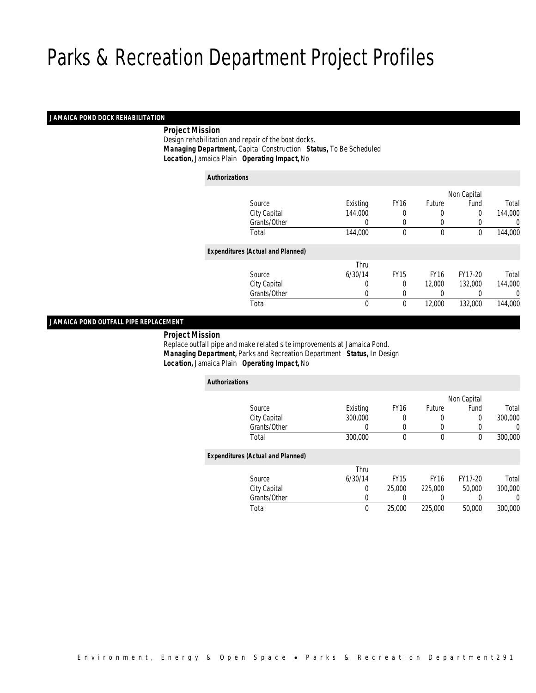## *JAMAICA POND DOCK REHABILITATION*

## *Project Mission*

 Design rehabilitation and repair of the boat docks. *Managing Department,* Capital Construction *Status,* To Be Scheduled*Location,* Jamaica Plain *Operating Impact,* No

| <b>Authorizations</b><br>Non Capital<br><b>FY16</b><br>Existing<br>Future<br>Fund<br>Source<br>144,000<br>City Capital<br>0<br>0<br>0 |         |
|---------------------------------------------------------------------------------------------------------------------------------------|---------|
|                                                                                                                                       |         |
|                                                                                                                                       |         |
|                                                                                                                                       | Total   |
|                                                                                                                                       | 144,000 |
| Grants/Other<br>0<br>0<br>$\Omega$<br>0                                                                                               | 0       |
| Total<br>144,000<br>$\mathbf{0}$<br>$\mathbf 0$<br>0                                                                                  | 144,000 |
| <b>Expenditures (Actual and Planned)</b>                                                                                              |         |
| Thru                                                                                                                                  |         |
| <b>FY15</b><br>6/30/14<br><b>FY16</b><br>FY17-20<br>Source                                                                            | Total   |
| City Capital<br>12,000<br>132,000<br>0<br>$\theta$                                                                                    | 144,000 |
| Grants/Other<br>0<br>0<br>$\left($<br>0                                                                                               | 0       |
| 12,000<br>Total<br>0<br>0<br>132,000                                                                                                  | 144,000 |

## *JAMAICA POND OUTFALL PIPE REPLACEMENT*

*Project Mission*

 Replace outfall pipe and make related site improvements at Jamaica Pond. *Managing Department,* Parks and Recreation Department *Status,* In Design*Location,* Jamaica Plain *Operating Impact,* No

| <b>Authorizations</b>                    |          |             |                  |             |          |
|------------------------------------------|----------|-------------|------------------|-------------|----------|
|                                          |          |             |                  | Non Capital |          |
| Source                                   | Existing | <b>FY16</b> | Future           | Fund        | Total    |
| City Capital                             | 300,000  | 0           | 0                | $\Omega$    | 300,000  |
| Grants/Other                             | 0        | $\Omega$    | 0                | 0           | 0        |
| Total                                    | 300,000  | 0           | $\boldsymbol{0}$ | 0           | 300,000  |
| <b>Expenditures (Actual and Planned)</b> |          |             |                  |             |          |
|                                          | Thru     |             |                  |             |          |
| Source                                   | 6/30/14  | <b>FY15</b> | <b>FY16</b>      | FY17-20     | Total    |
| City Capital                             | 0        | 25,000      | 225,000          | 50,000      | 300,000  |
| Grants/Other                             | 0        | 0           | 0                | 0           | $\Omega$ |
| Total                                    | 0        | 25,000      | 225,000          | 50,000      | 300,000  |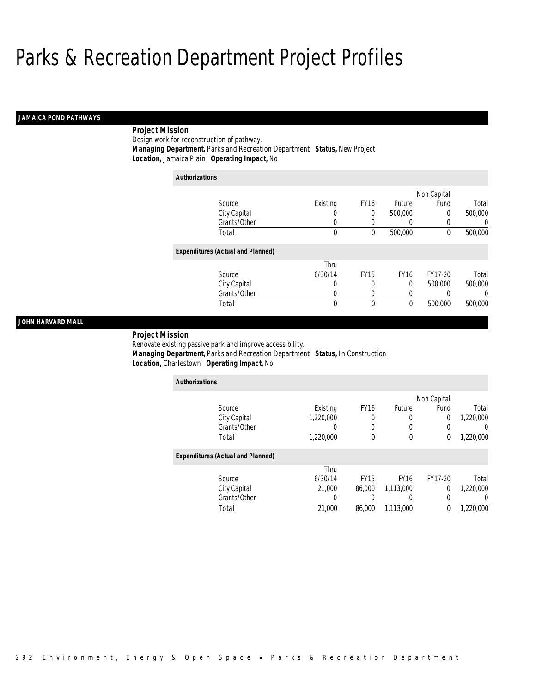## *JAMAICA POND PATHWAYS*

## *Project Mission*

Design work for reconstruction of pathway.*Managing Department,* Parks and Recreation Department *Status,* New Project

*Location,* Jamaica Plain *Operating Impact,* No

| <b>Authorizations</b>                    |             |                  |             |             |         |
|------------------------------------------|-------------|------------------|-------------|-------------|---------|
|                                          |             |                  |             | Non Capital |         |
| Source                                   | Existing    | <b>FY16</b>      | Future      | Fund        | Total   |
| City Capital                             | 0           | 0                | 500,000     | 0           | 500,000 |
| Grants/Other                             | 0           | 0                | 0           | 0           | 0       |
| Total                                    | $\mathbf 0$ | 0                | 500,000     | $\theta$    | 500,000 |
| <b>Expenditures (Actual and Planned)</b> |             |                  |             |             |         |
|                                          | Thru        |                  |             |             |         |
| Source                                   | 6/30/14     | FY <sub>15</sub> | <b>FY16</b> | FY17-20     | Total   |
| City Capital                             | 0           | 0                | 0           | 500,000     | 500,000 |
| Grants/Other                             | 0           | 0                | 0           | 0           | 0       |
| Total                                    | 0           | 0                | 0           | 500,000     | 500,000 |

## *JOHN HARVARD MALL*

 *Project Mission* Renovate existing passive park and improve accessibility. *Managing Department,* Parks and Recreation Department *Status,* In Construction*Location,* Charlestown *Operating Impact,* No

| <b>Authorizations</b>                    |           |             |             |             |           |
|------------------------------------------|-----------|-------------|-------------|-------------|-----------|
|                                          |           |             |             | Non Capital |           |
| Source                                   | Existing  | <b>FY16</b> | Future      | Fund        | Total     |
| City Capital                             | 1,220,000 | 0           | 0           | 0           | 1,220,000 |
| Grants/Other                             |           | 0           | 0           | 0           |           |
| Total                                    | 1,220,000 | 0           | 0           | 0           | 1,220,000 |
| <b>Expenditures (Actual and Planned)</b> |           |             |             |             |           |
|                                          | Thru      |             |             |             |           |
| Source                                   | 6/30/14   | <b>FY15</b> | <b>FY16</b> | FY17-20     | Total     |
| City Capital                             | 21,000    | 86,000      | 1,113,000   | 0           | 1,220,000 |
| Grants/Other                             |           |             | 0           | 0           |           |
| Total                                    | 21,000    | 86,000      | 1.113.000   | 0           | 1.220.000 |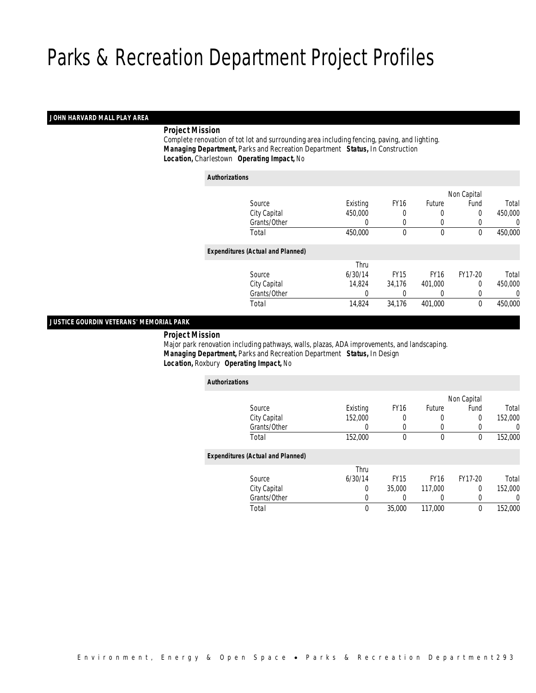## *JOHN HARVARD MALL PLAY AREA*

## *Project Mission*

 Complete renovation of tot lot and surrounding area including fencing, paving, and lighting. *Managing Department,* Parks and Recreation Department *Status,* In Construction*Location,* Charlestown *Operating Impact,* No

| <b>Authorizations</b> |                                          |          |             |             |             |         |
|-----------------------|------------------------------------------|----------|-------------|-------------|-------------|---------|
|                       |                                          |          |             |             | Non Capital |         |
|                       | Source                                   | Existing | <b>FY16</b> | Future      | Fund        | Total   |
|                       | City Capital                             | 450,000  | 0           | 0           | 0           | 450,000 |
|                       | Grants/Other                             | 0        | 0           | 0           | 0           | 0       |
|                       | Total                                    | 450.000  | $\theta$    | $\theta$    | $\theta$    | 450,000 |
|                       | <b>Expenditures (Actual and Planned)</b> |          |             |             |             |         |
|                       |                                          | Thru     |             |             |             |         |
|                       | Source                                   | 6/30/14  | <b>FY15</b> | <b>FY16</b> | FY17-20     | Total   |
|                       | City Capital                             | 14.824   | 34.176      | 401,000     | $\Omega$    | 450,000 |
|                       | Grants/Other                             | 0        |             | $\left($    | 0           | 0       |
|                       | Total                                    | 14,824   | 34,176      | 401,000     | 0           | 450,000 |

## *JUSTICE GOURDIN VETERANS' MEMORIAL PARK*

*Project Mission*

 Major park renovation including pathways, walls, plazas, ADA improvements, and landscaping. *Managing Department,* Parks and Recreation Department *Status,* In Design*Location,* Roxbury *Operating Impact,* No

| <b>Authorizations</b>                    |          |             |             |             |         |
|------------------------------------------|----------|-------------|-------------|-------------|---------|
|                                          |          |             |             | Non Capital |         |
| Source                                   | Existing | <b>FY16</b> | Future      | Fund        | Total   |
| City Capital                             | 152,000  | 0           | 0           | 0           | 152,000 |
| Grants/Other                             | 0        | 0           | 0           | 0           | 0       |
| Total                                    | 152,000  | $\theta$    | $\mathbf 0$ | 0           | 152,000 |
| <b>Expenditures (Actual and Planned)</b> |          |             |             |             |         |
|                                          | Thru     |             |             |             |         |
| Source                                   | 6/30/14  | <b>FY15</b> | <b>FY16</b> | FY17-20     | Total   |
| City Capital                             | 0        | 35,000      | 117,000     | 0           | 152,000 |
| Grants/Other                             | 0        | 0           |             | 0           | 0       |
| Total                                    | 0        | 35,000      | 117,000     | 0           | 152,000 |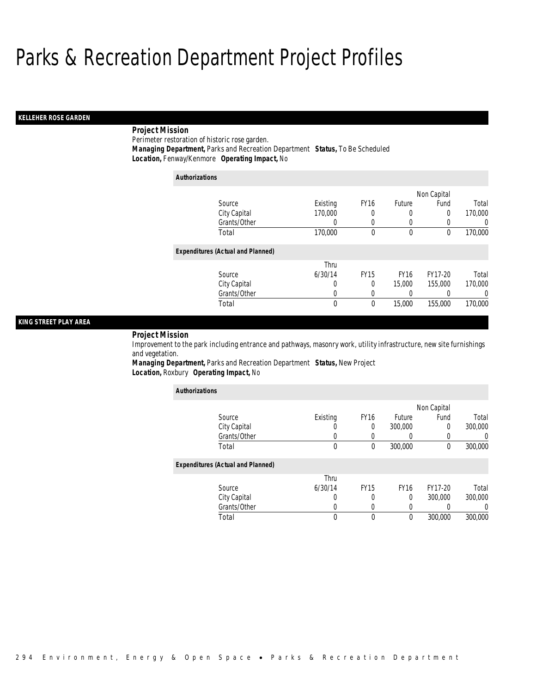## *KELLEHER ROSE GARDEN*

## *Project Mission*

Perimeter restoration of historic rose garden.

*Managing Department,* Parks and Recreation Department *Status,* To Be Scheduled

*Location,* Fenway/Kenmore *Operating Impact,* No

| <b>Authorizations</b> |                                          |             |             |             |                |         |
|-----------------------|------------------------------------------|-------------|-------------|-------------|----------------|---------|
|                       |                                          |             |             |             | Non Capital    |         |
|                       | Source                                   | Existing    | <b>FY16</b> | Future      | Fund           | Total   |
|                       | City Capital                             | 170,000     | 0           | 0           | $\overline{0}$ | 170,000 |
|                       | Grants/Other                             | 0           | 0           | 0           | 0              | U       |
|                       | Total                                    | 170,000     | 0           | $\mathbf 0$ | 0              | 170,000 |
|                       | <b>Expenditures (Actual and Planned)</b> |             |             |             |                |         |
|                       |                                          | Thru        |             |             |                |         |
|                       | Source                                   | 6/30/14     | <b>FY15</b> | <b>FY16</b> | FY17-20        | Total   |
|                       | City Capital                             | 0           | 0           | 15,000      | 155,000        | 170,000 |
|                       | Grants/Other                             | 0           | 0           | 0           |                | 0       |
|                       | Total                                    | $\mathbf 0$ | 0           | 15,000      | 155,000        | 170,000 |

## *KING STREET PLAY AREA*

*Project Mission* 

Improvement to the park including entrance and pathways, masonry work, utility infrastructure, new site furnishings and vegetation.

*Managing Department,* Parks and Recreation Department *Status,* New Project*Location,* Roxbury *Operating Impact,* No

| <b>Authorizations</b>                    |          |                  |             |             |                  |
|------------------------------------------|----------|------------------|-------------|-------------|------------------|
|                                          |          |                  |             | Non Capital |                  |
| Source                                   | Existing | FY <sub>16</sub> | Future      | Fund        | Total            |
| City Capital                             |          | 0                | 300,000     | $\Omega$    | 300,000          |
| Grants/Other                             |          |                  |             | 0           |                  |
| Total                                    | 0        | $\theta$         | 300,000     | 0           | 300,000          |
| <b>Expenditures (Actual and Planned)</b> |          |                  |             |             |                  |
|                                          | Thru     |                  |             |             |                  |
| Source                                   | 6/30/14  | <b>FY15</b>      | <b>FY16</b> | FY17-20     | Total            |
| City Capital                             | 0        | 0                | $\Omega$    | 300,000     | 300,000          |
| Grants/Other                             |          |                  |             | 0           | $\left( \right)$ |
| Total                                    | 0        | $\theta$         | $\theta$    | 300,000     | 300,000          |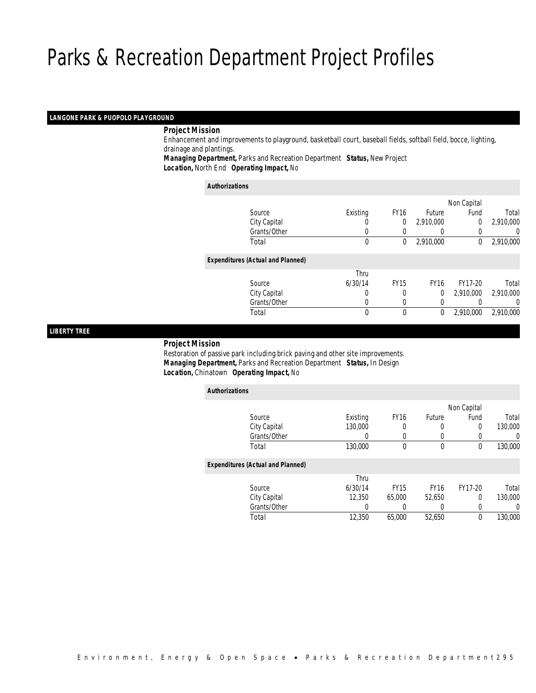# *LANGONE PARK & PUOPOLO PLAYGROUND*

# *Project Mission*

 Enhancement and improvements to playground, basketball court, baseball fields, softball field, bocce, lighting, drainage and plantings. *Managing Department,* Parks and Recreation Department *Status,* New Project

*Location,* North End *Operating Impact,* No

#### *Authorizations*

|                                          |          |             |               | Non Capital    |           |
|------------------------------------------|----------|-------------|---------------|----------------|-----------|
| Source                                   | Existing | <b>FY16</b> | <b>Future</b> | Fund           | Total     |
| City Capital                             |          | 0           | 2,910,000     | $\overline{0}$ | 2,910,000 |
| Grants/Other                             |          |             |               |                | 0         |
| Total                                    | 0        | 0           | 2,910,000     | 0              | 2,910,000 |
| <b>Expenditures (Actual and Planned)</b> |          |             |               |                |           |
|                                          | Thru     |             |               |                |           |
| Source                                   | 6/30/14  | <b>FY15</b> | FY16          | FY17-20        | Total     |
| City Capital                             | 0        | 0           | 0             | 2,910,000      | 2,910,000 |
| Grants/Other                             | 0        |             | 0             |                | 0         |
| Total                                    | 0        | $\theta$    | $\theta$      | 2,910,000      | 2,910,000 |
|                                          |          |             |               |                |           |

# *LIBERTY TREE*

#### *Project Mission*

 Restoration of passive park including brick paving and other site improvements. *Managing Department,* Parks and Recreation Department *Status,* In Design*Location,* Chinatown *Operating Impact,* No

| <b>Authorizations</b> |                                          |          |             |             |             |         |
|-----------------------|------------------------------------------|----------|-------------|-------------|-------------|---------|
|                       |                                          |          |             |             | Non Capital |         |
|                       | Source                                   | Existing | <b>FY16</b> | Future      | Fund        | Total   |
|                       | City Capital                             | 130,000  |             |             | 0           | 130,000 |
|                       | Grants/Other                             | 0        |             |             |             | 0       |
|                       | Total                                    | 130,000  | $\Omega$    | $\theta$    | 0           | 130,000 |
|                       | <b>Expenditures (Actual and Planned)</b> |          |             |             |             |         |
|                       |                                          | Thru     |             |             |             |         |
|                       | Source                                   | 6/30/14  | <b>FY15</b> | <b>FY16</b> | FY17-20     | Total   |
|                       | City Capital                             | 12,350   | 65,000      | 52,650      | 0           | 130,000 |
|                       | Grants/Other                             | 0        |             |             |             | 0       |
|                       | Total                                    | 12,350   | 65,000      | 52,650      | $\theta$    | 130,000 |
|                       |                                          |          |             |             |             |         |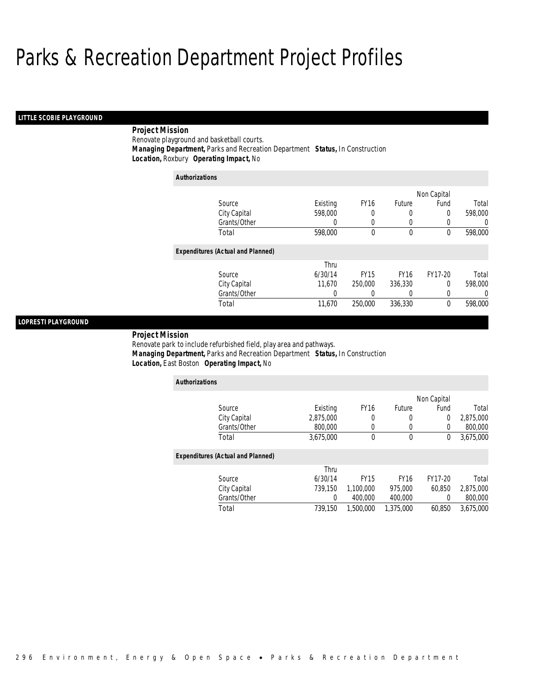# *LITTLE SCOBIE PLAYGROUND*

# *Project Mission*

Renovate playground and basketball courts.

*Managing Department,* Parks and Recreation Department *Status,* In Construction

*Location,* Roxbury *Operating Impact,* No

| <b>Authorizations</b>                    |          |             |             |             |         |
|------------------------------------------|----------|-------------|-------------|-------------|---------|
|                                          |          |             |             | Non Capital |         |
| Source                                   | Existing | <b>FY16</b> | Future      | Fund        | Total   |
| City Capital                             | 598,000  | 0           | 0           | 0           | 598,000 |
| Grants/Other                             | 0        | 0           | 0           | 0           | U       |
| Total                                    | 598,000  | 0           | 0           | 0           | 598,000 |
| <b>Expenditures (Actual and Planned)</b> |          |             |             |             |         |
|                                          | Thru     |             |             |             |         |
| Source                                   | 6/30/14  | <b>FY15</b> | <b>FY16</b> | FY17-20     | Total   |
| City Capital                             | 11,670   | 250,000     | 336,330     | 0           | 598,000 |
| Grants/Other                             | 0        | 0           | 0           | 0           | 0       |
| Total                                    | 11,670   | 250,000     | 336,330     | $\theta$    | 598,000 |

# *LOPRESTI PLAYGROUND*

*Project Mission* 

Renovate park to include refurbished field, play area and pathways. *Managing Department,* Parks and Recreation Department *Status,* In Construction*Location,* East Boston *Operating Impact,* No

| <b>Authorizations</b>                    |           |             |               |                |           |
|------------------------------------------|-----------|-------------|---------------|----------------|-----------|
|                                          |           |             |               | Non Capital    |           |
| Source                                   | Existing  | <b>FY16</b> | <b>Future</b> | Fund           | Total     |
| City Capital                             | 2,875,000 |             | 0             | $\overline{0}$ | 2,875,000 |
| Grants/Other                             | 800,000   | $\Omega$    | 0             | $\overline{0}$ | 800,000   |
| Total                                    | 3,675,000 | $\mathbf 0$ | $\mathbf 0$   | 0              | 3,675,000 |
| <b>Expenditures (Actual and Planned)</b> |           |             |               |                |           |
|                                          | Thru      |             |               |                |           |
| Source                                   | 6/30/14   | <b>FY15</b> | <b>FY16</b>   | FY17-20        | Total     |
| City Capital                             | 739.150   | 1,100,000   | 975,000       | 60.850         | 2,875,000 |
| Grants/Other                             | 0         | 400,000     | 400,000       | 0              | 800,000   |
| Total                                    | 739.150   | 1,500,000   | 1,375,000     | 60.850         | 3.675.000 |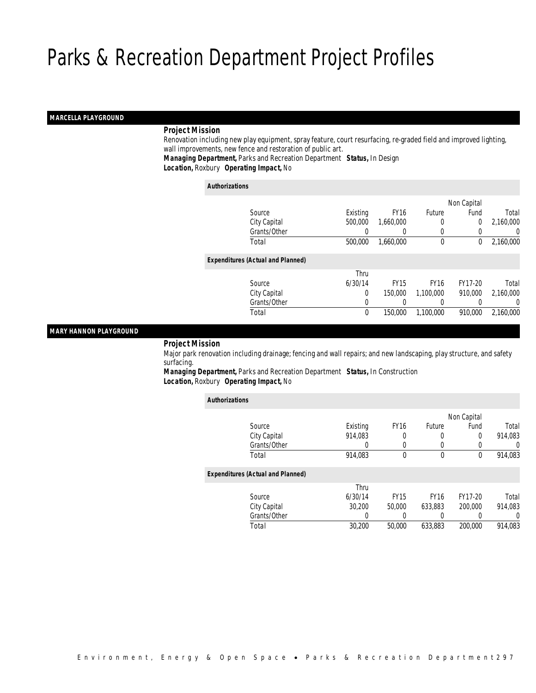# *MARCELLA PLAYGROUND*

# *Project Mission*

 Renovation including new play equipment, spray feature, court resurfacing, re-graded field and improved lighting, wall improvements, new fence and restoration of public art.

*Managing Department,* Parks and Recreation Department *Status,* In Design*Location,* Roxbury *Operating Impact,* No

#### *Authorizations*

|                                          |             |             |             | Non Capital |           |
|------------------------------------------|-------------|-------------|-------------|-------------|-----------|
| Source                                   | Existing    | <b>FY16</b> | Future      | Fund        | Total     |
| City Capital                             | 500,000     | 1,660,000   | $\left($    | 0           | 2,160,000 |
| Grants/Other                             | 0           |             | $\left($    | 0           | 0         |
| Total                                    | 500,000     | 1,660,000   | 0           | 0           | 2,160,000 |
| <b>Expenditures (Actual and Planned)</b> |             |             |             |             |           |
|                                          | Thru        |             |             |             |           |
| Source                                   | 6/30/14     | <b>FY15</b> | <b>FY16</b> | FY17-20     | Total     |
| City Capital                             | 0           | 150,000     | 1.100.000   | 910.000     | 2,160,000 |
| Grants/Other                             | 0           |             | $\left($    |             | 0         |
| Total                                    | $\mathbf 0$ | 150,000     | 1,100,000   | 910.000     | 2,160,000 |
|                                          |             |             |             |             |           |

# *MARY HANNON PLAYGROUND*

*Project Mission*

 Major park renovation including drainage; fencing and wall repairs; and new landscaping, play structure, and safety surfacing.

*Managing Department,* Parks and Recreation Department *Status,* In Construction*Location,* Roxbury *Operating Impact,* No

| <b>Authorizations</b>                    |          |             |             |             |                  |
|------------------------------------------|----------|-------------|-------------|-------------|------------------|
|                                          |          |             |             | Non Capital |                  |
| Source                                   | Existing | <b>FY16</b> | Future      | Fund        | Total            |
| City Capital                             | 914.083  | 0           | 0           | 0           | 914.083          |
| Grants/Other                             | 0        | $\left($    | 0           | 0           | $\left( \right)$ |
| Total                                    | 914,083  | 0           | $\mathbf 0$ | $\Omega$    | 914,083          |
| <b>Expenditures (Actual and Planned)</b> |          |             |             |             |                  |
|                                          | Thru     |             |             |             |                  |
| Source                                   | 6/30/14  | <b>FY15</b> | <b>FY16</b> | FY17-20     | Total            |
| City Capital                             | 30,200   | 50,000      | 633.883     | 200,000     | 914,083          |
| Grants/Other                             | 0        |             | 0           |             | 0                |
| Total                                    | 30,200   | 50,000      | 633,883     | 200,000     | 914.083          |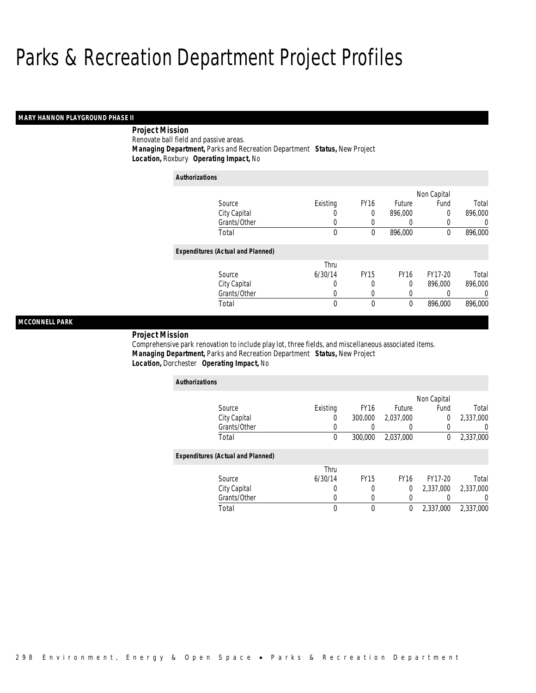# *MARY HANNON PLAYGROUND PHASE II*

# *Project Mission* Renovate ball field and passive areas.

 *Managing Department,* Parks and Recreation Department *Status,* New Project*Location,* Roxbury *Operating Impact,* No

| <b>Authorizations</b> |                                          |             |             |               |             |                |
|-----------------------|------------------------------------------|-------------|-------------|---------------|-------------|----------------|
|                       |                                          |             |             |               | Non Capital |                |
|                       | Source                                   | Existing    | <b>FY16</b> | <b>Future</b> | Fund        | Total          |
|                       | City Capital                             | 0           | 0           | 896,000       | 0           | 896,000        |
|                       | Grants/Other                             | 0           | 0           |               | 0           | $\overline{0}$ |
|                       | Total                                    | $\mathbf 0$ | 0           | 896,000       | 0           | 896,000        |
|                       | <b>Expenditures (Actual and Planned)</b> |             |             |               |             |                |
|                       |                                          | Thru        |             |               |             |                |
|                       | Source                                   | 6/30/14     | <b>FY15</b> | <b>FY16</b>   | FY17-20     | Total          |
|                       | City Capital                             | 0           | 0           | $\theta$      | 896.000     | 896,000        |
|                       | Grants/Other                             | 0           | 0           | 0             |             | 0              |
|                       | Total                                    | 0           | 0           | $\mathbf 0$   | 896.000     | 896,000        |

# *MCCONNELL PARK*

#### *Project Mission*

Comprehensive park renovation to include play lot, three fields, and miscellaneous associated items. *Managing Department,* Parks and Recreation Department *Status,* New Project*Location,* Dorchester *Operating Impact,* No

| <b>Authorizations</b>                    |          |             |               |             |                  |
|------------------------------------------|----------|-------------|---------------|-------------|------------------|
|                                          |          |             |               | Non Capital |                  |
| Source                                   | Existing | <b>FY16</b> | <b>Future</b> | Fund        | Total            |
| City Capital                             | 0        | 300,000     | 2,037,000     | 0           | 2,337,000        |
| Grants/Other                             |          |             |               |             | $\left( \right)$ |
| Total                                    | 0        | 300,000     | 2,037,000     | $^{0}$      | 2,337,000        |
| <b>Expenditures (Actual and Planned)</b> |          |             |               |             |                  |
|                                          | Thru     |             |               |             |                  |
| Source                                   | 6/30/14  | <b>FY15</b> | <b>FY16</b>   | FY17-20     | Total            |
| City Capital                             | 0        | 0           | $\Omega$      | 2.337.000   | 2,337,000        |
| Grants/Other                             | 0        | 0           |               |             | 0                |
| Total                                    | 0        | $\theta$    | $\theta$      | 2,337,000   | 2,337,000        |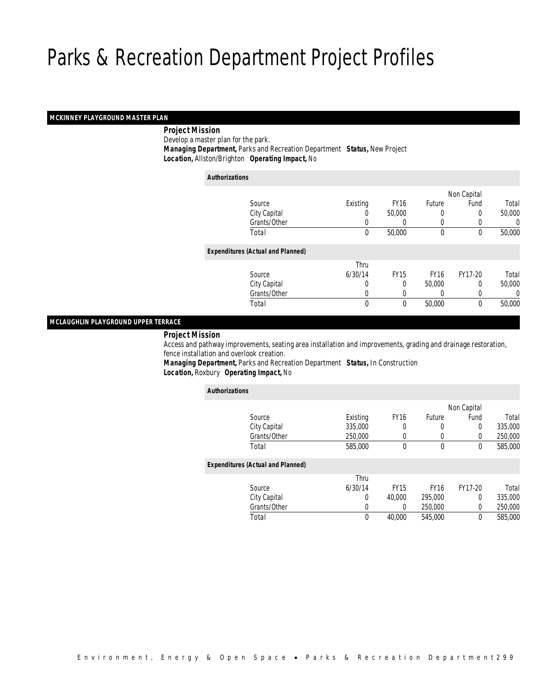# *MCKINNEY PLAYGROUND MASTER PLAN*

# *Project Mission*

Develop a master plan for the park.

*Managing Department,* Parks and Recreation Department *Status,* New Project

*Location,* Allston/Brighton *Operating Impact,* No

| <b>Authorizations</b> |                                          |             |             |             |             |        |
|-----------------------|------------------------------------------|-------------|-------------|-------------|-------------|--------|
|                       |                                          |             |             |             | Non Capital |        |
|                       | Source                                   | Existing    | <b>FY16</b> | Future      | Fund        | Total  |
|                       | City Capital                             | 0           | 50,000      | $\left($    | 0           | 50,000 |
|                       | Grants/Other                             | 0           |             | $\left($    |             | 0      |
|                       | Total                                    | $\mathbf 0$ | 50,000      | $\mathbf 0$ | $\mathbf 0$ | 50,000 |
|                       | <b>Expenditures (Actual and Planned)</b> |             |             |             |             |        |
|                       |                                          | Thru        |             |             |             |        |
|                       | Source                                   | 6/30/14     | <b>FY15</b> | <b>FY16</b> | FY17-20     | Total  |
|                       | City Capital                             | 0           | 0           | 50,000      | 0           | 50,000 |
|                       | Grants/Other                             | 0           |             |             | 0           | 0      |
|                       | Total                                    | 0           | 0           | 50,000      | 0           | 50,000 |
|                       |                                          |             |             |             |             |        |

# *MCLAUGHLIN PLAYGROUND UPPER TERRACE*

#### *Project Mission*

 Access and pathway improvements, seating area installation and improvements, grading and drainage restoration, fence installation and overlook creation.

*Managing Department,* Parks and Recreation Department *Status,* In Construction*Location,* Roxbury *Operating Impact,* No

| <b>Authorizations</b>                    |          |             |             |             |         |
|------------------------------------------|----------|-------------|-------------|-------------|---------|
|                                          |          |             |             | Non Capital |         |
| Source                                   | Existing | <b>FY16</b> | Future      | Fund        | Total   |
| City Capital                             | 335,000  | 0           | 0           | 0           | 335,000 |
| Grants/Other                             | 250,000  | $\Omega$    | 0           | 0           | 250,000 |
| Total                                    | 585,000  | $\Omega$    | 0           | 0           | 585,000 |
| <b>Expenditures (Actual and Planned)</b> |          |             |             |             |         |
|                                          | Thru     |             |             |             |         |
| Source                                   | 6/30/14  | <b>FY15</b> | <b>FY16</b> | FY17-20     | Total   |
| City Capital                             | 0        | 40,000      | 295,000     | 0           | 335,000 |
| Grants/Other                             | 0        | 0           | 250,000     | 0           | 250,000 |
| Total                                    | 0        | 40.000      | 545,000     | 0           | 585,000 |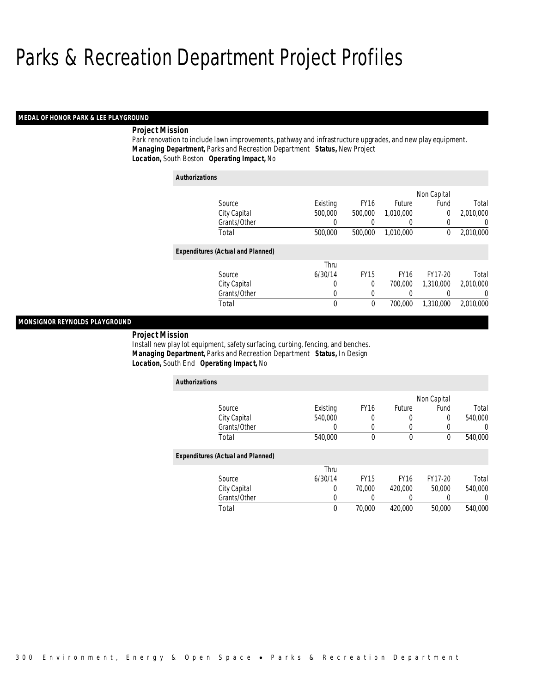# *MEDAL OF HONOR PARK & LEE PLAYGROUND*

# *Project Mission*

Park renovation to include lawn improvements, pathway and infrastructure upgrades, and new play equipment. *Managing Department,* Parks and Recreation Department *Status,* New Project*Location,* South Boston *Operating Impact,* No

| <b>Authorizations</b> |                                          |          |              |             |             |                |
|-----------------------|------------------------------------------|----------|--------------|-------------|-------------|----------------|
|                       |                                          |          |              |             | Non Capital |                |
|                       | Source                                   | Existing | <b>FY16</b>  | Future      | Fund        | Total          |
|                       | City Capital                             | 500,000  | 500,000      | 1.010.000   | 0           | 2,010,000      |
|                       | Grants/Other                             |          |              | 0           | 0           | $\overline{0}$ |
|                       | Total                                    | 500,000  | 500,000      | 1.010.000   | 0           | 2,010,000      |
|                       | <b>Expenditures (Actual and Planned)</b> |          |              |             |             |                |
|                       |                                          | Thru     |              |             |             |                |
|                       | Source                                   | 6/30/14  | <b>FY15</b>  | <b>FY16</b> | FY17-20     | Total          |
|                       | City Capital                             | 0        | 0            | 700.000     | 1,310,000   | 2.010.000      |
|                       | Grants/Other                             | 0        | 0            | 0           |             | 0              |
|                       | Total                                    | 0        | $\mathbf{0}$ | 700,000     | 1,310,000   | 2.010.000      |

# *MONSIGNOR REYNOLDS PLAYGROUND*

*Project Mission* 

Install new play lot equipment, safety surfacing, curbing, fencing, and benches. *Managing Department,* Parks and Recreation Department *Status,* In Design*Location,* South End *Operating Impact,* No

| <b>Authorizations</b>                    |          |             |             |             |         |
|------------------------------------------|----------|-------------|-------------|-------------|---------|
|                                          |          |             |             | Non Capital |         |
| Source                                   | Existing | <b>FY16</b> | Future      | Fund        | Total   |
| City Capital                             | 540,000  | 0           | 0           | 0           | 540,000 |
| Grants/Other                             | 0        | 0           |             | 0           |         |
| Total                                    | 540,000  | $\theta$    | 0           | 0           | 540,000 |
| <b>Expenditures (Actual and Planned)</b> |          |             |             |             |         |
|                                          | Thru     |             |             |             |         |
| Source                                   | 6/30/14  | <b>FY15</b> | <b>FY16</b> | FY17-20     | Total   |
| City Capital                             | 0        | 70,000      | 420,000     | 50,000      | 540,000 |
| Grants/Other                             | 0        |             | 0           | 0           | 0       |
| Total                                    | $\theta$ | 70,000      | 420,000     | 50,000      | 540,000 |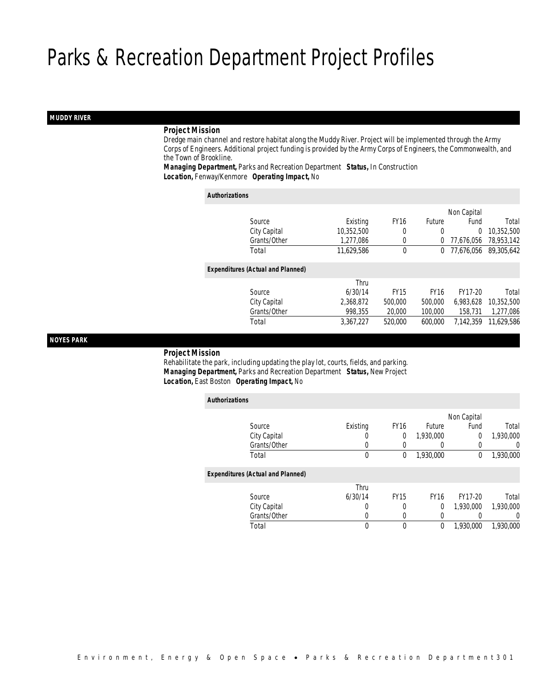# *MUDDY RIVER*

# *Project Mission*

 Dredge main channel and restore habitat along the Muddy River. Project will be implemented through the Army Corps of Engineers. Additional project funding is provided by the Army Corps of Engineers, the Commonwealth, and the Town of Brookline.

*Managing Department,* Parks and Recreation Department *Status,* In Construction*Location,* Fenway/Kenmore *Operating Impact,* No

| <b>Authorizations</b>                    |            |             |             |             |            |
|------------------------------------------|------------|-------------|-------------|-------------|------------|
|                                          |            |             |             | Non Capital |            |
| Source                                   | Existing   | <b>FY16</b> | Future      | Fund        | Total      |
| City Capital                             | 10,352,500 | 0           | 0           | 0           | 10,352,500 |
| Grants/Other                             | 1.277.086  | 0           | 0           | 77.676.056  | 78,953,142 |
| Total                                    | 11,629,586 | $\theta$    | 0           | 77.676.056  | 89,305,642 |
| <b>Expenditures (Actual and Planned)</b> |            |             |             |             |            |
|                                          | Thru       |             |             |             |            |
| Source                                   | 6/30/14    | <b>FY15</b> | <b>FY16</b> | FY17-20     | Total      |
| City Capital                             | 2.368.872  | 500,000     | 500,000     | 6.983.628   | 10.352.500 |
| Grants/Other                             | 998.355    | 20,000      | 100,000     | 158.731     | 1,277,086  |
| Total                                    | 3.367.227  | 520,000     | 600.000     | 7.142.359   | 11.629.586 |

*NOYES PARK* 

*Project Mission*

 Rehabilitate the park, including updating the play lot, courts, fields, and parking. *Managing Department,* Parks and Recreation Department *Status,* New Project*Location,* East Boston *Operating Impact,* No

| <b>Authorizations</b>                    |          |             |                  |             |                  |
|------------------------------------------|----------|-------------|------------------|-------------|------------------|
|                                          |          |             |                  | Non Capital |                  |
| Source                                   | Existing | <b>FY16</b> | Future           | Fund        | Total            |
| City Capital                             | U        | 0           | 1.930.000        | 0           | 1,930,000        |
| Grants/Other                             | 0        |             | $\left( \right)$ | 0           | $\left( \right)$ |
| Total                                    | 0        | 0           | 1,930,000        | 0           | 1,930,000        |
| <b>Expenditures (Actual and Planned)</b> |          |             |                  |             |                  |
|                                          | Thru     |             |                  |             |                  |
| Source                                   | 6/30/14  | <b>FY15</b> | <b>FY16</b>      | FY17-20     | Total            |
| City Capital                             | 0        | 0           | 0                | 1,930,000   | 1,930,000        |
| Grants/Other                             | O        | 0           | 0                |             |                  |
| Total                                    | 0        | 0           | 0                | 1.930.000   | 1.930.000        |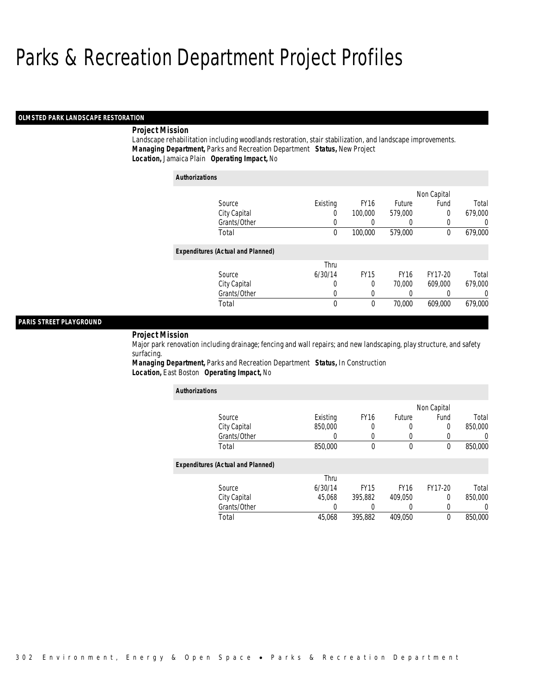# *OLMSTED PARK LANDSCAPE RESTORATION*

# *Project Mission*

Landscape rehabilitation including woodlands restoration, stair stabilization, and landscape improvements. *Managing Department,* Parks and Recreation Department *Status,* New Project*Location,* Jamaica Plain *Operating Impact,* No

| <b>Authorizations</b> |                                          |          |             |               |             |         |
|-----------------------|------------------------------------------|----------|-------------|---------------|-------------|---------|
|                       |                                          |          |             |               | Non Capital |         |
|                       | Source                                   | Existing | <b>FY16</b> | <b>Future</b> | Fund        | Total   |
|                       | City Capital                             | 0        | 100,000     | 579,000       | 0           | 679,000 |
|                       | Grants/Other                             | 0        |             | 0             | 0           | 0       |
|                       | Total                                    | 0        | 100,000     | 579,000       | 0           | 679,000 |
|                       | <b>Expenditures (Actual and Planned)</b> |          |             |               |             |         |
|                       |                                          | Thru     |             |               |             |         |
|                       | Source                                   | 6/30/14  | <b>FY15</b> | <b>FY16</b>   | FY17-20     | Total   |
|                       | City Capital                             | 0        | 0           | 70,000        | 609.000     | 679,000 |
|                       | Grants/Other                             | 0        | $\Omega$    | 0             | 0           | 0       |
|                       | Total                                    | 0        | 0           | 70,000        | 609.000     | 679,000 |

# *PARIS STREET PLAYGROUND*

#### *Project Mission*

Major park renovation including drainage; fencing and wall repairs; and new landscaping, play structure, and safety surfacing.

*Managing Department,* Parks and Recreation Department *Status,* In Construction*Location,* East Boston *Operating Impact,* No

| <b>Authorizations</b>                    |          |                  |             |             |                  |
|------------------------------------------|----------|------------------|-------------|-------------|------------------|
|                                          |          |                  |             | Non Capital |                  |
| Source                                   | Existing | FY <sub>16</sub> | Future      | Fund        | Total            |
| City Capital                             | 850,000  |                  | 0           | 0           | 850,000          |
| Grants/Other                             | 0        |                  |             |             | $\left( \right)$ |
| Total                                    | 850,000  | $\theta$         | $\theta$    | $\theta$    | 850,000          |
| <b>Expenditures (Actual and Planned)</b> |          |                  |             |             |                  |
|                                          | Thru     |                  |             |             |                  |
| Source                                   | 6/30/14  | <b>FY15</b>      | <b>FY16</b> | FY17-20     | Total            |
| City Capital                             | 45.068   | 395.882          | 409.050     | 0           | 850,000          |
| Grants/Other                             | 0        |                  | 0           | 0           | $\left( \right)$ |
| Total                                    | 45.068   | 395.882          | 409.050     | 0           | 850,000          |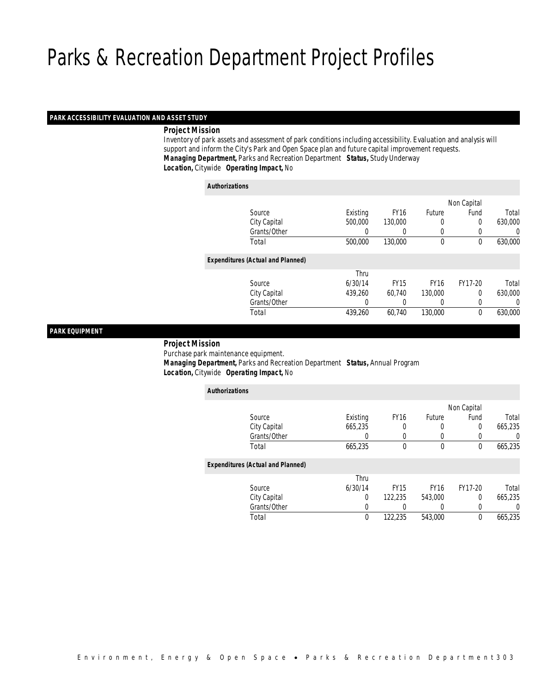# *PARK ACCESSIBILITY EVALUATION AND ASSET STUDY*

*Project Mission*

 Inventory of park assets and assessment of park conditions including accessibility. Evaluation and analysis will support and inform the City's Park and Open Space plan and future capital improvement requests. *Managing Department,* Parks and Recreation Department *Status,* Study Underway*Location,* Citywide *Operating Impact,* No

# *Authorizations*

|                                          |          |             |               | Non Capital |         |
|------------------------------------------|----------|-------------|---------------|-------------|---------|
| Source                                   | Existing | <b>FY16</b> | <b>Future</b> | Fund        | Total   |
| City Capital                             | 500,000  | 130,000     | 0             | 0           | 630,000 |
| Grants/Other                             | 0        |             | $\left($      |             | 0       |
| Total                                    | 500,000  | 130,000     | $\mathbf 0$   | 0           | 630,000 |
| <b>Expenditures (Actual and Planned)</b> |          |             |               |             |         |
|                                          | Thru     |             |               |             |         |
| Source                                   | 6/30/14  | <b>FY15</b> | <b>FY16</b>   | FY17-20     | Total   |
| City Capital                             | 439,260  | 60.740      | 130,000       | $\Omega$    | 630,000 |
| Grants/Other                             | 0        |             | $\left($      | 0           | 0       |
| Total                                    | 439,260  | 60,740      | 130,000       | $\theta$    | 630,000 |
|                                          |          |             |               |             |         |

# *PARK EQUIPMENT*

*Project Mission*

Purchase park maintenance equipment.

 *Managing Department,* Parks and Recreation Department *Status,* Annual Program*Location,* Citywide *Operating Impact,* No

| <b>Authorizations</b>                    |                |             |             |             |         |
|------------------------------------------|----------------|-------------|-------------|-------------|---------|
|                                          |                |             |             | Non Capital |         |
| Source                                   | Existing       | <b>FY16</b> | Future      | Fund        | Total   |
| City Capital                             | 665,235        | 0           | 0           | $\Omega$    | 665,235 |
| Grants/Other                             |                |             |             |             | 0       |
| Total                                    | 665,235        | $\theta$    | $\mathbf 0$ | $\theta$    | 665,235 |
| <b>Expenditures (Actual and Planned)</b> |                |             |             |             |         |
|                                          | Thru           |             |             |             |         |
| Source                                   | 6/30/14        | <b>FY15</b> | <b>FY16</b> | FY17-20     | Total   |
| City Capital                             | $\overline{0}$ | 122,235     | 543,000     | $\Omega$    | 665,235 |
| Grants/Other                             | 0              |             | $\left($    | 0           | 0       |
| Total                                    | $\theta$       | 122.235     | 543.000     | $\theta$    | 665,235 |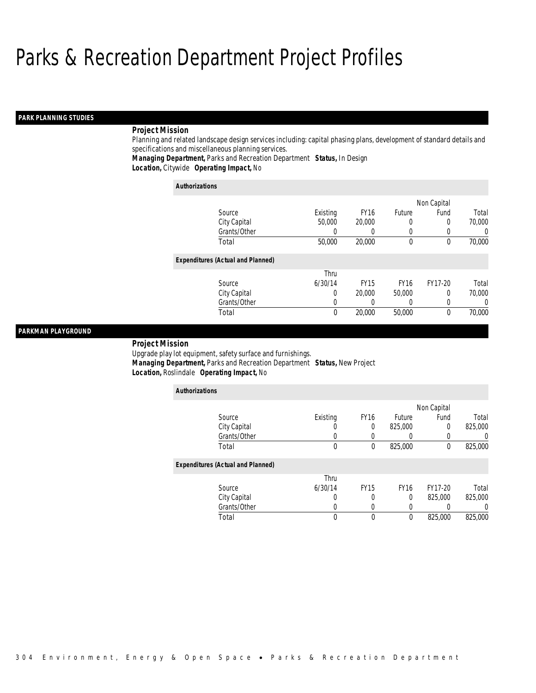# *PARK PLANNING STUDIES*

# *Project Mission*

Planning and related landscape design services including: capital phasing plans, development of standard details and specifications and miscellaneous planning services.

*Managing Department,* Parks and Recreation Department *Status,* In Design*Location,* Citywide *Operating Impact,* No

| <b>Authorizations</b>                    |          |             |               |             |          |
|------------------------------------------|----------|-------------|---------------|-------------|----------|
|                                          |          |             |               | Non Capital |          |
| Source                                   | Existing | <b>FY16</b> | <b>Future</b> | Fund        | Total    |
| City Capital                             | 50,000   | 20,000      | 0             | 0           | 70,000   |
| Grants/Other                             | 0        | 0           | 0             | 0           | $\Omega$ |
| Total                                    | 50,000   | 20,000      | 0             | 0           | 70,000   |
| <b>Expenditures (Actual and Planned)</b> |          |             |               |             |          |
|                                          | Thru     |             |               |             |          |
| Source                                   | 6/30/14  | <b>FY15</b> | <b>FY16</b>   | FY17-20     | Total    |
| City Capital                             | 0        | 20,000      | 50,000        | 0           | 70,000   |
| Grants/Other                             | 0        | 0           | 0             | $\left($    | $\Omega$ |
| Total                                    | 0        | 20,000      | 50,000        | $\theta$    | 70,000   |

# *PARKMAN PLAYGROUND*

#### *Project Mission*

Upgrade play lot equipment, safety surface and furnishings. *Managing Department,* Parks and Recreation Department *Status,* New Project*Location,* Roslindale *Operating Impact,* No

| <b>Authorizations</b>                    |          |             |             |             |         |
|------------------------------------------|----------|-------------|-------------|-------------|---------|
|                                          |          |             |             | Non Capital |         |
| Source                                   | Existing | <b>FY16</b> | Future      | Fund        | Total   |
| City Capital                             |          | 0           | 825,000     | $\Omega$    | 825,000 |
| Grants/Other                             | U        | U           |             | 0           | 0       |
| Total                                    | 0        | $\theta$    | 825,000     | 0           | 825,000 |
| <b>Expenditures (Actual and Planned)</b> |          |             |             |             |         |
|                                          | Thru     |             |             |             |         |
| Source                                   | 6/30/14  | <b>FY15</b> | <b>FY16</b> | FY17-20     | Total   |
| City Capital                             | 0        | 0           | 0           | 825,000     | 825,000 |
| Grants/Other                             | 0        | 0           |             |             |         |
| Total                                    | 0        | 0           | $\theta$    | 825,000     | 825,000 |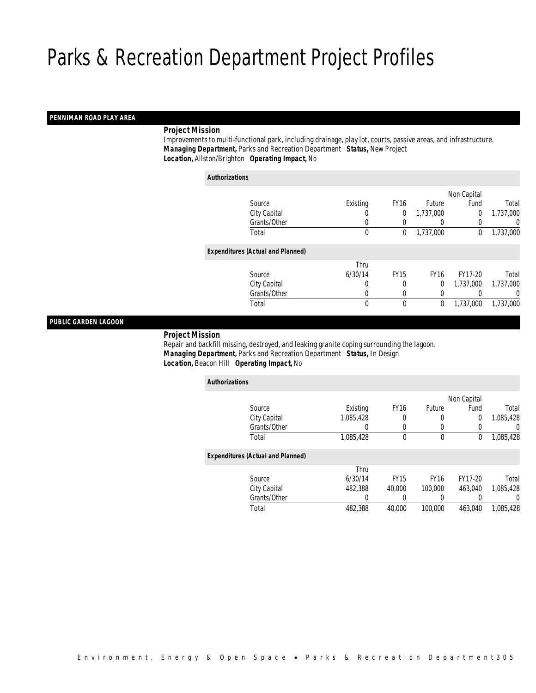# *PENNIMAN ROAD PLAY AREA*

# *Project Mission*

 Improvements to multi-functional park, including drainage, play lot, courts, passive areas, and infrastructure. *Managing Department,* Parks and Recreation Department *Status,* New Project*Location,* Allston/Brighton *Operating Impact,* No

| <b>Authorizations</b>                    |          |                  |             |             |                  |
|------------------------------------------|----------|------------------|-------------|-------------|------------------|
|                                          |          |                  |             | Non Capital |                  |
| Source                                   | Existing | FY <sub>16</sub> | Future      | Fund        | Total            |
| City Capital                             | U        | 0                | 1.737.000   | 0           | 1,737,000        |
| Grants/Other                             | 0        | 0                | 0           | 0           | $\left( \right)$ |
| Total                                    | 0        | 0                | 1,737,000   | 0           | 1,737,000        |
| <b>Expenditures (Actual and Planned)</b> |          |                  |             |             |                  |
|                                          | Thru     |                  |             |             |                  |
| Source                                   | 6/30/14  | <b>FY15</b>      | <b>FY16</b> | FY17-20     | Total            |
| City Capital                             | 0        | 0                | 0           | 1,737,000   | 1,737,000        |
| Grants/Other                             | 0        | 0                | 0           |             | $\Omega$         |
| Total                                    | 0        | 0                | 0           | 1,737,000   | 1,737,000        |

# *PUBLIC GARDEN LAGOON*

#### *Project Mission*

 Repair and backfill missing, destroyed, and leaking granite coping surrounding the lagoon. *Managing Department,* Parks and Recreation Department *Status,* In Design*Location,* Beacon Hill *Operating Impact,* No

| <b>Authorizations</b>                    |           |             |             |             |           |
|------------------------------------------|-----------|-------------|-------------|-------------|-----------|
|                                          |           |             |             | Non Capital |           |
| Source                                   | Existing  | <b>FY16</b> | Future      | Fund        | Total     |
| City Capital                             | 1,085,428 |             | 0           | 0           | 1,085,428 |
| Grants/Other                             | 0         | $\Omega$    | 0           | 0           | 0         |
| Total                                    | 1,085,428 | $\theta$    | $\mathbf 0$ | 0           | 1,085,428 |
| <b>Expenditures (Actual and Planned)</b> |           |             |             |             |           |
|                                          | Thru      |             |             |             |           |
| Source                                   | 6/30/14   | <b>FY15</b> | <b>FY16</b> | FY17-20     | Total     |
| City Capital                             | 482,388   | 40,000      | 100,000     | 463.040     | 1.085.428 |
| Grants/Other                             | 0         | 0           | 0           |             | $\left($  |
| Total                                    | 482,388   | 40,000      | 100,000     | 463.040     | 1.085.428 |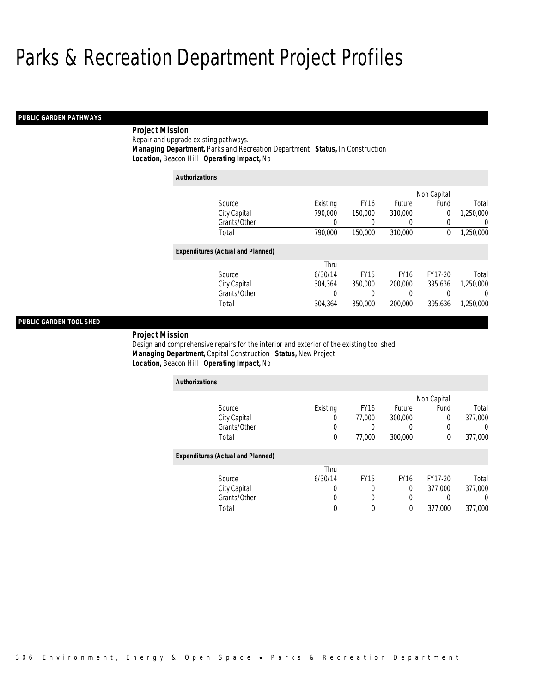# *PUBLIC GARDEN PATHWAYS*

# *Project Mission*

Repair and upgrade existing pathways.*Managing Department,* Parks and Recreation Department *Status,* In Construction

 *Location,* Beacon Hill *Operating Impact,* No *Authorizations*

|                                          |          |             |             | Non Capital |                |
|------------------------------------------|----------|-------------|-------------|-------------|----------------|
| Source                                   | Existing | <b>FY16</b> | Future      | Fund        | Total          |
| City Capital                             | 790,000  | 150,000     | 310,000     | 0           | 1,250,000      |
| Grants/Other                             | 0        | 0           | 0           | 0           | $\overline{0}$ |
| Total                                    | 790,000  | 150,000     | 310,000     | 0           | 1,250,000      |
| <b>Expenditures (Actual and Planned)</b> |          |             |             |             |                |
|                                          | Thru     |             |             |             |                |
| Source                                   | 6/30/14  | <b>FY15</b> | <b>FY16</b> | FY17-20     | Total          |
| City Capital                             | 304.364  | 350,000     | 200,000     | 395.636     | 1.250.000      |
| Grants/Other                             | 0        | 0           | 0           |             | $\Omega$       |
| Total                                    | 304.364  | 350,000     | 200,000     | 395.636     | 1,250,000      |
|                                          |          |             |             |             |                |

# *PUBLIC GARDEN TOOL SHED*

*Project Mission* 

Design and comprehensive repairs for the interior and exterior of the existing tool shed. *Managing Department,* Capital Construction *Status,* New Project*Location,* Beacon Hill *Operating Impact,* No

| <b>Authorizations</b>                    |          |             |             |             |                  |
|------------------------------------------|----------|-------------|-------------|-------------|------------------|
|                                          |          |             |             | Non Capital |                  |
| Source                                   | Existing | <b>FY16</b> | Future      | Fund        | Total            |
| City Capital                             | O        | 77.000      | 300,000     | 0           | 377,000          |
| Grants/Other                             |          |             |             | 0           | $\left( \right)$ |
| Total                                    | 0        | 77,000      | 300,000     | 0           | 377,000          |
| <b>Expenditures (Actual and Planned)</b> |          |             |             |             |                  |
|                                          | Thru     |             |             |             |                  |
| Source                                   | 6/30/14  | <b>FY15</b> | <b>FY16</b> | FY17-20     | Total            |
| City Capital                             | U        | 0           | 0           | 377,000     | 377,000          |
| Grants/Other                             | 0        | $\Omega$    | 0           | $\Omega$    | 0                |
| Total                                    | 0        | $\Omega$    | $\theta$    | 377,000     | 377.000          |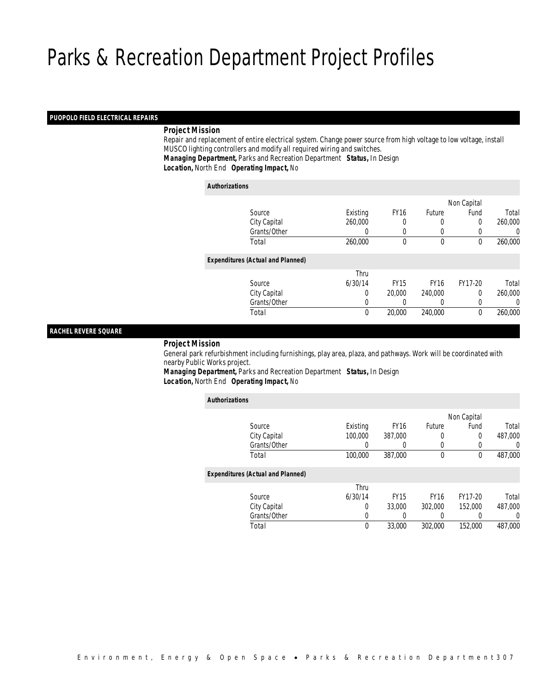# *PUOPOLO FIELD ELECTRICAL REPAIRS*

# *Project Mission*

 Repair and replacement of entire electrical system. Change power source from high voltage to low voltage, install MUSCO lighting controllers and modify all required wiring and switches. *Managing Department,* Parks and Recreation Department *Status,* In Design*Location,* North End *Operating Impact,* No

#### *Authorizations*

|                                          |             |             |               | Non Capital |         |
|------------------------------------------|-------------|-------------|---------------|-------------|---------|
| Source                                   | Existing    | <b>FY16</b> | <b>Future</b> | Fund        | Total   |
| City Capital                             | 260,000     |             | 0             | 0           | 260,000 |
| Grants/Other                             | 0           | 0           | $\left($      | 0           | 0       |
| Total                                    | 260,000     | $\theta$    | $\mathbf 0$   | 0           | 260,000 |
| <b>Expenditures (Actual and Planned)</b> |             |             |               |             |         |
|                                          | Thru        |             |               |             |         |
| Source                                   | 6/30/14     | <b>FY15</b> | <b>FY16</b>   | FY17-20     | Total   |
| City Capital                             | 0           | 20,000      | 240,000       | $\Omega$    | 260,000 |
| Grants/Other                             | 0           |             | $\left($      | 0           | 0       |
| Total                                    | $\mathbf 0$ | 20,000      | 240,000       | $\theta$    | 260,000 |
|                                          |             |             |               |             |         |

# *RACHEL REVERE SQUARE*

*Project Mission*

 General park refurbishment including furnishings, play area, plaza, and pathways. Work will be coordinated with nearby Public Works project.

*Managing Department,* Parks and Recreation Department *Status,* In Design*Location,* North End *Operating Impact,* No

| <b>Authorizations</b>                    |          |                  |             |             |         |
|------------------------------------------|----------|------------------|-------------|-------------|---------|
|                                          |          |                  |             | Non Capital |         |
| Source                                   | Existing | FY <sub>16</sub> | Future      | Fund        | Total   |
| City Capital                             | 100,000  | 387.000          | 0           | 0           | 487.000 |
| Grants/Other                             | 0        | 0                | 0           |             | U       |
| Total                                    | 100,000  | 387,000          | 0           | 0           | 487,000 |
| <b>Expenditures (Actual and Planned)</b> |          |                  |             |             |         |
|                                          | Thru     |                  |             |             |         |
| Source                                   | 6/30/14  | <b>FY15</b>      | <b>FY16</b> | FY17-20     | Total   |
| City Capital                             | 0        | 33,000           | 302,000     | 152,000     | 487,000 |
| Grants/Other                             | 0        |                  | 0           |             | 0       |
| Total                                    | 0        | 33,000           | 302,000     | 152,000     | 487.000 |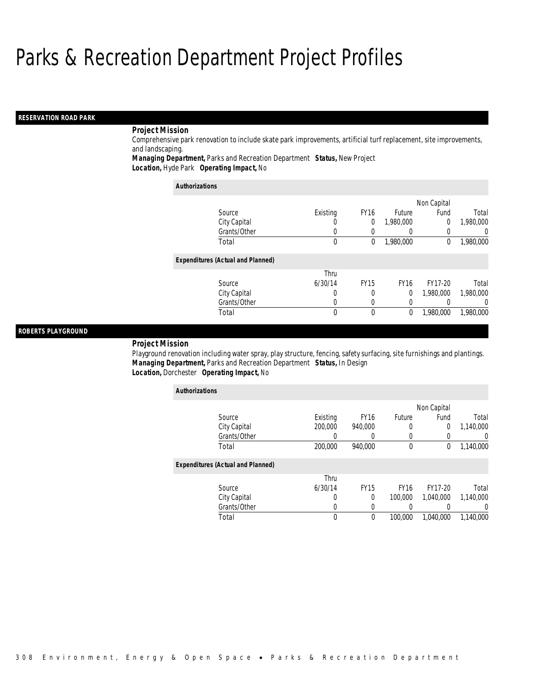# *RESERVATION ROAD PARK*

# *Project Mission*

Comprehensive park renovation to include skate park improvements, artificial turf replacement, site improvements, and landscaping.

*Managing Department,* Parks and Recreation Department *Status,* New Project*Location,* Hyde Park *Operating Impact,* No

| <b>Authorizations</b>                    |          |             |             |              |                  |
|------------------------------------------|----------|-------------|-------------|--------------|------------------|
|                                          |          |             |             | Non Capital  |                  |
| Source                                   | Existing | <b>FY16</b> | Future      | Fund         | Total            |
| City Capital                             | U        | 0           | 1.980.000   | 0            | 1,980,000        |
| Grants/Other                             | U        | 0           |             | 0            | 0                |
| Total                                    | 0        | 0           | 1,980,000   | $\mathbf{0}$ | 1,980,000        |
| <b>Expenditures (Actual and Planned)</b> |          |             |             |              |                  |
|                                          | Thru     |             |             |              |                  |
| Source                                   | 6/30/14  | <b>FY15</b> | <b>FY16</b> | FY17-20      | Total            |
| City Capital                             | 0        | 0           | 0           | 1,980,000    | 1,980,000        |
| Grants/Other                             | 0        | $\Omega$    |             |              | $\left( \right)$ |
| Total                                    | 0        | $\theta$    | 0           | 1,980,000    | 1,980,000        |

# *ROBERTS PLAYGROUND*

#### *Project Mission*

Playground renovation including water spray, play structure, fencing, safety surfacing, site furnishings and plantings. *Managing Department,* Parks and Recreation Department *Status,* In Design*Location,* Dorchester *Operating Impact,* No

| <b>Authorizations</b>                    |          |             |             |             |           |
|------------------------------------------|----------|-------------|-------------|-------------|-----------|
|                                          |          |             |             | Non Capital |           |
| Source                                   | Existing | <b>FY16</b> | Future      | Fund        | Total     |
| City Capital                             | 200,000  | 940.000     | 0           | 0           | 1,140,000 |
| Grants/Other                             |          | 0           | 0           |             | 0         |
| Total                                    | 200,000  | 940.000     | 0           | 0           | 1,140,000 |
| <b>Expenditures (Actual and Planned)</b> |          |             |             |             |           |
|                                          | Thru     |             |             |             |           |
| Source                                   | 6/30/14  | <b>FY15</b> | <b>FY16</b> | FY17-20     | Total     |
| City Capital                             | 0        | 0           | 100,000     | 1.040.000   | 1.140.000 |
| Grants/Other                             | 0        | 0           | 0           |             | 0         |
| Total                                    | 0        | 0           | 100,000     | 1.040.000   | 1.140.000 |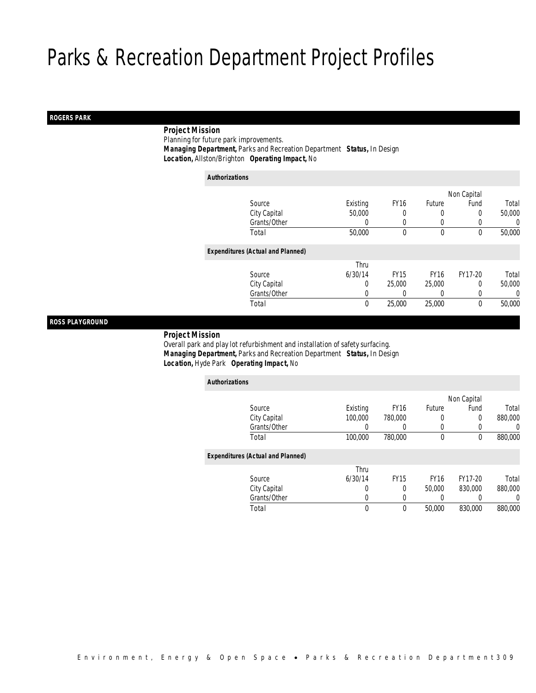#### *ROGERS PARK*

# *Project Mission*

Planning for future park improvements.

*Managing Department,* Parks and Recreation Department *Status,* In Design

*Location,* Allston/Brighton *Operating Impact,* No

| <b>Authorizations</b>                    |             |             |              |             |        |
|------------------------------------------|-------------|-------------|--------------|-------------|--------|
|                                          |             |             |              | Non Capital |        |
| Source                                   | Existing    | <b>FY16</b> | Future       | Fund        | Total  |
| City Capital                             | 50,000      | 0           |              | 0           | 50,000 |
| Grants/Other                             | 0           | 0           | 0            | 0           | 0      |
| Total                                    | 50,000      | 0           | $\mathbf{0}$ | 0           | 50,000 |
| <b>Expenditures (Actual and Planned)</b> |             |             |              |             |        |
|                                          | Thru        |             |              |             |        |
| Source                                   | 6/30/14     | <b>FY15</b> | <b>FY16</b>  | FY17-20     | Total  |
| City Capital                             | 0           | 25,000      | 25,000       | 0           | 50,000 |
| Grants/Other                             | 0           |             |              | 0           | 0      |
| Total                                    | $\mathbf 0$ | 25,000      | 25,000       | 0           | 50,000 |
|                                          |             |             |              |             |        |

# *ROSS PLAYGROUND*

#### *Project Mission*

 Overall park and play lot refurbishment and installation of safety surfacing. *Managing Department,* Parks and Recreation Department *Status,* In Design*Location,* Hyde Park *Operating Impact,* No

| <b>Authorizations</b>                    |          |             |             |             |         |
|------------------------------------------|----------|-------------|-------------|-------------|---------|
|                                          |          |             |             | Non Capital |         |
| Source                                   | Existing | <b>FY16</b> | Future      | Fund        | Total   |
| City Capital                             | 100,000  | 780,000     | 0           | $\Omega$    | 880,000 |
| Grants/Other                             | 0        | 0           | $\left($    | 0           | 0       |
| Total                                    | 100,000  | 780.000     | $\mathbf 0$ | 0           | 880,000 |
| <b>Expenditures (Actual and Planned)</b> |          |             |             |             |         |
|                                          | Thru     |             |             |             |         |
| Source                                   | 6/30/14  | <b>FY15</b> | <b>FY16</b> | FY17-20     | Total   |
| City Capital                             | 0        | 0           | 50,000      | 830,000     | 880,000 |
| Grants/Other                             | 0        | 0           |             | 0           | 0       |
| Total                                    | 0        | $\theta$    | 50,000      | 830,000     | 880,000 |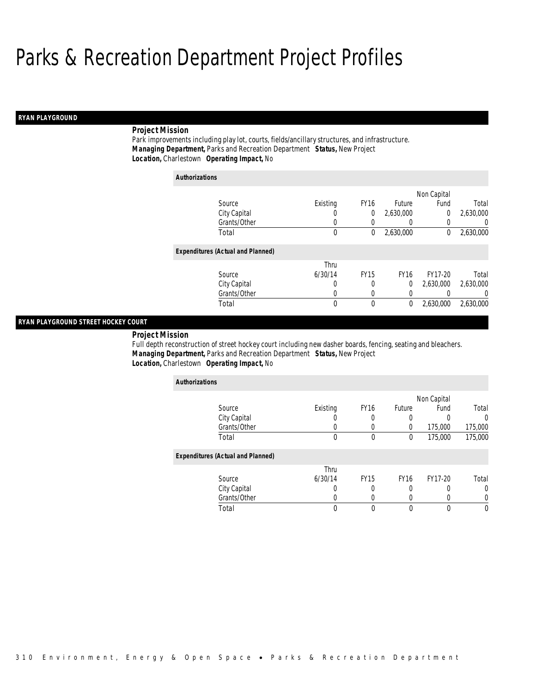# *RYAN PLAYGROUND*

# *Project Mission*

Park improvements including play lot, courts, fields/ancillary structures, and infrastructure. *Managing Department,* Parks and Recreation Department *Status,* New Project*Location,* Charlestown *Operating Impact,* No

| <b>Authorizations</b>                    |          |             |               |             |           |
|------------------------------------------|----------|-------------|---------------|-------------|-----------|
|                                          |          |             |               | Non Capital |           |
| Source                                   | Existing | <b>FY16</b> | <b>Future</b> | Fund        | Total     |
| City Capital                             | 0        | 0           | 2,630,000     | $\mathbf 0$ | 2,630,000 |
| Grants/Other                             | 0        |             | 0             |             | 0         |
| Total                                    | 0        | 0           | 2,630,000     | 0           | 2,630,000 |
| <b>Expenditures (Actual and Planned)</b> |          |             |               |             |           |
|                                          | Thru     |             |               |             |           |
| Source                                   | 6/30/14  | <b>FY15</b> | <b>FY16</b>   | FY17-20     | Total     |
| City Capital                             | 0        | 0           | 0             | 2,630,000   | 2,630,000 |
| Grants/Other                             | 0        | 0           | 0             |             | 0         |
| Total                                    | $\theta$ | $\theta$    | 0             | 2,630,000   | 2,630,000 |

# *RYAN PLAYGROUND STREET HOCKEY COURT*

*Project Mission* 

Full depth reconstruction of street hockey court including new dasher boards, fencing, seating and bleachers. *Managing Department,* Parks and Recreation Department *Status,* New Project*Location,* Charlestown *Operating Impact,* No

| <b>Authorizations</b>                    |          |                  |             |             |          |
|------------------------------------------|----------|------------------|-------------|-------------|----------|
|                                          |          |                  |             | Non Capital |          |
| Source                                   | Existing | <b>FY16</b>      | Future      | Fund        | Total    |
| City Capital                             |          | 0                | 0           | O           | $\Omega$ |
| Grants/Other                             |          | $\left( \right)$ | O           | 175,000     | 175,000  |
| Total                                    | 0        | $\mathbf{0}$     | $\theta$    | 175,000     | 175,000  |
| <b>Expenditures (Actual and Planned)</b> |          |                  |             |             |          |
|                                          | Thru     |                  |             |             |          |
| Source                                   | 6/30/14  | <b>FY15</b>      | <b>FY16</b> | FY17-20     | Total    |
| City Capital                             | 0        |                  |             |             | 0        |
| Grants/Other                             |          | 0                |             |             | 0        |
| Total                                    | 0        | 0                | $\Omega$    | 0           | $\theta$ |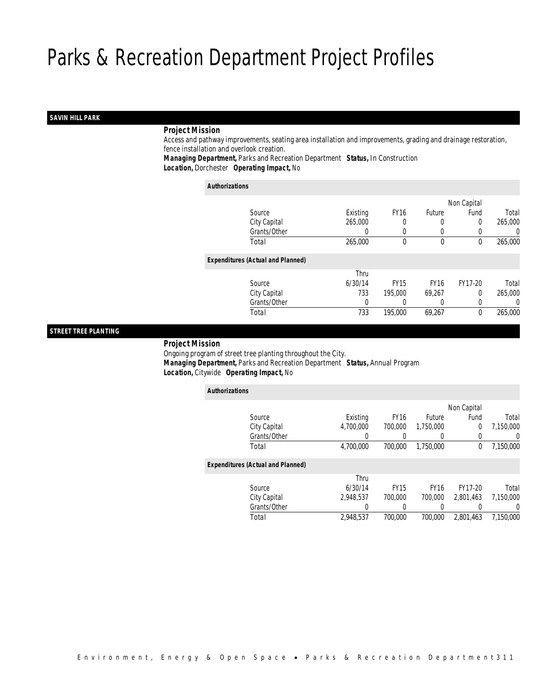# *SAVIN HILL PARK*

# *Project Mission*

 Access and pathway improvements, seating area installation and improvements, grading and drainage restoration, fence installation and overlook creation.

*Managing Department,* Parks and Recreation Department *Status,* In Construction*Location,* Dorchester *Operating Impact,* No

#### *Authorizations*

|                                          |                  |             |             | Non Capital |         |
|------------------------------------------|------------------|-------------|-------------|-------------|---------|
| Source                                   | Existing         | <b>FY16</b> | Future      | Fund        | Total   |
| City Capital                             | 265,000          |             | 0           | 0           | 265,000 |
| Grants/Other                             | $\left( \right)$ | 0           | $\left($    |             | 0       |
| Total                                    | 265,000          | $\theta$    | $\mathbf 0$ | 0           | 265,000 |
| <b>Expenditures (Actual and Planned)</b> |                  |             |             |             |         |
|                                          | Thru             |             |             |             |         |
| Source                                   | 6/30/14          | <b>FY15</b> | <b>FY16</b> | FY17-20     | Total   |
| City Capital                             | 733              | 195,000     | 69,267      | $\Omega$    | 265,000 |
| Grants/Other                             | 0                |             | $\left($    |             | 0       |
| Total                                    | 733              | 195,000     | 69,267      | 0           | 265,000 |
|                                          |                  |             |             |             |         |

# *STREET TREE PLANTING*

*Project Mission*

 Ongoing program of street tree planting throughout the City. *Managing Department,* Parks and Recreation Department *Status,* Annual Program*Location,* Citywide *Operating Impact,* No

| <b>Authorizations</b> |                                          |           |             |             |             |                  |
|-----------------------|------------------------------------------|-----------|-------------|-------------|-------------|------------------|
|                       |                                          |           |             |             | Non Capital |                  |
|                       | Source                                   | Existing  | <b>FY16</b> | Future      | Fund        | Total            |
|                       | City Capital                             | 4.700.000 | 700.000     | 1.750.000   | 0           | 7.150.000        |
|                       | Grants/Other                             | 0         |             | 0           |             | $\left( \right)$ |
|                       | Total                                    | 4,700,000 | 700,000     | 1.750.000   | 0           | 7,150,000        |
|                       | <b>Expenditures (Actual and Planned)</b> |           |             |             |             |                  |
|                       |                                          | Thru      |             |             |             |                  |
|                       | Source                                   | 6/30/14   | <b>FY15</b> | <b>FY16</b> | FY17-20     | Total            |
|                       | City Capital                             | 2.948.537 | 700.000     | 700.000     | 2.801.463   | 7.150.000        |
|                       | Grants/Other                             | 0         | 0           | 0           |             | 0                |
|                       | Total                                    | 2,948,537 | 700.000     | 700.000     | 2.801.463   | 7.150.000        |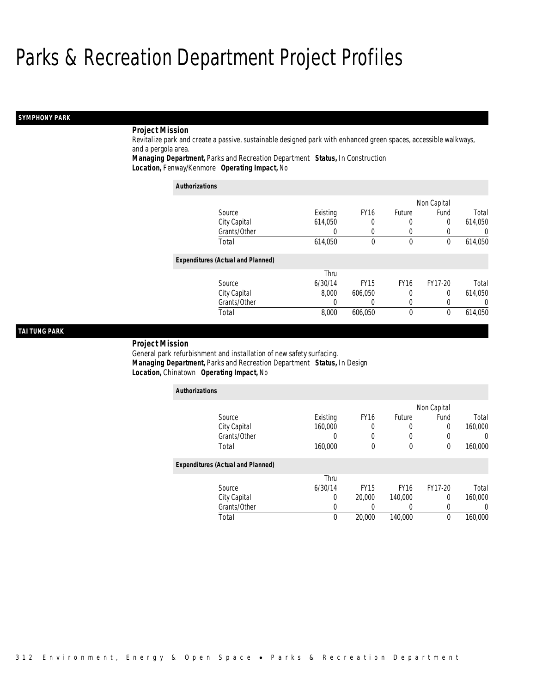# *SYMPHONY PARK*

# *Project Mission*

Revitalize park and create a passive, sustainable designed park with enhanced green spaces, accessible walkways, and a pergola area.

*Managing Department,* Parks and Recreation Department *Status,* In Construction*Location,* Fenway/Kenmore *Operating Impact,* No

| <b>Authorizations</b>                    |          |                  |               |             |                  |
|------------------------------------------|----------|------------------|---------------|-------------|------------------|
|                                          |          |                  |               | Non Capital |                  |
| Source                                   | Existing | FY <sub>16</sub> | <b>Future</b> | Fund        | Total            |
| City Capital                             | 614,050  | 0                | 0             | $\Omega$    | 614,050          |
| Grants/Other                             | 0        | $\left($         | $\cup$        |             | $\left( \right)$ |
| Total                                    | 614,050  | 0                | $\mathbf 0$   | $\theta$    | 614,050          |
| <b>Expenditures (Actual and Planned)</b> |          |                  |               |             |                  |
|                                          | Thru     |                  |               |             |                  |
| Source                                   | 6/30/14  | <b>FY15</b>      | <b>FY16</b>   | FY17-20     | Total            |
| City Capital                             | 8.000    | 606.050          | 0             | 0           | 614,050          |
| Grants/Other                             | 0        | 0                | 0             |             | $\left( \right)$ |
| Total                                    | 8.000    | 606.050          | $\theta$      | $\Omega$    | 614.050          |

# *TAI TUNG PARK*

#### *Project Mission*

General park refurbishment and installation of new safety surfacing. *Managing Department,* Parks and Recreation Department *Status,* In Design*Location,* Chinatown *Operating Impact,* No

| <b>Authorizations</b>                    |          |             |             |             |         |
|------------------------------------------|----------|-------------|-------------|-------------|---------|
|                                          |          |             |             | Non Capital |         |
| Source                                   | Existing | <b>FY16</b> | Future      | Fund        | Total   |
| City Capital                             | 160,000  | 0           | 0           | $\Omega$    | 160,000 |
| Grants/Other                             | 0        | 0           | U           | $\Omega$    | 0       |
| Total                                    | 160,000  | 0           | $\mathbf 0$ | $\theta$    | 160,000 |
| <b>Expenditures (Actual and Planned)</b> |          |             |             |             |         |
|                                          | Thru     |             |             |             |         |
| Source                                   | 6/30/14  | <b>FY15</b> | <b>FY16</b> | FY17-20     | Total   |
| City Capital                             | 0        | 20,000      | 140,000     | $\Omega$    | 160,000 |
| Grants/Other                             | 0        |             |             | $\Omega$    |         |
| Total                                    | 0        | 20,000      | 140,000     | 0           | 160,000 |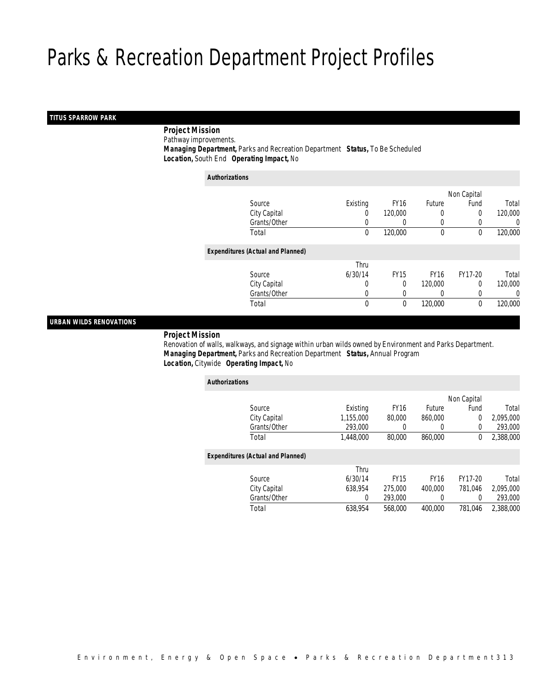# *TITUS SPARROW PARK*

*Project Mission*

Pathway improvements.

 *Managing Department,* Parks and Recreation Department *Status,* To Be Scheduled*Location,* South End *Operating Impact,* No

| <b>Authorizations</b> |                                          |              |             |              |              |         |
|-----------------------|------------------------------------------|--------------|-------------|--------------|--------------|---------|
|                       |                                          |              |             |              | Non Capital  |         |
|                       | Source                                   | Existing     | <b>FY16</b> | Future       | Fund         | Total   |
|                       | City Capital                             | 0            | 120,000     | $\left($     | 0            | 120,000 |
|                       | Grants/Other                             | 0            |             | $\left($     | 0            | 0       |
|                       | Total                                    | $\mathbf 0$  | 120,000     | $\mathbf{0}$ | $\theta$     | 120,000 |
|                       | <b>Expenditures (Actual and Planned)</b> |              |             |              |              |         |
|                       |                                          | Thru         |             |              |              |         |
|                       | Source                                   | 6/30/14      | <b>FY15</b> | <b>FY16</b>  | FY17-20      | Total   |
|                       | City Capital                             | 0            | $\theta$    | 120,000      | $\Omega$     | 120,000 |
|                       | Grants/Other                             | 0            | 0           |              | 0            | 0       |
|                       | Total                                    | $\mathbf{0}$ | 0           | 120,000      | $\mathbf{0}$ | 120,000 |

# *URBAN WILDS RENOVATIONS*

# *Project Mission*

 Renovation of walls, walkways, and signage within urban wilds owned by Environment and Parks Department. *Managing Department,* Parks and Recreation Department *Status,* Annual Program*Location,* Citywide *Operating Impact,* No

| <b>Authorizations</b>                    |           |             |             |             |           |
|------------------------------------------|-----------|-------------|-------------|-------------|-----------|
|                                          |           |             |             | Non Capital |           |
| Source                                   | Existing  | <b>FY16</b> | Future      | Fund        | Total     |
| City Capital                             | 1,155,000 | 80,000      | 860,000     | 0           | 2,095,000 |
| Grants/Other                             | 293,000   | 0           |             | $\mathbf 0$ | 293,000   |
| Total                                    | 1,448,000 | 80,000      | 860,000     | 0           | 2.388.000 |
| <b>Expenditures (Actual and Planned)</b> |           |             |             |             |           |
|                                          | Thru      |             |             |             |           |
| Source                                   | 6/30/14   | <b>FY15</b> | <b>FY16</b> | FY17-20     | Total     |
| City Capital                             | 638.954   | 275,000     | 400,000     | 781.046     | 2.095.000 |
| Grants/Other                             | 0         | 293,000     |             | $\Omega$    | 293,000   |
| Total                                    | 638.954   | 568,000     | 400.000     | 781.046     | 2.388.000 |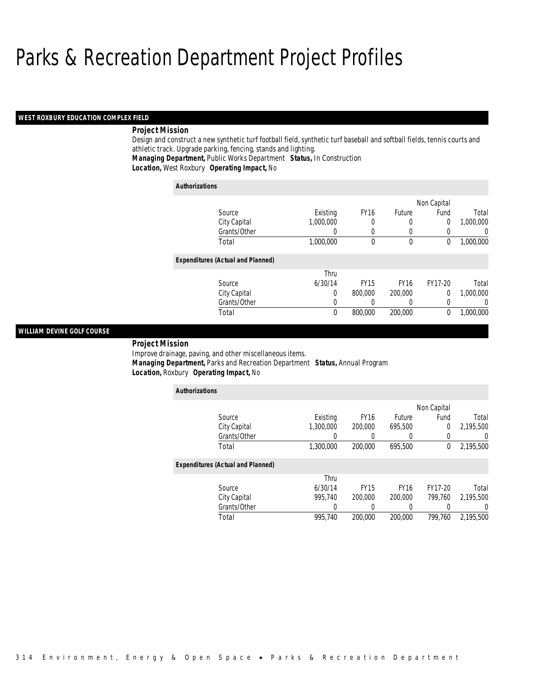#### *WEST ROXBURY EDUCATION COMPLEX FIELD*

# *Project Mission*

Design and construct a new synthetic turf football field, synthetic turf baseball and softball fields, tennis courts and athletic track. Upgrade parking, fencing, stands and lighting.

*Managing Department,* Public Works Department *Status,* In Construction

*Location,* West Roxbury *Operating Impact,* No

| <b>Authorizations</b>                    |           |             |             |             |           |
|------------------------------------------|-----------|-------------|-------------|-------------|-----------|
|                                          |           |             |             | Non Capital |           |
| Source                                   | Existing  | <b>FY16</b> | Future      | Fund        | Total     |
| City Capital                             | 1,000,000 | 0           | 0           | $\Omega$    | 1,000,000 |
| Grants/Other                             | 0         | 0           | 0           |             | $\left($  |
| Total                                    | 1,000,000 | $\theta$    | $\mathbf 0$ | 0           | 1,000,000 |
| <b>Expenditures (Actual and Planned)</b> |           |             |             |             |           |
|                                          | Thru      |             |             |             |           |
| Source                                   | 6/30/14   | <b>FY15</b> | <b>FY16</b> | FY17-20     | Total     |
| City Capital                             | 0         | 800,000     | 200,000     | $\Omega$    | 1,000,000 |
| Grants/Other                             | 0         | 0           | 0           |             | $\left($  |
| Total                                    | 0         | 800,000     | 200,000     | 0           | 1.000.000 |

# *WILLIAM DEVINE GOLF COURSE*

*Project Mission* 

Improve drainage, paving, and other miscellaneous items. *Managing Department,* Parks and Recreation Department *Status,* Annual Program*Location,* Roxbury *Operating Impact,* No

| <b>Authorizations</b>                    |           |             |             |             |           |
|------------------------------------------|-----------|-------------|-------------|-------------|-----------|
|                                          |           |             |             | Non Capital |           |
| Source                                   | Existing  | <b>FY16</b> | Future      | Fund        | Total     |
| City Capital                             | 1,300,000 | 200,000     | 695,500     | 0           | 2,195,500 |
| Grants/Other                             | 0         |             |             | 0           | 0         |
| Total                                    | 1,300,000 | 200,000     | 695,500     | 0           | 2,195,500 |
| <b>Expenditures (Actual and Planned)</b> |           |             |             |             |           |
|                                          | Thru      |             |             |             |           |
| Source                                   | 6/30/14   | <b>FY15</b> | <b>FY16</b> | FY17-20     | Total     |
| City Capital                             | 995.740   | 200,000     | 200,000     | 799.760     | 2.195.500 |
| Grants/Other                             | 0         | 0           | 0           |             | 0         |
| Total                                    | 995.740   | 200,000     | 200,000     | 799.760     | 2,195,500 |